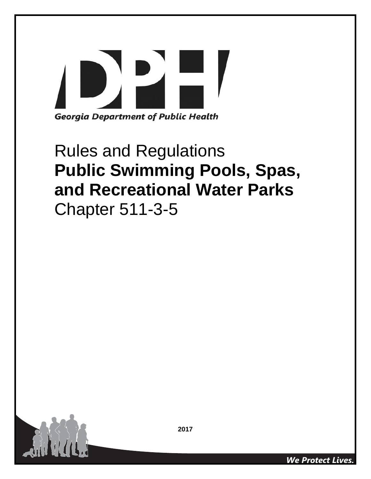# $\overline{P}$ **Georgia Department of Public Health**

# Rules and Regulations **Public Swimming Pools, Spas, and Recreational Water Parks**  Chapter 511-3-5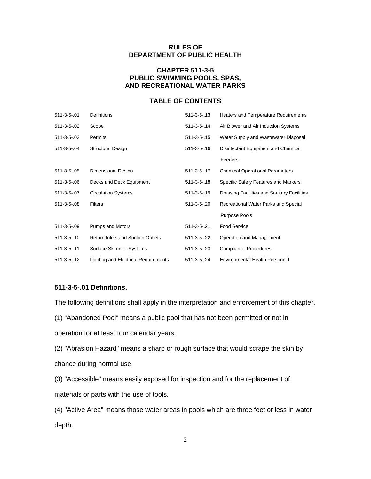# **RULES OF DEPARTMENT OF PUBLIC HEALTH**

# **CHAPTER 511-3-5 PUBLIC SWIMMING POOLS, SPAS, AND RECREATIONAL WATER PARKS**

# **TABLE OF CONTENTS**

| $511 - 3 - 5 - 01$ | <b>Definitions</b>                       | $511 - 3 - 5 - 13$   | <b>Heaters and Temperature Requirements</b>        |
|--------------------|------------------------------------------|----------------------|----------------------------------------------------|
| 511-3-5-.02        | Scope                                    | $511 - 3 - 5 - 14$   | Air Blower and Air Induction Systems               |
| $511 - 3 - 5 - 03$ | Permits                                  | $511 - 3 - 5 - 15$   | Water Supply and Wastewater Disposal               |
| $511 - 3 - 5 - 04$ | <b>Structural Design</b>                 | $511 - 3 - 5 - 16$   | Disinfectant Equipment and Chemical                |
|                    |                                          |                      | Feeders                                            |
| $511 - 3 - 5 - 05$ | Dimensional Design                       | $511 - 3 - 5 - 17$   | <b>Chemical Operational Parameters</b>             |
| 511-3-5-06         | Decks and Deck Equipment                 | $511 - 3 - 5 - 18$   | Specific Safety Features and Markers               |
| 511-3-5-.07        | <b>Circulation Systems</b>               | $511 - 3 - 5 - 19$   | <b>Dressing Facilities and Sanitary Facilities</b> |
| $511 - 3 - 5 - 08$ | <b>Filters</b>                           | $511 - 3 - 5 - 0.20$ | Recreational Water Parks and Special               |
|                    |                                          |                      | Purpose Pools                                      |
| 511-3-5-.09        | Pumps and Motors                         | $511-3-5-21$         | <b>Food Service</b>                                |
| $511 - 3 - 5 - 10$ | <b>Return Inlets and Suction Outlets</b> | 511-3-5-.22          | Operation and Management                           |
| $511 - 3 - 5 - 11$ | Surface Skimmer Systems                  | $511 - 3 - 5 - 23$   | <b>Compliance Procedures</b>                       |
| $511 - 3 - 5 - 12$ | Lighting and Electrical Requirements     | $511 - 3 - 5 - 24$   | <b>Environmental Health Personnel</b>              |

# **511-3-5-.01 Definitions.**

The following definitions shall apply in the interpretation and enforcement of this chapter.

(1) "Abandoned Pool" means a public pool that has not been permitted or not in

operation for at least four calendar years.

(2) "Abrasion Hazard" means a sharp or rough surface that would scrape the skin by chance during normal use.

(3) "Accessible" means easily exposed for inspection and for the replacement of materials or parts with the use of tools.

(4) "Active Area" means those water areas in pools which are three feet or less in water depth.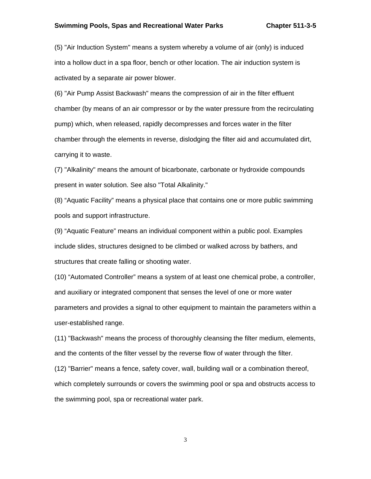#### **Swimming Pools, Spas and Recreational Water Parks Chapter 511-3-5**

(5) "Air Induction System" means a system whereby a volume of air (only) is induced into a hollow duct in a spa floor, bench or other location. The air induction system is activated by a separate air power blower.

(6) "Air Pump Assist Backwash" means the compression of air in the filter effluent chamber (by means of an air compressor or by the water pressure from the recirculating pump) which, when released, rapidly decompresses and forces water in the filter chamber through the elements in reverse, dislodging the filter aid and accumulated dirt, carrying it to waste.

(7) "Alkalinity" means the amount of bicarbonate, carbonate or hydroxide compounds present in water solution. See also "Total Alkalinity."

(8) "Aquatic Facility" means a physical place that contains one or more public swimming pools and support infrastructure.

(9) "Aquatic Feature" means an individual component within a public pool. Examples include slides, structures designed to be climbed or walked across by bathers, and structures that create falling or shooting water.

(10) "Automated Controller" means a system of at least one chemical probe, a controller, and auxiliary or integrated component that senses the level of one or more water parameters and provides a signal to other equipment to maintain the parameters within a user-established range.

(11) "Backwash" means the process of thoroughly cleansing the filter medium, elements, and the contents of the filter vessel by the reverse flow of water through the filter.

(12) "Barrier" means a fence, safety cover, wall, building wall or a combination thereof, which completely surrounds or covers the swimming pool or spa and obstructs access to the swimming pool, spa or recreational water park.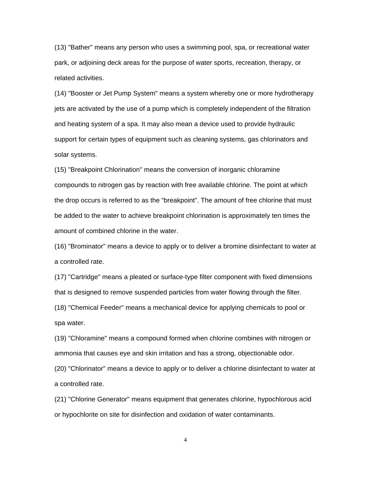(13) "Bather" means any person who uses a swimming pool, spa, or recreational water park, or adjoining deck areas for the purpose of water sports, recreation, therapy, or related activities.

(14) "Booster or Jet Pump System" means a system whereby one or more hydrotherapy jets are activated by the use of a pump which is completely independent of the filtration and heating system of a spa. It may also mean a device used to provide hydraulic support for certain types of equipment such as cleaning systems, gas chlorinators and solar systems.

(15) "Breakpoint Chlorination" means the conversion of inorganic chloramine compounds to nitrogen gas by reaction with free available chlorine. The point at which the drop occurs is referred to as the "breakpoint". The amount of free chlorine that must be added to the water to achieve breakpoint chlorination is approximately ten times the amount of combined chlorine in the water.

(16) "Brominator" means a device to apply or to deliver a bromine disinfectant to water at a controlled rate.

(17) "Cartridge" means a pleated or surface-type filter component with fixed dimensions that is designed to remove suspended particles from water flowing through the filter.

(18) "Chemical Feeder" means a mechanical device for applying chemicals to pool or spa water.

(19) "Chloramine" means a compound formed when chlorine combines with nitrogen or ammonia that causes eye and skin irritation and has a strong, objectionable odor.

(20) "Chlorinator" means a device to apply or to deliver a chlorine disinfectant to water at a controlled rate.

(21) "Chlorine Generator" means equipment that generates chlorine, hypochlorous acid or hypochlorite on site for disinfection and oxidation of water contaminants.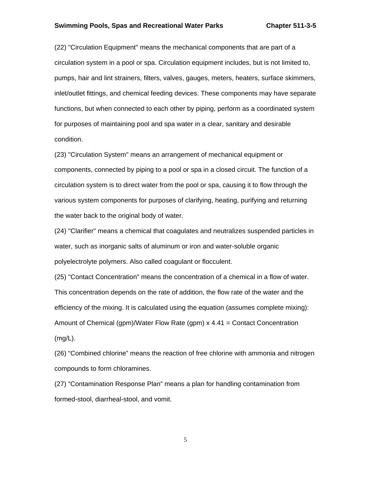#### **Swimming Pools, Spas and Recreational Water Parks Chapter 511-3-5**

(22) "Circulation Equipment" means the mechanical components that are part of a circulation system in a pool or spa. Circulation equipment includes, but is not limited to, pumps, hair and lint strainers, filters, valves, gauges, meters, heaters, surface skimmers, inlet/outlet fittings, and chemical feeding devices. These components may have separate functions, but when connected to each other by piping, perform as a coordinated system for purposes of maintaining pool and spa water in a clear, sanitary and desirable condition.

(23) "Circulation System" means an arrangement of mechanical equipment or components, connected by piping to a pool or spa in a closed circuit. The function of a circulation system is to direct water from the pool or spa, causing it to flow through the various system components for purposes of clarifying, heating, purifying and returning the water back to the original body of water.

(24) "Clarifier" means a chemical that coagulates and neutralizes suspended particles in water, such as inorganic salts of aluminum or iron and water-soluble organic polyelectrolyte polymers. Also called coagulant or flocculent.

(25) "Contact Concentration" means the concentration of a chemical in a flow of water. This concentration depends on the rate of addition, the flow rate of the water and the efficiency of the mixing. It is calculated using the equation (assumes complete mixing): Amount of Chemical (gpm)/Water Flow Rate (gpm)  $x$  4.41 = Contact Concentration (mg/L).

(26) "Combined chlorine" means the reaction of free chlorine with ammonia and nitrogen compounds to form chloramines.

(27) "Contamination Response Plan" means a plan for handling contamination from formed-stool, diarrheal-stool, and vomit.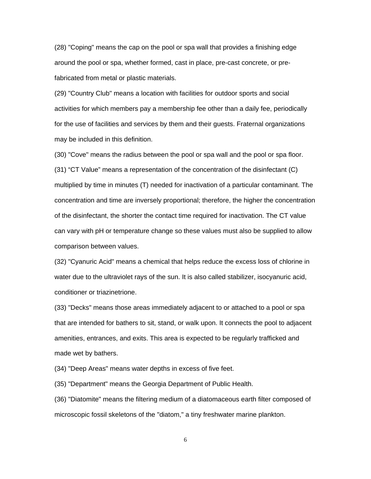(28) "Coping" means the cap on the pool or spa wall that provides a finishing edge around the pool or spa, whether formed, cast in place, pre-cast concrete, or prefabricated from metal or plastic materials.

(29) "Country Club" means a location with facilities for outdoor sports and social activities for which members pay a membership fee other than a daily fee, periodically for the use of facilities and services by them and their guests. Fraternal organizations may be included in this definition.

(30) "Cove" means the radius between the pool or spa wall and the pool or spa floor. (31) "CT Value" means a representation of the concentration of the disinfectant (C) multiplied by time in minutes (T) needed for inactivation of a particular contaminant. The concentration and time are inversely proportional; therefore, the higher the concentration of the disinfectant, the shorter the contact time required for inactivation. The CT value can vary with pH or temperature change so these values must also be supplied to allow comparison between values.

(32) "Cyanuric Acid" means a chemical that helps reduce the excess loss of chlorine in water due to the ultraviolet rays of the sun. It is also called stabilizer, isocyanuric acid, conditioner or triazinetrione.

(33) "Decks" means those areas immediately adjacent to or attached to a pool or spa that are intended for bathers to sit, stand, or walk upon. It connects the pool to adjacent amenities, entrances, and exits. This area is expected to be regularly trafficked and made wet by bathers.

(34) "Deep Areas" means water depths in excess of five feet.

(35) "Department" means the Georgia Department of Public Health.

(36) "Diatomite" means the filtering medium of a diatomaceous earth filter composed of microscopic fossil skeletons of the "diatom," a tiny freshwater marine plankton.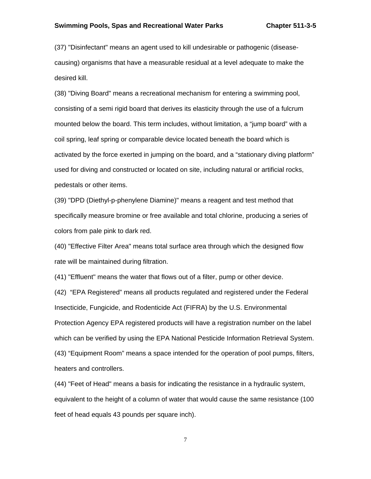(37) "Disinfectant" means an agent used to kill undesirable or pathogenic (diseasecausing) organisms that have a measurable residual at a level adequate to make the desired kill.

(38) "Diving Board" means a recreational mechanism for entering a swimming pool, consisting of a semi rigid board that derives its elasticity through the use of a fulcrum mounted below the board. This term includes, without limitation, a "jump board" with a coil spring, leaf spring or comparable device located beneath the board which is activated by the force exerted in jumping on the board, and a "stationary diving platform" used for diving and constructed or located on site, including natural or artificial rocks, pedestals or other items.

(39) "DPD (Diethyl-p-phenylene Diamine)" means a reagent and test method that specifically measure bromine or free available and total chlorine, producing a series of colors from pale pink to dark red.

(40) "Effective Filter Area" means total surface area through which the designed flow rate will be maintained during filtration.

(41) "Effluent" means the water that flows out of a filter, pump or other device.

(42) "EPA Registered" means all products regulated and registered under the Federal Insecticide, Fungicide, and Rodenticide Act (FIFRA) by the U.S. Environmental Protection Agency EPA registered products will have a registration number on the label which can be verified by using the EPA National Pesticide Information Retrieval System. (43) "Equipment Room" means a space intended for the operation of pool pumps, filters, heaters and controllers.

(44) "Feet of Head" means a basis for indicating the resistance in a hydraulic system, equivalent to the height of a column of water that would cause the same resistance (100 feet of head equals 43 pounds per square inch).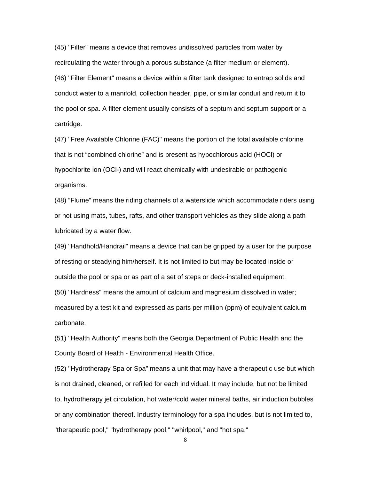(45) "Filter" means a device that removes undissolved particles from water by recirculating the water through a porous substance (a filter medium or element). (46) "Filter Element" means a device within a filter tank designed to entrap solids and conduct water to a manifold, collection header, pipe, or similar conduit and return it to the pool or spa. A filter element usually consists of a septum and septum support or a cartridge.

(47) "Free Available Chlorine (FAC)" means the portion of the total available chlorine that is not "combined chlorine" and is present as hypochlorous acid (HOCl) or hypochlorite ion (OCl-) and will react chemically with undesirable or pathogenic organisms.

(48) "Flume" means the riding channels of a waterslide which accommodate riders using or not using mats, tubes, rafts, and other transport vehicles as they slide along a path lubricated by a water flow.

(49) "Handhold/Handrail" means a device that can be gripped by a user for the purpose of resting or steadying him/herself. It is not limited to but may be located inside or outside the pool or spa or as part of a set of steps or deck-installed equipment. (50) "Hardness" means the amount of calcium and magnesium dissolved in water; measured by a test kit and expressed as parts per million (ppm) of equivalent calcium carbonate.

(51) "Health Authority" means both the Georgia Department of Public Health and the County Board of Health - Environmental Health Office.

(52) "Hydrotherapy Spa or Spa" means a unit that may have a therapeutic use but which is not drained, cleaned, or refilled for each individual. It may include, but not be limited to, hydrotherapy jet circulation, hot water/cold water mineral baths, air induction bubbles or any combination thereof. Industry terminology for a spa includes, but is not limited to, "therapeutic pool," "hydrotherapy pool," "whirlpool," and "hot spa."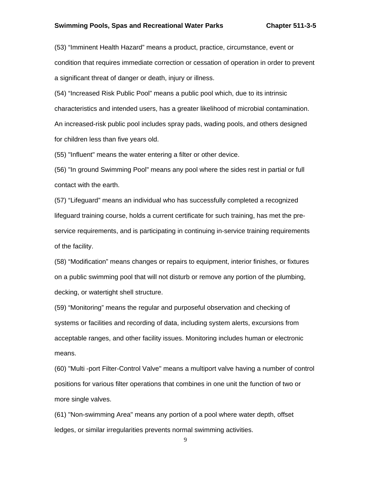#### **Swimming Pools, Spas and Recreational Water Parks Chapter 511-3-5**

(53) "Imminent Health Hazard" means a product, practice, circumstance, event or condition that requires immediate correction or cessation of operation in order to prevent a significant threat of danger or death, injury or illness.

(54) "Increased Risk Public Pool" means a public pool which, due to its intrinsic characteristics and intended users, has a greater likelihood of microbial contamination. An increased-risk public pool includes spray pads, wading pools, and others designed for children less than five years old.

(55) "Influent" means the water entering a filter or other device.

(56) "In ground Swimming Pool" means any pool where the sides rest in partial or full contact with the earth.

(57) "Lifeguard" means an individual who has successfully completed a recognized lifeguard training course, holds a current certificate for such training, has met the preservice requirements, and is participating in continuing in-service training requirements of the facility.

(58) "Modification" means changes or repairs to equipment, interior finishes, or fixtures on a public swimming pool that will not disturb or remove any portion of the plumbing, decking, or watertight shell structure.

(59) "Monitoring" means the regular and purposeful observation and checking of systems or facilities and recording of data, including system alerts, excursions from acceptable ranges, and other facility issues. Monitoring includes human or electronic means.

(60) "Multi -port Filter-Control Valve" means a multiport valve having a number of control positions for various filter operations that combines in one unit the function of two or more single valves.

(61) "Non-swimming Area" means any portion of a pool where water depth, offset ledges, or similar irregularities prevents normal swimming activities.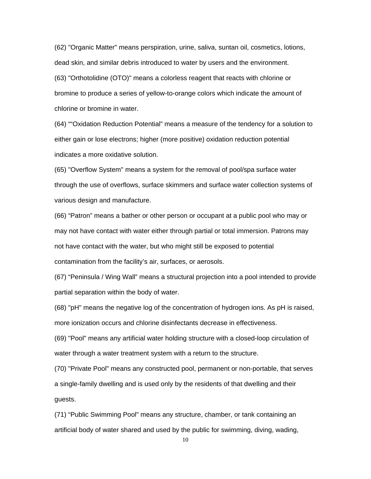(62) "Organic Matter" means perspiration, urine, saliva, suntan oil, cosmetics, lotions, dead skin, and similar debris introduced to water by users and the environment. (63) "Orthotolidine (OTO)" means a colorless reagent that reacts with chlorine or bromine to produce a series of yellow-to-orange colors which indicate the amount of chlorine or bromine in water.

(64) ""Oxidation Reduction Potential" means a measure of the tendency for a solution to either gain or lose electrons; higher (more positive) oxidation reduction potential indicates a more oxidative solution.

(65) "Overflow System" means a system for the removal of pool/spa surface water through the use of overflows, surface skimmers and surface water collection systems of various design and manufacture.

(66) "Patron" means a bather or other person or occupant at a public pool who may or may not have contact with water either through partial or total immersion. Patrons may not have contact with the water, but who might still be exposed to potential contamination from the facility's air, surfaces, or aerosols.

(67) "Peninsula / Wing Wall" means a structural projection into a pool intended to provide partial separation within the body of water.

(68) "pH" means the negative log of the concentration of hydrogen ions. As pH is raised, more ionization occurs and chlorine disinfectants decrease in effectiveness.

(69) "Pool" means any artificial water holding structure with a closed-loop circulation of water through a water treatment system with a return to the structure.

(70) "Private Pool" means any constructed pool, permanent or non-portable, that serves a single-family dwelling and is used only by the residents of that dwelling and their guests.

(71) "Public Swimming Pool" means any structure, chamber, or tank containing an artificial body of water shared and used by the public for swimming, diving, wading,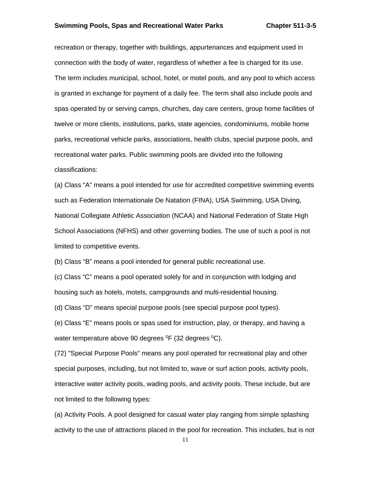#### **Swimming Pools, Spas and Recreational Water Parks Chapter 511-3-5**

recreation or therapy, together with buildings, appurtenances and equipment used in connection with the body of water, regardless of whether a fee is charged for its use. The term includes municipal, school, hotel, or motel pools, and any pool to which access is granted in exchange for payment of a daily fee. The term shall also include pools and spas operated by or serving camps, churches, day care centers, group home facilities of twelve or more clients, institutions, parks, state agencies, condominiums, mobile home parks, recreational vehicle parks, associations, health clubs, special purpose pools, and recreational water parks. Public swimming pools are divided into the following classifications:

(a) Class "A" means a pool intended for use for accredited competitive swimming events such as Federation Internationale De Natation (FINA), USA Swimming, USA Diving, National Collegiate Athletic Association (NCAA) and National Federation of State High School Associations (NFHS) and other governing bodies. The use of such a pool is not limited to competitive events.

(b) Class "B" means a pool intended for general public recreational use.

(c) Class "C" means a pool operated solely for and in conjunction with lodging and housing such as hotels, motels, campgrounds and multi-residential housing.

(d) Class "D" means special purpose pools (see special purpose pool types).

(e) Class "E" means pools or spas used for instruction, play, or therapy, and having a water temperature above 90 degrees  ${}^{0}F$  (32 degrees  ${}^{0}C$ ).

(72) "Special Purpose Pools" means any pool operated for recreational play and other special purposes, including, but not limited to, wave or surf action pools, activity pools, interactive water activity pools, wading pools, and activity pools. These include, but are not limited to the following types:

(a) Activity Pools. A pool designed for casual water play ranging from simple splashing activity to the use of attractions placed in the pool for recreation. This includes, but is not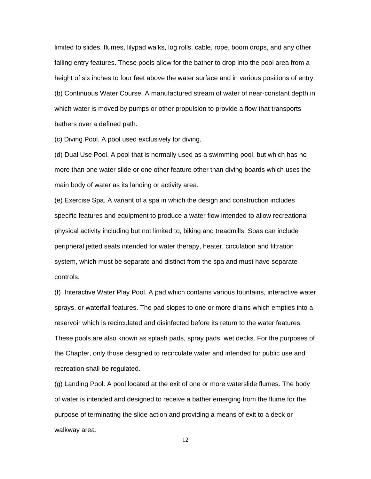limited to slides, flumes, lilypad walks, log rolls, cable, rope, boom drops, and any other falling entry features. These pools allow for the bather to drop into the pool area from a height of six inches to four feet above the water surface and in various positions of entry. (b) Continuous Water Course. A manufactured stream of water of near-constant depth in which water is moved by pumps or other propulsion to provide a flow that transports bathers over a defined path.

(c) Diving Pool. A pool used exclusively for diving.

(d) Dual Use Pool. A pool that is normally used as a swimming pool, but which has no more than one water slide or one other feature other than diving boards which uses the main body of water as its landing or activity area.

(e) Exercise Spa. A variant of a spa in which the design and construction includes specific features and equipment to produce a water flow intended to allow recreational physical activity including but not limited to, biking and treadmills. Spas can include peripheral jetted seats intended for water therapy, heater, circulation and filtration system, which must be separate and distinct from the spa and must have separate controls.

(f) Interactive Water Play Pool. A pad which contains various fountains, interactive water sprays, or waterfall features. The pad slopes to one or more drains which empties into a reservoir which is recirculated and disinfected before its return to the water features. These pools are also known as splash pads, spray pads, wet decks. For the purposes of the Chapter, only those designed to recirculate water and intended for public use and recreation shall be regulated.

(g) Landing Pool. A pool located at the exit of one or more waterslide flumes. The body of water is intended and designed to receive a bather emerging from the flume for the purpose of terminating the slide action and providing a means of exit to a deck or walkway area.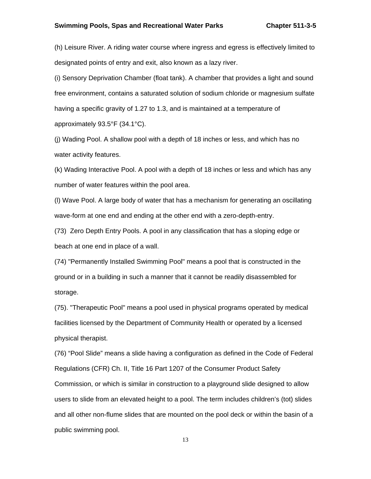(h) Leisure River. A riding water course where ingress and egress is effectively limited to designated points of entry and exit, also known as a lazy river.

(i) Sensory Deprivation Chamber (float tank). A chamber that provides a light and sound free environment, contains a saturated solution of sodium chloride or magnesium sulfate having a specific gravity of 1.27 to 1.3, and is maintained at a temperature of approximately 93.5°F (34.1°C).

(j) Wading Pool. A shallow pool with a depth of 18 inches or less, and which has no water activity features.

(k) Wading Interactive Pool. A pool with a depth of 18 inches or less and which has any number of water features within the pool area.

(l) Wave Pool. A large body of water that has a mechanism for generating an oscillating wave-form at one end and ending at the other end with a zero-depth-entry.

(73) Zero Depth Entry Pools. A pool in any classification that has a sloping edge or beach at one end in place of a wall.

(74) "Permanently Installed Swimming Pool" means a pool that is constructed in the ground or in a building in such a manner that it cannot be readily disassembled for storage.

(75). "Therapeutic Pool" means a pool used in physical programs operated by medical facilities licensed by the Department of Community Health or operated by a licensed physical therapist.

(76) "Pool Slide" means a slide having a configuration as defined in the Code of Federal Regulations (CFR) Ch. II, Title 16 Part 1207 of the Consumer Product Safety Commission, or which is similar in construction to a playground slide designed to allow users to slide from an elevated height to a pool. The term includes children's (tot) slides and all other non-flume slides that are mounted on the pool deck or within the basin of a public swimming pool.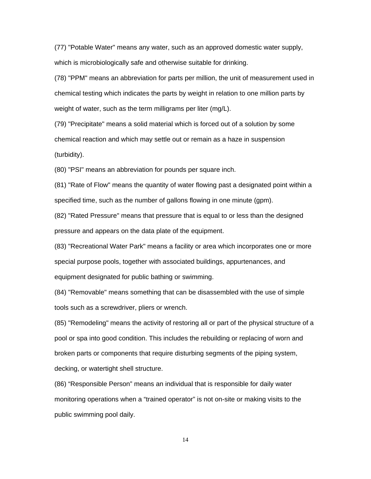(77) "Potable Water" means any water, such as an approved domestic water supply, which is microbiologically safe and otherwise suitable for drinking.

(78) "PPM" means an abbreviation for parts per million, the unit of measurement used in chemical testing which indicates the parts by weight in relation to one million parts by weight of water, such as the term milligrams per liter (mg/L).

(79) "Precipitate" means a solid material which is forced out of a solution by some chemical reaction and which may settle out or remain as a haze in suspension (turbidity).

(80) "PSI" means an abbreviation for pounds per square inch.

(81) "Rate of Flow" means the quantity of water flowing past a designated point within a specified time, such as the number of gallons flowing in one minute (gpm).

(82) "Rated Pressure" means that pressure that is equal to or less than the designed pressure and appears on the data plate of the equipment.

(83) "Recreational Water Park" means a facility or area which incorporates one or more special purpose pools, together with associated buildings, appurtenances, and equipment designated for public bathing or swimming.

(84) "Removable" means something that can be disassembled with the use of simple tools such as a screwdriver, pliers or wrench.

(85) "Remodeling" means the activity of restoring all or part of the physical structure of a pool or spa into good condition. This includes the rebuilding or replacing of worn and broken parts or components that require disturbing segments of the piping system, decking, or watertight shell structure.

(86) "Responsible Person" means an individual that is responsible for daily water monitoring operations when a "trained operator" is not on-site or making visits to the public swimming pool daily.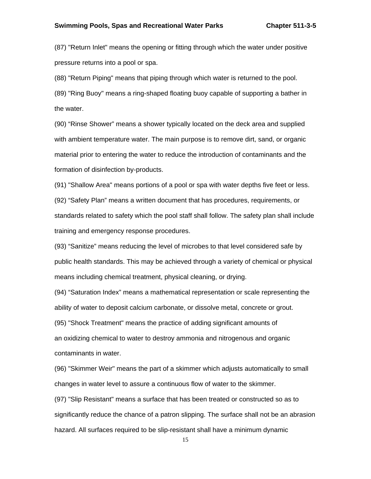(87) "Return Inlet" means the opening or fitting through which the water under positive pressure returns into a pool or spa.

(88) "Return Piping" means that piping through which water is returned to the pool.

(89) "Ring Buoy" means a ring-shaped floating buoy capable of supporting a bather in the water.

(90) "Rinse Shower" means a shower typically located on the deck area and supplied with ambient temperature water. The main purpose is to remove dirt, sand, or organic material prior to entering the water to reduce the introduction of contaminants and the formation of disinfection by-products.

(91) "Shallow Area" means portions of a pool or spa with water depths five feet or less.

(92) "Safety Plan" means a written document that has procedures, requirements, or standards related to safety which the pool staff shall follow. The safety plan shall include training and emergency response procedures.

(93) "Sanitize" means reducing the level of microbes to that level considered safe by public health standards. This may be achieved through a variety of chemical or physical means including chemical treatment, physical cleaning, or drying.

(94) "Saturation Index" means a mathematical representation or scale representing the ability of water to deposit calcium carbonate, or dissolve metal, concrete or grout.

(95) "Shock Treatment" means the practice of adding significant amounts of

an oxidizing chemical to water to destroy ammonia and nitrogenous and organic contaminants in water.

(96) "Skimmer Weir" means the part of a skimmer which adjusts automatically to small changes in water level to assure a continuous flow of water to the skimmer.

(97) "Slip Resistant" means a surface that has been treated or constructed so as to significantly reduce the chance of a patron slipping. The surface shall not be an abrasion hazard. All surfaces required to be slip-resistant shall have a minimum dynamic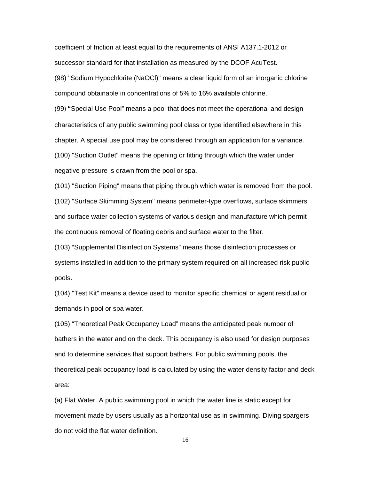coefficient of friction at least equal to the requirements of ANSI A137.1-2012 or successor standard for that installation as measured by the DCOF AcuTest.

(98) "Sodium Hypochlorite (NaOCl)" means a clear liquid form of an inorganic chlorine compound obtainable in concentrations of 5% to 16% available chlorine.

(99) **"**Special Use Pool" means a pool that does not meet the operational and design characteristics of any public swimming pool class or type identified elsewhere in this chapter. A special use pool may be considered through an application for a variance. (100) "Suction Outlet" means the opening or fitting through which the water under negative pressure is drawn from the pool or spa.

(101) "Suction Piping" means that piping through which water is removed from the pool. (102) "Surface Skimming System" means perimeter-type overflows, surface skimmers and surface water collection systems of various design and manufacture which permit the continuous removal of floating debris and surface water to the filter.

(103) "Supplemental Disinfection Systems" means those disinfection processes or systems installed in addition to the primary system required on all increased risk public pools.

(104) "Test Kit" means a device used to monitor specific chemical or agent residual or demands in pool or spa water.

(105) "Theoretical Peak Occupancy Load" means the anticipated peak number of bathers in the water and on the deck. This occupancy is also used for design purposes and to determine services that support bathers. For public swimming pools, the theoretical peak occupancy load is calculated by using the water density factor and deck area:

(a) Flat Water. A public swimming pool in which the water line is static except for movement made by users usually as a horizontal use as in swimming. Diving spargers do not void the flat water definition.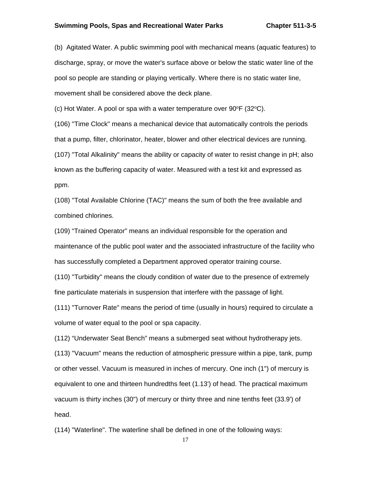#### **Swimming Pools, Spas and Recreational Water Parks Chapter 511-3-5**

(b) Agitated Water. A public swimming pool with mechanical means (aquatic features) to discharge, spray, or move the water's surface above or below the static water line of the pool so people are standing or playing vertically. Where there is no static water line, movement shall be considered above the deck plane.

(c) Hot Water. A pool or spa with a water temperature over  $90^{\circ}F(32^{\circ}C)$ .

(106) "Time Clock" means a mechanical device that automatically controls the periods that a pump, filter, chlorinator, heater, blower and other electrical devices are running. (107) "Total Alkalinity" means the ability or capacity of water to resist change in pH; also known as the buffering capacity of water. Measured with a test kit and expressed as ppm.

(108) "Total Available Chlorine (TAC)" means the sum of both the free available and combined chlorines.

(109) "Trained Operator" means an individual responsible for the operation and maintenance of the public pool water and the associated infrastructure of the facility who has successfully completed a Department approved operator training course.

(110) "Turbidity" means the cloudy condition of water due to the presence of extremely fine particulate materials in suspension that interfere with the passage of light.

(111) "Turnover Rate" means the period of time (usually in hours) required to circulate a volume of water equal to the pool or spa capacity.

(112) "Underwater Seat Bench" means a submerged seat without hydrotherapy jets.

(113) "Vacuum" means the reduction of atmospheric pressure within a pipe, tank, pump or other vessel. Vacuum is measured in inches of mercury. One inch (1") of mercury is equivalent to one and thirteen hundredths feet (1.13') of head. The practical maximum vacuum is thirty inches (30") of mercury or thirty three and nine tenths feet (33.9') of head.

(114) "Waterline". The waterline shall be defined in one of the following ways: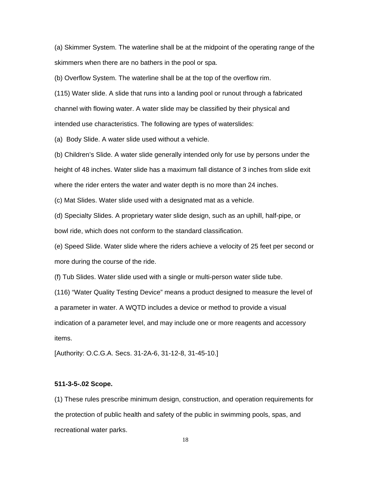(a) Skimmer System. The waterline shall be at the midpoint of the operating range of the skimmers when there are no bathers in the pool or spa.

(b) Overflow System. The waterline shall be at the top of the overflow rim.

(115) Water slide. A slide that runs into a landing pool or runout through a fabricated channel with flowing water. A water slide may be classified by their physical and intended use characteristics. The following are types of waterslides:

(a) Body Slide. A water slide used without a vehicle.

(b) Children's Slide. A water slide generally intended only for use by persons under the height of 48 inches. Water slide has a maximum fall distance of 3 inches from slide exit where the rider enters the water and water depth is no more than 24 inches.

(c) Mat Slides. Water slide used with a designated mat as a vehicle.

(d) Specialty Slides. A proprietary water slide design, such as an uphill, half-pipe, or bowl ride, which does not conform to the standard classification.

(e) Speed Slide. Water slide where the riders achieve a velocity of 25 feet per second or more during the course of the ride.

(f) Tub Slides. Water slide used with a single or multi-person water slide tube.

(116) "Water Quality Testing Device" means a product designed to measure the level of a parameter in water. A WQTD includes a device or method to provide a visual indication of a parameter level, and may include one or more reagents and accessory items.

[Authority: O.C.G.A. Secs. 31-2A-6, 31-12-8, 31-45-10.]

#### **511-3-5-.02 Scope.**

(1) These rules prescribe minimum design, construction, and operation requirements for the protection of public health and safety of the public in swimming pools, spas, and recreational water parks.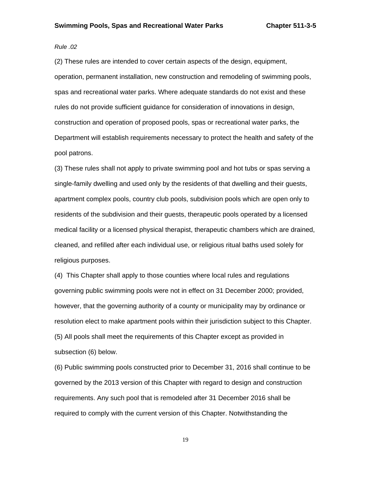#### *Rule .02*

(2) These rules are intended to cover certain aspects of the design, equipment, operation, permanent installation, new construction and remodeling of swimming pools, spas and recreational water parks. Where adequate standards do not exist and these rules do not provide sufficient guidance for consideration of innovations in design, construction and operation of proposed pools, spas or recreational water parks, the Department will establish requirements necessary to protect the health and safety of the pool patrons.

(3) These rules shall not apply to private swimming pool and hot tubs or spas serving a single-family dwelling and used only by the residents of that dwelling and their guests, apartment complex pools, country club pools, subdivision pools which are open only to residents of the subdivision and their guests, therapeutic pools operated by a licensed medical facility or a licensed physical therapist, therapeutic chambers which are drained, cleaned, and refilled after each individual use, or religious ritual baths used solely for religious purposes.

(4) This Chapter shall apply to those counties where local rules and regulations governing public swimming pools were not in effect on 31 December 2000; provided, however, that the governing authority of a county or municipality may by ordinance or resolution elect to make apartment pools within their jurisdiction subject to this Chapter. (5) All pools shall meet the requirements of this Chapter except as provided in subsection (6) below.

(6) Public swimming pools constructed prior to December 31, 2016 shall continue to be governed by the 2013 version of this Chapter with regard to design and construction requirements. Any such pool that is remodeled after 31 December 2016 shall be required to comply with the current version of this Chapter. Notwithstanding the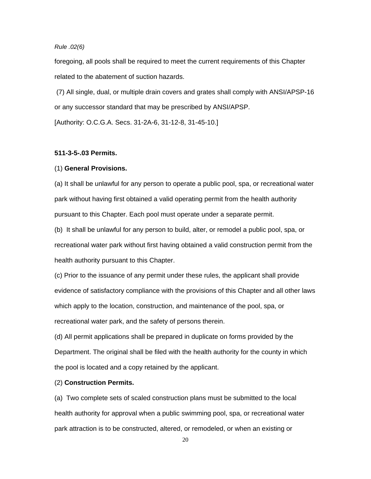# *Rule .02(6)*

foregoing, all pools shall be required to meet the current requirements of this Chapter related to the abatement of suction hazards.

 (7) All single, dual, or multiple drain covers and grates shall comply with ANSI/APSP-16 or any successor standard that may be prescribed by ANSI/APSP.

[Authority: O.C.G.A. Secs. 31-2A-6, 31-12-8, 31-45-10.]

#### **511-3-5-.03 Permits.**

#### (1) **General Provisions.**

(a) It shall be unlawful for any person to operate a public pool, spa, or recreational water park without having first obtained a valid operating permit from the health authority pursuant to this Chapter. Each pool must operate under a separate permit.

(b) It shall be unlawful for any person to build, alter, or remodel a public pool, spa, or recreational water park without first having obtained a valid construction permit from the health authority pursuant to this Chapter.

(c) Prior to the issuance of any permit under these rules, the applicant shall provide evidence of satisfactory compliance with the provisions of this Chapter and all other laws which apply to the location, construction, and maintenance of the pool, spa, or recreational water park, and the safety of persons therein.

(d) All permit applications shall be prepared in duplicate on forms provided by the Department. The original shall be filed with the health authority for the county in which the pool is located and a copy retained by the applicant.

#### (2) **Construction Permits.**

(a) Two complete sets of scaled construction plans must be submitted to the local health authority for approval when a public swimming pool, spa, or recreational water park attraction is to be constructed, altered, or remodeled, or when an existing or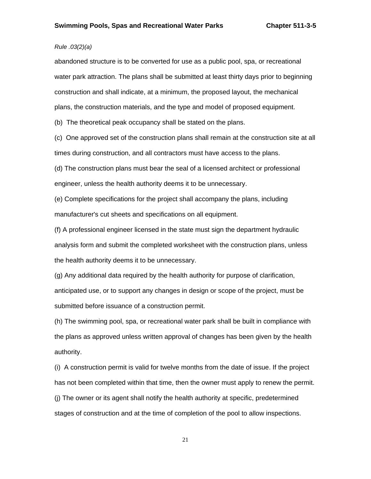# *Rule .03(2)(a)*

abandoned structure is to be converted for use as a public pool, spa, or recreational water park attraction. The plans shall be submitted at least thirty days prior to beginning construction and shall indicate, at a minimum, the proposed layout, the mechanical plans, the construction materials, and the type and model of proposed equipment.

(b) The theoretical peak occupancy shall be stated on the plans.

(c) One approved set of the construction plans shall remain at the construction site at all times during construction, and all contractors must have access to the plans.

(d) The construction plans must bear the seal of a licensed architect or professional engineer, unless the health authority deems it to be unnecessary.

(e) Complete specifications for the project shall accompany the plans, including manufacturer's cut sheets and specifications on all equipment.

(f) A professional engineer licensed in the state must sign the department hydraulic analysis form and submit the completed worksheet with the construction plans, unless the health authority deems it to be unnecessary.

(g) Any additional data required by the health authority for purpose of clarification, anticipated use, or to support any changes in design or scope of the project, must be submitted before issuance of a construction permit.

(h) The swimming pool, spa, or recreational water park shall be built in compliance with the plans as approved unless written approval of changes has been given by the health authority.

(i) A construction permit is valid for twelve months from the date of issue. If the project has not been completed within that time, then the owner must apply to renew the permit. (j) The owner or its agent shall notify the health authority at specific, predetermined stages of construction and at the time of completion of the pool to allow inspections.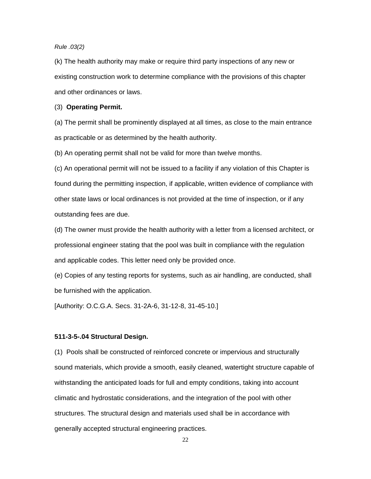# *Rule .03(2)*

(k) The health authority may make or require third party inspections of any new or existing construction work to determine compliance with the provisions of this chapter and other ordinances or laws.

#### (3) **Operating Permit.**

(a) The permit shall be prominently displayed at all times, as close to the main entrance as practicable or as determined by the health authority.

(b) An operating permit shall not be valid for more than twelve months.

(c) An operational permit will not be issued to a facility if any violation of this Chapter is found during the permitting inspection, if applicable, written evidence of compliance with other state laws or local ordinances is not provided at the time of inspection, or if any outstanding fees are due.

(d) The owner must provide the health authority with a letter from a licensed architect, or professional engineer stating that the pool was built in compliance with the regulation and applicable codes. This letter need only be provided once.

(e) Copies of any testing reports for systems, such as air handling, are conducted, shall be furnished with the application.

[Authority: O.C.G.A. Secs. 31-2A-6, 31-12-8, 31-45-10.]

#### **511-3-5-.04 Structural Design.**

(1) Pools shall be constructed of reinforced concrete or impervious and structurally sound materials, which provide a smooth, easily cleaned, watertight structure capable of withstanding the anticipated loads for full and empty conditions, taking into account climatic and hydrostatic considerations, and the integration of the pool with other structures. The structural design and materials used shall be in accordance with generally accepted structural engineering practices.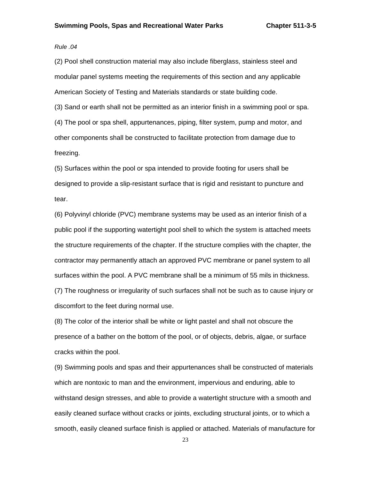#### *Rule .04*

(2) Pool shell construction material may also include fiberglass, stainless steel and modular panel systems meeting the requirements of this section and any applicable American Society of Testing and Materials standards or state building code.

(3) Sand or earth shall not be permitted as an interior finish in a swimming pool or spa. (4) The pool or spa shell, appurtenances, piping, filter system, pump and motor, and other components shall be constructed to facilitate protection from damage due to freezing.

(5) Surfaces within the pool or spa intended to provide footing for users shall be designed to provide a slip-resistant surface that is rigid and resistant to puncture and tear.

(6) Polyvinyl chloride (PVC) membrane systems may be used as an interior finish of a public pool if the supporting watertight pool shell to which the system is attached meets the structure requirements of the chapter. If the structure complies with the chapter, the contractor may permanently attach an approved PVC membrane or panel system to all surfaces within the pool. A PVC membrane shall be a minimum of 55 mils in thickness. (7) The roughness or irregularity of such surfaces shall not be such as to cause injury or discomfort to the feet during normal use.

(8) The color of the interior shall be white or light pastel and shall not obscure the presence of a bather on the bottom of the pool, or of objects, debris, algae, or surface cracks within the pool.

(9) Swimming pools and spas and their appurtenances shall be constructed of materials which are nontoxic to man and the environment, impervious and enduring, able to withstand design stresses, and able to provide a watertight structure with a smooth and easily cleaned surface without cracks or joints, excluding structural joints, or to which a smooth, easily cleaned surface finish is applied or attached. Materials of manufacture for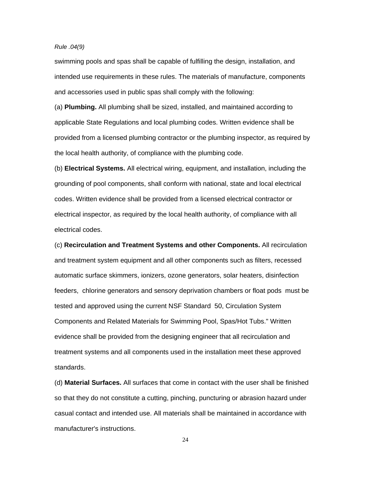#### *Rule .04(9)*

swimming pools and spas shall be capable of fulfilling the design, installation, and intended use requirements in these rules. The materials of manufacture, components and accessories used in public spas shall comply with the following:

(a) **Plumbing.** All plumbing shall be sized, installed, and maintained according to applicable State Regulations and local plumbing codes. Written evidence shall be provided from a licensed plumbing contractor or the plumbing inspector, as required by the local health authority, of compliance with the plumbing code.

(b) **Electrical Systems.** All electrical wiring, equipment, and installation, including the grounding of pool components, shall conform with national, state and local electrical codes. Written evidence shall be provided from a licensed electrical contractor or electrical inspector, as required by the local health authority, of compliance with all electrical codes.

(c) **Recirculation and Treatment Systems and other Components.** All recirculation and treatment system equipment and all other components such as filters, recessed automatic surface skimmers, ionizers, ozone generators, solar heaters, disinfection feeders, chlorine generators and sensory deprivation chambers or float pods must be tested and approved using the current NSF Standard 50, Circulation System Components and Related Materials for Swimming Pool, Spas/Hot Tubs." Written evidence shall be provided from the designing engineer that all recirculation and treatment systems and all components used in the installation meet these approved standards.

(d) **Material Surfaces.** All surfaces that come in contact with the user shall be finished so that they do not constitute a cutting, pinching, puncturing or abrasion hazard under casual contact and intended use. All materials shall be maintained in accordance with manufacturer's instructions.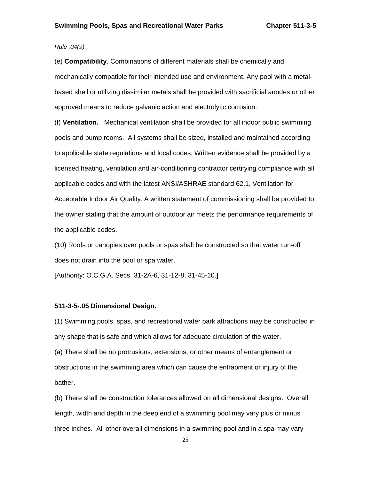# *Rule .04(9)*

(e) **Compatibility**. Combinations of different materials shall be chemically and mechanically compatible for their intended use and environment. Any pool with a metalbased shell or utilizing dissimilar metals shall be provided with sacrificial anodes or other approved means to reduce galvanic action and electrolytic corrosion.

(f) **Ventilation.** Mechanical ventilation shall be provided for all indoor public swimming pools and pump rooms. All systems shall be sized, installed and maintained according to applicable state regulations and local codes. Written evidence shall be provided by a licensed heating, ventilation and air-conditioning contractor certifying compliance with all applicable codes and with the latest ANSI/ASHRAE standard 62.1, Ventilation for Acceptable Indoor Air Quality. A written statement of commissioning shall be provided to the owner stating that the amount of outdoor air meets the performance requirements of the applicable codes.

(10) Roofs or canopies over pools or spas shall be constructed so that water run-off does not drain into the pool or spa water.

[Authority: O.C.G.A. Secs. 31-2A-6, 31-12-8, 31-45-10.]

#### **511-3-5-.05 Dimensional Design.**

(1) Swimming pools, spas, and recreational water park attractions may be constructed in any shape that is safe and which allows for adequate circulation of the water.

(a) There shall be no protrusions, extensions, or other means of entanglement or obstructions in the swimming area which can cause the entrapment or injury of the bather.

(b) There shall be construction tolerances allowed on all dimensional designs. Overall length, width and depth in the deep end of a swimming pool may vary plus or minus three inches. All other overall dimensions in a swimming pool and in a spa may vary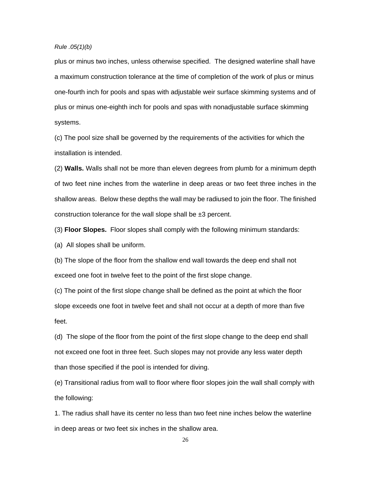#### *Rule .05(1)(b)*

plus or minus two inches, unless otherwise specified. The designed waterline shall have a maximum construction tolerance at the time of completion of the work of plus or minus one-fourth inch for pools and spas with adjustable weir surface skimming systems and of plus or minus one-eighth inch for pools and spas with nonadjustable surface skimming systems.

(c) The pool size shall be governed by the requirements of the activities for which the installation is intended.

(2) **Walls.** Walls shall not be more than eleven degrees from plumb for a minimum depth of two feet nine inches from the waterline in deep areas or two feet three inches in the shallow areas. Below these depths the wall may be radiused to join the floor. The finished construction tolerance for the wall slope shall be  $\pm 3$  percent.

(3) **Floor Slopes.** Floor slopes shall comply with the following minimum standards:

(a) All slopes shall be uniform.

(b) The slope of the floor from the shallow end wall towards the deep end shall not exceed one foot in twelve feet to the point of the first slope change.

(c) The point of the first slope change shall be defined as the point at which the floor slope exceeds one foot in twelve feet and shall not occur at a depth of more than five feet.

(d) The slope of the floor from the point of the first slope change to the deep end shall not exceed one foot in three feet. Such slopes may not provide any less water depth than those specified if the pool is intended for diving.

(e) Transitional radius from wall to floor where floor slopes join the wall shall comply with the following:

1. The radius shall have its center no less than two feet nine inches below the waterline in deep areas or two feet six inches in the shallow area.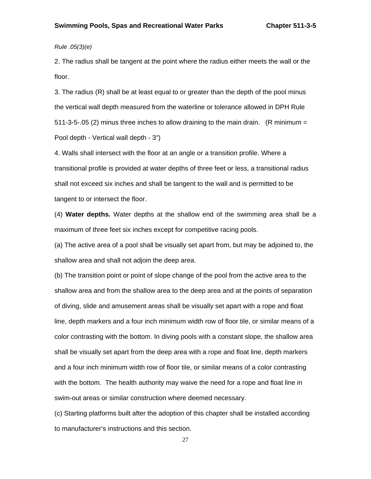*Rule .05(3)(e)* 

2. The radius shall be tangent at the point where the radius either meets the wall or the floor.

3. The radius (R) shall be at least equal to or greater than the depth of the pool minus the vertical wall depth measured from the waterline or tolerance allowed in DPH Rule 511-3-5-.05 (2) minus three inches to allow draining to the main drain. (R minimum = Pool depth - Vertical wall depth - 3")

4. Walls shall intersect with the floor at an angle or a transition profile. Where a transitional profile is provided at water depths of three feet or less, a transitional radius shall not exceed six inches and shall be tangent to the wall and is permitted to be tangent to or intersect the floor.

(4) **Water depths.** Water depths at the shallow end of the swimming area shall be a maximum of three feet six inches except for competitive racing pools.

(a) The active area of a pool shall be visually set apart from, but may be adjoined to, the shallow area and shall not adjoin the deep area.

(b) The transition point or point of slope change of the pool from the active area to the shallow area and from the shallow area to the deep area and at the points of separation of diving, slide and amusement areas shall be visually set apart with a rope and float line, depth markers and a four inch minimum width row of floor tile, or similar means of a color contrasting with the bottom. In diving pools with a constant slope, the shallow area shall be visually set apart from the deep area with a rope and float line, depth markers and a four inch minimum width row of floor tile, or similar means of a color contrasting with the bottom. The health authority may waive the need for a rope and float line in swim-out areas or similar construction where deemed necessary.

(c) Starting platforms built after the adoption of this chapter shall be installed according to manufacturer's instructions and this section.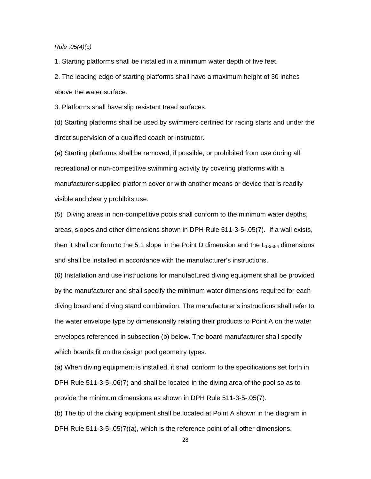#### *Rule .05(4)(c)*

1. Starting platforms shall be installed in a minimum water depth of five feet.

2. The leading edge of starting platforms shall have a maximum height of 30 inches above the water surface.

3. Platforms shall have slip resistant tread surfaces.

(d) Starting platforms shall be used by swimmers certified for racing starts and under the direct supervision of a qualified coach or instructor.

(e) Starting platforms shall be removed, if possible, or prohibited from use during all recreational or non-competitive swimming activity by covering platforms with a manufacturer-supplied platform cover or with another means or device that is readily visible and clearly prohibits use.

(5) Diving areas in non-competitive pools shall conform to the minimum water depths, areas, slopes and other dimensions shown in DPH Rule 511-3-5-.05(7). If a wall exists, then it shall conform to the 5:1 slope in the Point D dimension and the  $L_{1-2-3-4}$  dimensions and shall be installed in accordance with the manufacturer's instructions.

(6) Installation and use instructions for manufactured diving equipment shall be provided by the manufacturer and shall specify the minimum water dimensions required for each diving board and diving stand combination. The manufacturer's instructions shall refer to the water envelope type by dimensionally relating their products to Point A on the water envelopes referenced in subsection (b) below. The board manufacturer shall specify which boards fit on the design pool geometry types.

(a) When diving equipment is installed, it shall conform to the specifications set forth in DPH Rule 511-3-5-.06(7) and shall be located in the diving area of the pool so as to provide the minimum dimensions as shown in DPH Rule 511-3-5-.05(7).

(b) The tip of the diving equipment shall be located at Point A shown in the diagram in DPH Rule 511-3-5-.05(7)(a), which is the reference point of all other dimensions.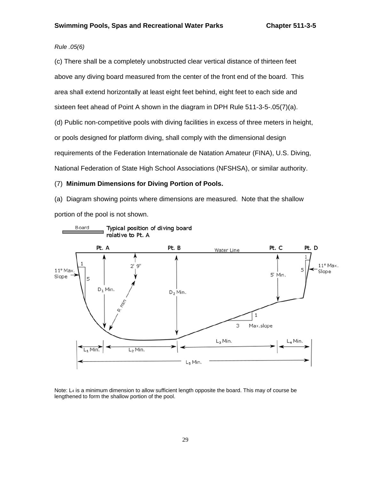# *Rule .05(6)*

(c) There shall be a completely unobstructed clear vertical distance of thirteen feet above any diving board measured from the center of the front end of the board. This area shall extend horizontally at least eight feet behind, eight feet to each side and sixteen feet ahead of Point A shown in the diagram in DPH Rule 511-3-5-.05(7)(a). (d) Public non-competitive pools with diving facilities in excess of three meters in height, or pools designed for platform diving, shall comply with the dimensional design requirements of the Federation Internationale de Natation Amateur (FINA), U.S. Diving, National Federation of State High School Associations (NFSHSA), or similar authority.

#### (7) **Minimum Dimensions for Diving Portion of Pools.**

(a) Diagram showing points where dimensions are measured. Note that the shallow portion of the pool is not shown.



Note: L<sub>4</sub> is a minimum dimension to allow sufficient length opposite the board. This may of course be lengthened to form the shallow portion of the pool.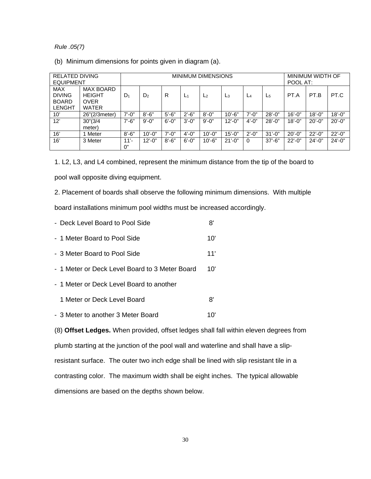#### *Rule .05(7)*

(b) Minimum dimensions for points given in diagram (a).

| <b>RELATED DIVING</b><br><b>EQUIPMENT</b>                    |                                                                  | <b>MINIMUM DIMENSIONS</b> |                |            |                |                |             | MINIMUM WIDTH OF<br>POOL AT: |             |             |             |             |
|--------------------------------------------------------------|------------------------------------------------------------------|---------------------------|----------------|------------|----------------|----------------|-------------|------------------------------|-------------|-------------|-------------|-------------|
| <b>MAX</b><br><b>DIVING</b><br><b>BOARD</b><br><b>LENGHT</b> | <b>MAX BOARD</b><br><b>HEIGHT</b><br><b>OVER</b><br><b>WATER</b> | D <sub>1</sub>            | D <sub>2</sub> | R          | L <sub>1</sub> | L <sub>2</sub> | LЗ          | $L_4$                        | $L_{5}$     | PT.A        | PT.B        | PT.C        |
| 10'                                                          | 26"(2/3meter)                                                    | $7' - 0''$                | $8' - 6"$      | $5'-6''$   | $2' - 6"$      | $8' - 0''$     | $10' - 6"$  | $7' - 0''$                   | $28' - 0''$ | $16' - 0''$ | $18' - 0''$ | $18' - 0''$ |
| 12'                                                          | 30''(3/4)<br>meter)                                              | $7' - 6''$                | $9' - 0''$     | $6' - 0''$ | $3' - 0''$     | $9' - 0''$     | $12' - 0''$ | $4' - 0''$                   | $28' - 0''$ | $18' - 0''$ | $20' - 0''$ | $20' - 0''$ |
| 16'                                                          | Meter                                                            | $8' - 6"$                 | $10' - 0''$    | $7' - 0''$ | $4' - 0''$     | $10' - 0''$    | $15' - 0''$ | $2' - 0''$                   | $31' - 0''$ | $20' - 0''$ | $22' - 0''$ | $22' - 0''$ |
| 16'                                                          | 3 Meter                                                          | $11' -$<br>0"             | $12' - 0''$    | $8' - 6''$ | $6' - 0''$     | $10' - 6"$     | $21' - 0''$ | $\Omega$                     | $37' - 6''$ | $22' - 0''$ | $24' - 0''$ | $24' - 0''$ |

1. L2, L3, and L4 combined, represent the minimum distance from the tip of the board to pool wall opposite diving equipment.

2. Placement of boards shall observe the following minimum dimensions. With multiple board installations minimum pool widths must be increased accordingly.

- Deck Level Board to Pool Side **8'** - 1 Meter Board to Pool Side 10'
- 3 Meter Board to Pool Side 11'
- 1 Meter or Deck Level Board to 3 Meter Board 10'
- 1 Meter or Deck Level Board to another
	- 1 Meter or Deck Level Board 8'
- 3 Meter to another 3 Meter Board 10'

(8) **Offset Ledges.** When provided, offset ledges shall fall within eleven degrees from plumb starting at the junction of the pool wall and waterline and shall have a slipresistant surface. The outer two inch edge shall be lined with slip resistant tile in a contrasting color. The maximum width shall be eight inches. The typical allowable dimensions are based on the depths shown below.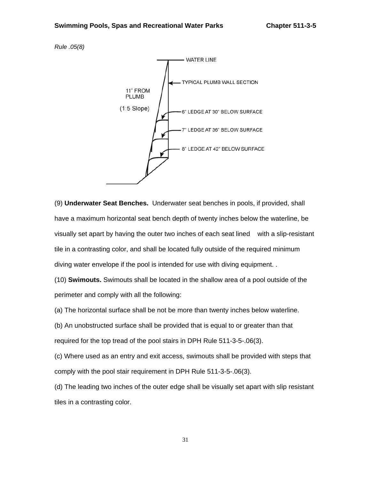*Rule .05(8)* 



(9) **Underwater Seat Benches.** Underwater seat benches in pools, if provided, shall have a maximum horizontal seat bench depth of twenty inches below the waterline, be visually set apart by having the outer two inches of each seat lined with a slip-resistant tile in a contrasting color, and shall be located fully outside of the required minimum diving water envelope if the pool is intended for use with diving equipment. .

(10) **Swimouts.** Swimouts shall be located in the shallow area of a pool outside of the perimeter and comply with all the following:

(a) The horizontal surface shall be not be more than twenty inches below waterline.

(b) An unobstructed surface shall be provided that is equal to or greater than that required for the top tread of the pool stairs in DPH Rule 511-3-5-.06(3).

(c) Where used as an entry and exit access, swimouts shall be provided with steps that comply with the pool stair requirement in DPH Rule 511-3-5-.06(3).

(d) The leading two inches of the outer edge shall be visually set apart with slip resistant tiles in a contrasting color.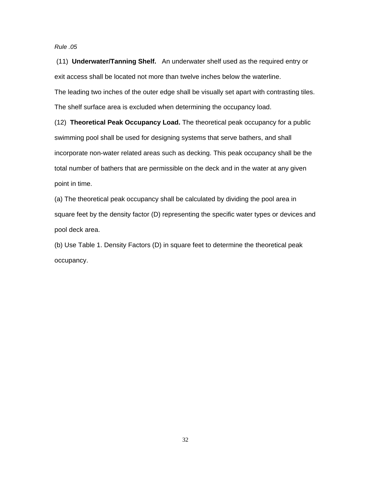*Rule .05* 

 (11) **Underwater/Tanning Shelf.** An underwater shelf used as the required entry or exit access shall be located not more than twelve inches below the waterline. The leading two inches of the outer edge shall be visually set apart with contrasting tiles.

The shelf surface area is excluded when determining the occupancy load.

(12) **Theoretical Peak Occupancy Load.** The theoretical peak occupancy for a public swimming pool shall be used for designing systems that serve bathers, and shall incorporate non-water related areas such as decking. This peak occupancy shall be the total number of bathers that are permissible on the deck and in the water at any given point in time.

(a) The theoretical peak occupancy shall be calculated by dividing the pool area in square feet by the density factor (D) representing the specific water types or devices and pool deck area.

(b) Use Table 1. Density Factors (D) in square feet to determine the theoretical peak occupancy.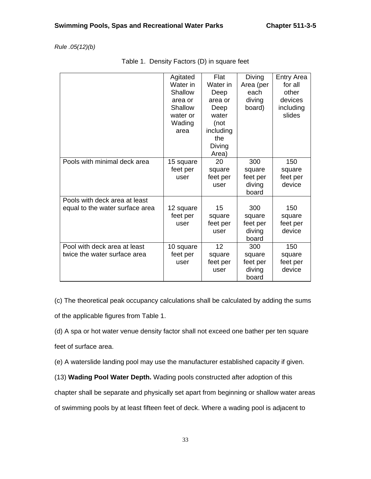*Rule .05(12)(b)*

|                                                                  | Agitated<br>Water in<br>Shallow<br>area or<br>Shallow<br>water or<br>Wading<br>area | Flat<br>Water in<br>Deep<br>area or<br>Deep<br>water<br>(not<br>including<br>the<br>Diving<br>Area) | Diving<br>Area (per<br>each<br>diving<br>board) | <b>Entry Area</b><br>for all<br>other<br>devices<br>including<br>slides |
|------------------------------------------------------------------|-------------------------------------------------------------------------------------|-----------------------------------------------------------------------------------------------------|-------------------------------------------------|-------------------------------------------------------------------------|
| Pools with minimal deck area                                     | 15 square<br>feet per<br>user                                                       | 20<br>square<br>feet per<br>user                                                                    | 300<br>square<br>feet per<br>diving<br>board    | 150<br>square<br>feet per<br>device                                     |
| Pools with deck area at least<br>equal to the water surface area | 12 square<br>feet per<br>user                                                       | 15<br>square<br>feet per<br>user                                                                    | 300<br>square<br>feet per<br>diving<br>board    | 150<br>square<br>feet per<br>device                                     |
| Pool with deck area at least<br>twice the water surface area     | 10 square<br>feet per<br>user                                                       | 12<br>square<br>feet per<br>user                                                                    | 300<br>square<br>feet per<br>diving<br>board    | 150<br>square<br>feet per<br>device                                     |

(c) The theoretical peak occupancy calculations shall be calculated by adding the sums of the applicable figures from Table 1.

(d) A spa or hot water venue density factor shall not exceed one bather per ten square feet of surface area.

(e) A waterslide landing pool may use the manufacturer established capacity if given.

(13) **Wading Pool Water Depth.** Wading pools constructed after adoption of this

chapter shall be separate and physically set apart from beginning or shallow water areas

of swimming pools by at least fifteen feet of deck. Where a wading pool is adjacent to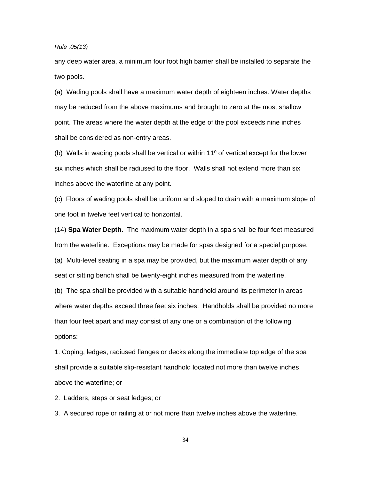*Rule .05(13)* 

any deep water area, a minimum four foot high barrier shall be installed to separate the two pools.

(a) Wading pools shall have a maximum water depth of eighteen inches. Water depths may be reduced from the above maximums and brought to zero at the most shallow point. The areas where the water depth at the edge of the pool exceeds nine inches shall be considered as non-entry areas.

(b) Walls in wading pools shall be vertical or within  $11^{\circ}$  of vertical except for the lower six inches which shall be radiused to the floor. Walls shall not extend more than six inches above the waterline at any point.

(c) Floors of wading pools shall be uniform and sloped to drain with a maximum slope of one foot in twelve feet vertical to horizontal.

(14) **Spa Water Depth.** The maximum water depth in a spa shall be four feet measured from the waterline. Exceptions may be made for spas designed for a special purpose.

(a) Multi-level seating in a spa may be provided, but the maximum water depth of any seat or sitting bench shall be twenty-eight inches measured from the waterline.

(b) The spa shall be provided with a suitable handhold around its perimeter in areas where water depths exceed three feet six inches. Handholds shall be provided no more than four feet apart and may consist of any one or a combination of the following options:

1. Coping, ledges, radiused flanges or decks along the immediate top edge of the spa shall provide a suitable slip-resistant handhold located not more than twelve inches above the waterline; or

2. Ladders, steps or seat ledges; or

3. A secured rope or railing at or not more than twelve inches above the waterline.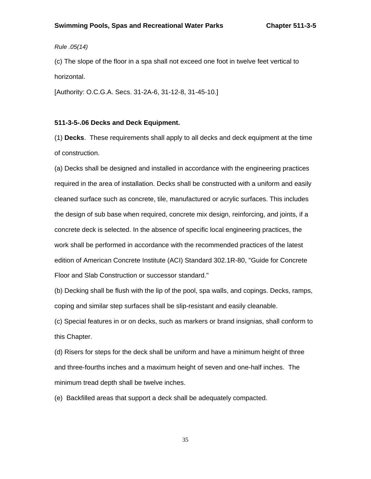*Rule .05(14)*

(c) The slope of the floor in a spa shall not exceed one foot in twelve feet vertical to horizontal.

[Authority: O.C.G.A. Secs. 31-2A-6, 31-12-8, 31-45-10.]

#### **511-3-5-.06 Decks and Deck Equipment.**

(1) **Decks**. These requirements shall apply to all decks and deck equipment at the time of construction.

(a) Decks shall be designed and installed in accordance with the engineering practices required in the area of installation. Decks shall be constructed with a uniform and easily cleaned surface such as concrete, tile, manufactured or acrylic surfaces. This includes the design of sub base when required, concrete mix design, reinforcing, and joints, if a concrete deck is selected. In the absence of specific local engineering practices, the work shall be performed in accordance with the recommended practices of the latest edition of American Concrete Institute (ACI) Standard 302.1R-80, "Guide for Concrete Floor and Slab Construction or successor standard."

(b) Decking shall be flush with the lip of the pool, spa walls, and copings. Decks, ramps, coping and similar step surfaces shall be slip-resistant and easily cleanable.

(c) Special features in or on decks, such as markers or brand insignias, shall conform to this Chapter.

(d) Risers for steps for the deck shall be uniform and have a minimum height of three and three-fourths inches and a maximum height of seven and one-half inches. The minimum tread depth shall be twelve inches.

(e) Backfilled areas that support a deck shall be adequately compacted.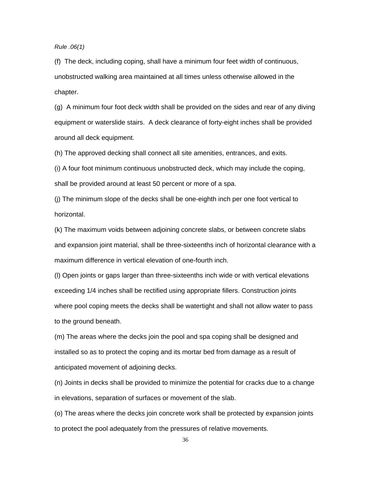*Rule .06(1)* 

(f) The deck, including coping, shall have a minimum four feet width of continuous, unobstructed walking area maintained at all times unless otherwise allowed in the chapter.

(g) A minimum four foot deck width shall be provided on the sides and rear of any diving equipment or waterslide stairs. A deck clearance of forty-eight inches shall be provided around all deck equipment.

(h) The approved decking shall connect all site amenities, entrances, and exits.

(i) A four foot minimum continuous unobstructed deck, which may include the coping, shall be provided around at least 50 percent or more of a spa.

(j) The minimum slope of the decks shall be one-eighth inch per one foot vertical to horizontal.

(k) The maximum voids between adjoining concrete slabs, or between concrete slabs and expansion joint material, shall be three-sixteenths inch of horizontal clearance with a maximum difference in vertical elevation of one-fourth inch.

(l) Open joints or gaps larger than three-sixteenths inch wide or with vertical elevations exceeding 1/4 inches shall be rectified using appropriate fillers. Construction joints where pool coping meets the decks shall be watertight and shall not allow water to pass to the ground beneath.

(m) The areas where the decks join the pool and spa coping shall be designed and installed so as to protect the coping and its mortar bed from damage as a result of anticipated movement of adjoining decks.

(n) Joints in decks shall be provided to minimize the potential for cracks due to a change in elevations, separation of surfaces or movement of the slab.

(o) The areas where the decks join concrete work shall be protected by expansion joints to protect the pool adequately from the pressures of relative movements.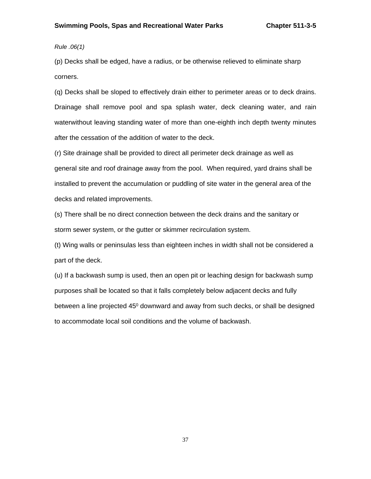*Rule .06(1)* 

(p) Decks shall be edged, have a radius, or be otherwise relieved to eliminate sharp corners.

(q) Decks shall be sloped to effectively drain either to perimeter areas or to deck drains. Drainage shall remove pool and spa splash water, deck cleaning water, and rain waterwithout leaving standing water of more than one-eighth inch depth twenty minutes after the cessation of the addition of water to the deck.

(r) Site drainage shall be provided to direct all perimeter deck drainage as well as general site and roof drainage away from the pool. When required, yard drains shall be installed to prevent the accumulation or puddling of site water in the general area of the decks and related improvements.

(s) There shall be no direct connection between the deck drains and the sanitary or storm sewer system, or the gutter or skimmer recirculation system.

(t) Wing walls or peninsulas less than eighteen inches in width shall not be considered a part of the deck.

(u) If a backwash sump is used, then an open pit or leaching design for backwash sump purposes shall be located so that it falls completely below adjacent decks and fully between a line projected  $45^{\circ}$  downward and away from such decks, or shall be designed to accommodate local soil conditions and the volume of backwash.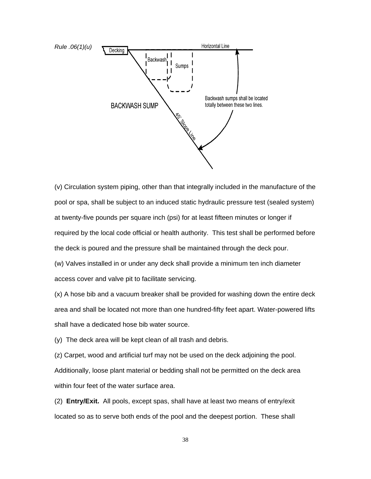

(v) Circulation system piping, other than that integrally included in the manufacture of the pool or spa, shall be subject to an induced static hydraulic pressure test (sealed system) at twenty-five pounds per square inch (psi) for at least fifteen minutes or longer if required by the local code official or health authority. This test shall be performed before the deck is poured and the pressure shall be maintained through the deck pour.

(w) Valves installed in or under any deck shall provide a minimum ten inch diameter access cover and valve pit to facilitate servicing.

(x) A hose bib and a vacuum breaker shall be provided for washing down the entire deck area and shall be located not more than one hundred-fifty feet apart. Water-powered lifts shall have a dedicated hose bib water source.

(y) The deck area will be kept clean of all trash and debris.

(z) Carpet, wood and artificial turf may not be used on the deck adjoining the pool. Additionally, loose plant material or bedding shall not be permitted on the deck area within four feet of the water surface area.

(2) **Entry/Exit.** All pools, except spas, shall have at least two means of entry/exit located so as to serve both ends of the pool and the deepest portion. These shall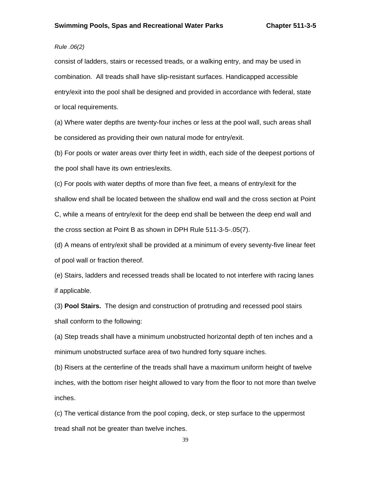# *Rule .06(2)*

consist of ladders, stairs or recessed treads, or a walking entry, and may be used in combination. All treads shall have slip-resistant surfaces. Handicapped accessible entry/exit into the pool shall be designed and provided in accordance with federal, state or local requirements.

(a) Where water depths are twenty-four inches or less at the pool wall, such areas shall be considered as providing their own natural mode for entry/exit.

(b) For pools or water areas over thirty feet in width, each side of the deepest portions of the pool shall have its own entries/exits.

(c) For pools with water depths of more than five feet, a means of entry/exit for the shallow end shall be located between the shallow end wall and the cross section at Point C, while a means of entry/exit for the deep end shall be between the deep end wall and the cross section at Point B as shown in DPH Rule 511-3-5-.05(7).

(d) A means of entry/exit shall be provided at a minimum of every seventy-five linear feet of pool wall or fraction thereof.

(e) Stairs, ladders and recessed treads shall be located to not interfere with racing lanes if applicable.

(3) **Pool Stairs.** The design and construction of protruding and recessed pool stairs shall conform to the following:

(a) Step treads shall have a minimum unobstructed horizontal depth of ten inches and a minimum unobstructed surface area of two hundred forty square inches.

(b) Risers at the centerline of the treads shall have a maximum uniform height of twelve inches, with the bottom riser height allowed to vary from the floor to not more than twelve inches.

(c) The vertical distance from the pool coping, deck, or step surface to the uppermost tread shall not be greater than twelve inches.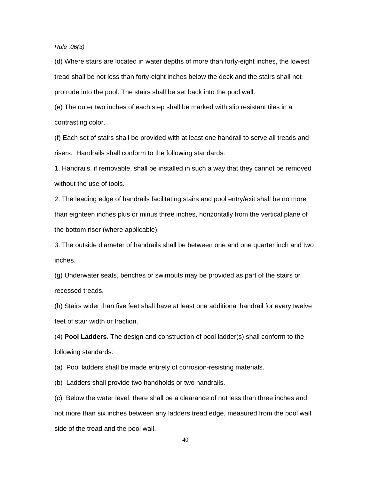### *Rule .06(3)*

(d) Where stairs are located in water depths of more than forty-eight inches, the lowest tread shall be not less than forty-eight inches below the deck and the stairs shall not protrude into the pool. The stairs shall be set back into the pool wall.

(e) The outer two inches of each step shall be marked with slip resistant tiles in a contrasting color.

(f) Each set of stairs shall be provided with at least one handrail to serve all treads and risers. Handrails shall conform to the following standards:

1. Handrails, if removable, shall be installed in such a way that they cannot be removed without the use of tools.

2. The leading edge of handrails facilitating stairs and pool entry/exit shall be no more than eighteen inches plus or minus three inches, horizontally from the vertical plane of the bottom riser (where applicable).

3. The outside diameter of handrails shall be between one and one quarter inch and two inches.

(g) Underwater seats, benches or swimouts may be provided as part of the stairs or recessed treads.

(h) Stairs wider than five feet shall have at least one additional handrail for every twelve feet of stair width or fraction.

(4) **Pool Ladders.** The design and construction of pool ladder(s) shall conform to the following standards:

(a) Pool ladders shall be made entirely of corrosion-resisting materials.

(b) Ladders shall provide two handholds or two handrails.

(c) Below the water level, there shall be a clearance of not less than three inches and not more than six inches between any ladders tread edge, measured from the pool wall side of the tread and the pool wall.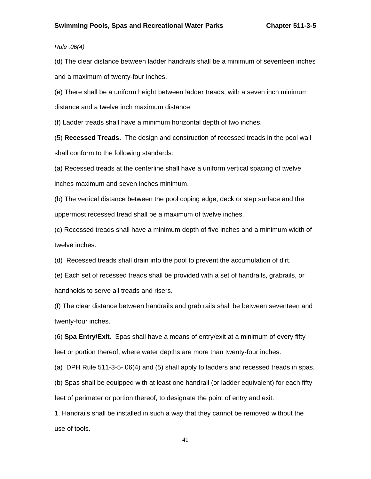*Rule .06(4)* 

(d) The clear distance between ladder handrails shall be a minimum of seventeen inches and a maximum of twenty-four inches.

(e) There shall be a uniform height between ladder treads, with a seven inch minimum distance and a twelve inch maximum distance.

(f) Ladder treads shall have a minimum horizontal depth of two inches.

(5) **Recessed Treads.** The design and construction of recessed treads in the pool wall shall conform to the following standards:

(a) Recessed treads at the centerline shall have a uniform vertical spacing of twelve inches maximum and seven inches minimum.

(b) The vertical distance between the pool coping edge, deck or step surface and the uppermost recessed tread shall be a maximum of twelve inches.

(c) Recessed treads shall have a minimum depth of five inches and a minimum width of twelve inches.

(d) Recessed treads shall drain into the pool to prevent the accumulation of dirt.

(e) Each set of recessed treads shall be provided with a set of handrails, grabrails, or handholds to serve all treads and risers.

(f) The clear distance between handrails and grab rails shall be between seventeen and twenty-four inches.

(6) **Spa Entry/Exit.** Spas shall have a means of entry/exit at a minimum of every fifty feet or portion thereof, where water depths are more than twenty-four inches.

(a) DPH Rule 511-3-5-.06(4) and (5) shall apply to ladders and recessed treads in spas.

(b) Spas shall be equipped with at least one handrail (or ladder equivalent) for each fifty feet of perimeter or portion thereof, to designate the point of entry and exit.

1. Handrails shall be installed in such a way that they cannot be removed without the use of tools.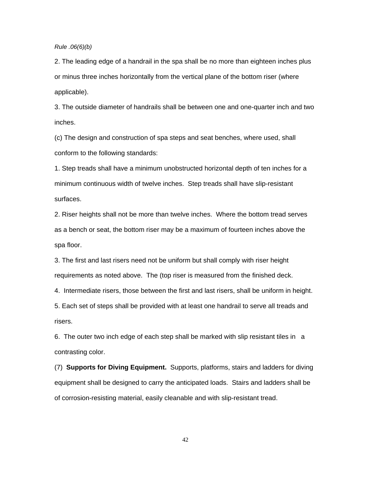#### *Rule .06(6)(b)*

2. The leading edge of a handrail in the spa shall be no more than eighteen inches plus or minus three inches horizontally from the vertical plane of the bottom riser (where applicable).

3. The outside diameter of handrails shall be between one and one-quarter inch and two inches.

(c) The design and construction of spa steps and seat benches, where used, shall conform to the following standards:

1. Step treads shall have a minimum unobstructed horizontal depth of ten inches for a minimum continuous width of twelve inches. Step treads shall have slip-resistant surfaces.

2. Riser heights shall not be more than twelve inches. Where the bottom tread serves as a bench or seat, the bottom riser may be a maximum of fourteen inches above the spa floor.

3. The first and last risers need not be uniform but shall comply with riser height requirements as noted above. The (top riser is measured from the finished deck.

4. Intermediate risers, those between the first and last risers, shall be uniform in height.

5. Each set of steps shall be provided with at least one handrail to serve all treads and risers.

6. The outer two inch edge of each step shall be marked with slip resistant tiles in a contrasting color.

(7) **Supports for Diving Equipment.** Supports, platforms, stairs and ladders for diving equipment shall be designed to carry the anticipated loads. Stairs and ladders shall be of corrosion-resisting material, easily cleanable and with slip-resistant tread.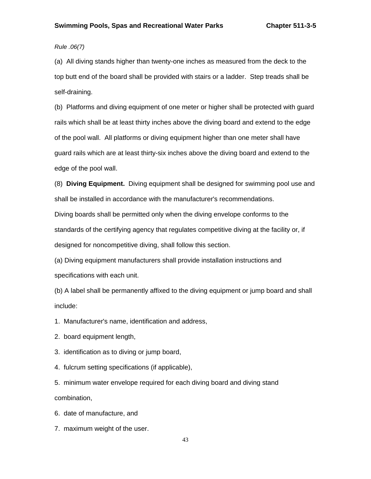# *Rule .06(7)*

(a) All diving stands higher than twenty-one inches as measured from the deck to the top butt end of the board shall be provided with stairs or a ladder. Step treads shall be self-draining.

(b) Platforms and diving equipment of one meter or higher shall be protected with guard rails which shall be at least thirty inches above the diving board and extend to the edge of the pool wall. All platforms or diving equipment higher than one meter shall have guard rails which are at least thirty-six inches above the diving board and extend to the edge of the pool wall.

(8) **Diving Equipment.** Diving equipment shall be designed for swimming pool use and shall be installed in accordance with the manufacturer's recommendations.

Diving boards shall be permitted only when the diving envelope conforms to the standards of the certifying agency that regulates competitive diving at the facility or, if designed for noncompetitive diving, shall follow this section.

(a) Diving equipment manufacturers shall provide installation instructions and specifications with each unit.

(b) A label shall be permanently affixed to the diving equipment or jump board and shall include:

1. Manufacturer's name, identification and address,

- 2. board equipment length,
- 3. identification as to diving or jump board,
- 4. fulcrum setting specifications (if applicable),

5. minimum water envelope required for each diving board and diving stand combination,

- 6. date of manufacture, and
- 7. maximum weight of the user.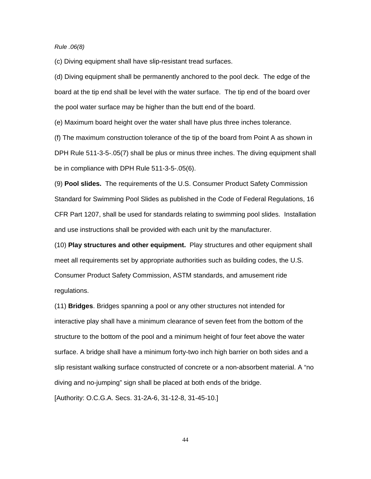*Rule .06(8)*

(c) Diving equipment shall have slip-resistant tread surfaces.

(d) Diving equipment shall be permanently anchored to the pool deck. The edge of the board at the tip end shall be level with the water surface. The tip end of the board over the pool water surface may be higher than the butt end of the board.

(e) Maximum board height over the water shall have plus three inches tolerance.

(f) The maximum construction tolerance of the tip of the board from Point A as shown in DPH Rule 511-3-5-.05(7) shall be plus or minus three inches. The diving equipment shall be in compliance with DPH Rule 511-3-5-.05(6).

(9) **Pool slides.** The requirements of the U.S. Consumer Product Safety Commission Standard for Swimming Pool Slides as published in the Code of Federal Regulations, 16 CFR Part 1207, shall be used for standards relating to swimming pool slides. Installation and use instructions shall be provided with each unit by the manufacturer.

(10) **Play structures and other equipment.** Play structures and other equipment shall meet all requirements set by appropriate authorities such as building codes, the U.S. Consumer Product Safety Commission, ASTM standards, and amusement ride regulations.

(11) **Bridges**. Bridges spanning a pool or any other structures not intended for interactive play shall have a minimum clearance of seven feet from the bottom of the structure to the bottom of the pool and a minimum height of four feet above the water surface. A bridge shall have a minimum forty-two inch high barrier on both sides and a slip resistant walking surface constructed of concrete or a non-absorbent material. A "no diving and no-jumping" sign shall be placed at both ends of the bridge.

[Authority: O.C.G.A. Secs. 31-2A-6, 31-12-8, 31-45-10.]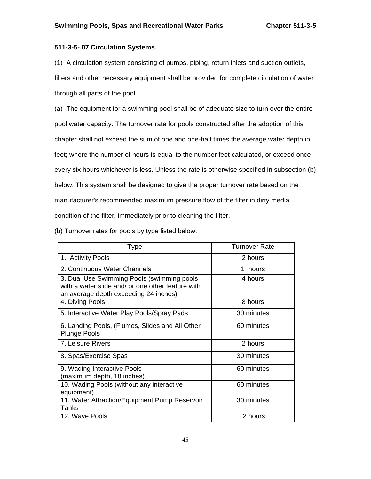# **511-3-5-.07 Circulation Systems.**

(1) A circulation system consisting of pumps, piping, return inlets and suction outlets, filters and other necessary equipment shall be provided for complete circulation of water through all parts of the pool.

(a) The equipment for a swimming pool shall be of adequate size to turn over the entire pool water capacity. The turnover rate for pools constructed after the adoption of this chapter shall not exceed the sum of one and one-half times the average water depth in feet; where the number of hours is equal to the number feet calculated, or exceed once every six hours whichever is less. Unless the rate is otherwise specified in subsection (b) below. This system shall be designed to give the proper turnover rate based on the manufacturer's recommended maximum pressure flow of the filter in dirty media condition of the filter, immediately prior to cleaning the filter.

(b) Turnover rates for pools by type listed below:

| <b>Type</b>                                                                                                                              | Turnover Rate |
|------------------------------------------------------------------------------------------------------------------------------------------|---------------|
| 1. Activity Pools                                                                                                                        | 2 hours       |
| 2. Continuous Water Channels                                                                                                             | 1 hours       |
| 3. Dual Use Swimming Pools (swimming pools<br>with a water slide and/ or one other feature with<br>an average depth exceeding 24 inches) | 4 hours       |
| 4. Diving Pools                                                                                                                          | 8 hours       |
| 5. Interactive Water Play Pools/Spray Pads                                                                                               | 30 minutes    |
| 6. Landing Pools, (Flumes, Slides and All Other<br><b>Plunge Pools</b>                                                                   | 60 minutes    |
| 7. Leisure Rivers                                                                                                                        | 2 hours       |
| 8. Spas/Exercise Spas                                                                                                                    | 30 minutes    |
| 9. Wading Interactive Pools<br>(maximum depth, 18 inches)                                                                                | 60 minutes    |
| 10. Wading Pools (without any interactive<br>equipment)                                                                                  | 60 minutes    |
| 11. Water Attraction/Equipment Pump Reservoir<br>Tanks                                                                                   | 30 minutes    |
| 12. Wave Pools                                                                                                                           | 2 hours       |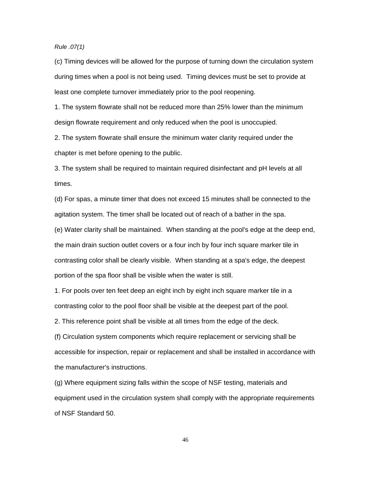*Rule .07(1)* 

(c) Timing devices will be allowed for the purpose of turning down the circulation system during times when a pool is not being used. Timing devices must be set to provide at least one complete turnover immediately prior to the pool reopening.

1. The system flowrate shall not be reduced more than 25% lower than the minimum design flowrate requirement and only reduced when the pool is unoccupied.

2. The system flowrate shall ensure the minimum water clarity required under the chapter is met before opening to the public.

3. The system shall be required to maintain required disinfectant and pH levels at all times.

(d) For spas, a minute timer that does not exceed 15 minutes shall be connected to the agitation system. The timer shall be located out of reach of a bather in the spa. (e) Water clarity shall be maintained. When standing at the pool's edge at the deep end, the main drain suction outlet covers or a four inch by four inch square marker tile in contrasting color shall be clearly visible. When standing at a spa's edge, the deepest portion of the spa floor shall be visible when the water is still.

1. For pools over ten feet deep an eight inch by eight inch square marker tile in a contrasting color to the pool floor shall be visible at the deepest part of the pool.

2. This reference point shall be visible at all times from the edge of the deck.

(f) Circulation system components which require replacement or servicing shall be accessible for inspection, repair or replacement and shall be installed in accordance with the manufacturer's instructions.

(g) Where equipment sizing falls within the scope of NSF testing, materials and equipment used in the circulation system shall comply with the appropriate requirements of NSF Standard 50.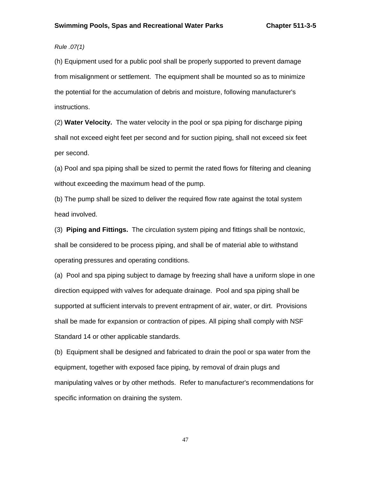# *Rule .07(1)*

(h) Equipment used for a public pool shall be properly supported to prevent damage from misalignment or settlement. The equipment shall be mounted so as to minimize the potential for the accumulation of debris and moisture, following manufacturer's instructions.

(2) **Water Velocity.** The water velocity in the pool or spa piping for discharge piping shall not exceed eight feet per second and for suction piping, shall not exceed six feet per second.

(a) Pool and spa piping shall be sized to permit the rated flows for filtering and cleaning without exceeding the maximum head of the pump.

(b) The pump shall be sized to deliver the required flow rate against the total system head involved.

(3) **Piping and Fittings.** The circulation system piping and fittings shall be nontoxic, shall be considered to be process piping, and shall be of material able to withstand operating pressures and operating conditions.

(a) Pool and spa piping subject to damage by freezing shall have a uniform slope in one direction equipped with valves for adequate drainage. Pool and spa piping shall be supported at sufficient intervals to prevent entrapment of air, water, or dirt. Provisions shall be made for expansion or contraction of pipes. All piping shall comply with NSF Standard 14 or other applicable standards.

(b) Equipment shall be designed and fabricated to drain the pool or spa water from the equipment, together with exposed face piping, by removal of drain plugs and manipulating valves or by other methods. Refer to manufacturer's recommendations for specific information on draining the system.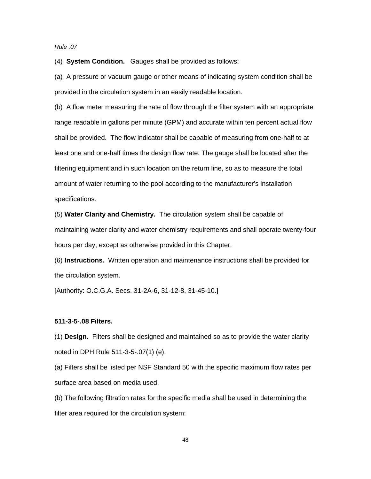### *Rule .07*

(4) **System Condition.** Gauges shall be provided as follows:

(a) A pressure or vacuum gauge or other means of indicating system condition shall be provided in the circulation system in an easily readable location.

(b) A flow meter measuring the rate of flow through the filter system with an appropriate range readable in gallons per minute (GPM) and accurate within ten percent actual flow shall be provided.The flow indicator shall be capable of measuring from one-half to at least one and one-half times the design flow rate. The gauge shall be located after the filtering equipment and in such location on the return line, so as to measure the total amount of water returning to the pool according to the manufacturer's installation specifications.

(5) **Water Clarity and Chemistry.** The circulation system shall be capable of maintaining water clarity and water chemistry requirements and shall operate twenty-four hours per day, except as otherwise provided in this Chapter.

(6) **Instructions.** Written operation and maintenance instructions shall be provided for the circulation system.

[Authority: O.C.G.A. Secs. 31-2A-6, 31-12-8, 31-45-10.]

### **511-3-5-.08 Filters.**

(1) **Design.** Filters shall be designed and maintained so as to provide the water clarity noted in DPH Rule 511-3-5-.07(1) (e).

(a) Filters shall be listed per NSF Standard 50 with the specific maximum flow rates per surface area based on media used.

(b) The following filtration rates for the specific media shall be used in determining the filter area required for the circulation system: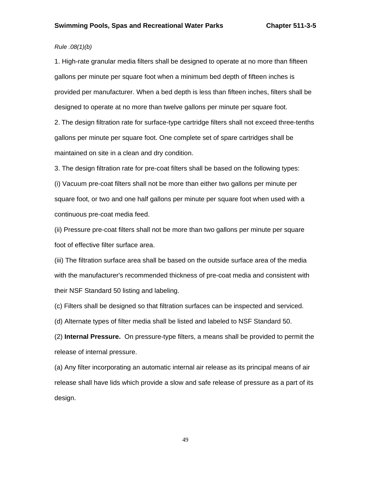# *Rule .08(1)(b)*

1. High-rate granular media filters shall be designed to operate at no more than fifteen gallons per minute per square foot when a minimum bed depth of fifteen inches is provided per manufacturer. When a bed depth is less than fifteen inches, filters shall be designed to operate at no more than twelve gallons per minute per square foot.

2. The design filtration rate for surface-type cartridge filters shall not exceed three-tenths gallons per minute per square foot. One complete set of spare cartridges shall be maintained on site in a clean and dry condition.

3. The design filtration rate for pre-coat filters shall be based on the following types:

(i) Vacuum pre-coat filters shall not be more than either two gallons per minute per square foot, or two and one half gallons per minute per square foot when used with a continuous pre-coat media feed.

(ii) Pressure pre-coat filters shall not be more than two gallons per minute per square foot of effective filter surface area.

(iii) The filtration surface area shall be based on the outside surface area of the media with the manufacturer's recommended thickness of pre-coat media and consistent with their NSF Standard 50 listing and labeling.

(c) Filters shall be designed so that filtration surfaces can be inspected and serviced.

(d) Alternate types of filter media shall be listed and labeled to NSF Standard 50.

(2) **Internal Pressure.** On pressure-type filters, a means shall be provided to permit the release of internal pressure.

(a) Any filter incorporating an automatic internal air release as its principal means of air release shall have lids which provide a slow and safe release of pressure as a part of its design.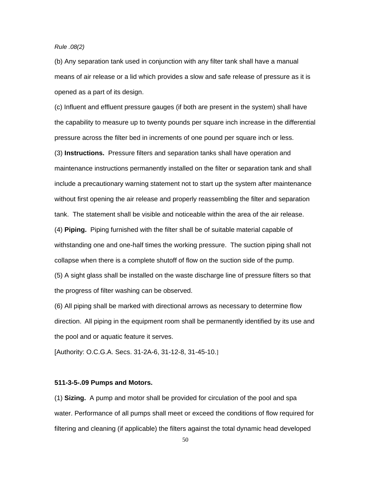## *Rule .08(2)*

(b) Any separation tank used in conjunction with any filter tank shall have a manual means of air release or a lid which provides a slow and safe release of pressure as it is opened as a part of its design.

(c) Influent and effluent pressure gauges (if both are present in the system) shall have the capability to measure up to twenty pounds per square inch increase in the differential pressure across the filter bed in increments of one pound per square inch or less. (3) **Instructions.** Pressure filters and separation tanks shall have operation and maintenance instructions permanently installed on the filter or separation tank and shall include a precautionary warning statement not to start up the system after maintenance without first opening the air release and properly reassembling the filter and separation tank. The statement shall be visible and noticeable within the area of the air release. (4) **Piping.** Piping furnished with the filter shall be of suitable material capable of withstanding one and one-half times the working pressure. The suction piping shall not collapse when there is a complete shutoff of flow on the suction side of the pump. (5) A sight glass shall be installed on the waste discharge line of pressure filters so that the progress of filter washing can be observed.

(6) All piping shall be marked with directional arrows as necessary to determine flow direction. All piping in the equipment room shall be permanently identified by its use and the pool and or aquatic feature it serves.

[Authority: O.C.G.A. Secs. 31-2A-6, 31-12-8, 31-45-10.]

### **511-3-5-.09 Pumps and Motors.**

(1) **Sizing.** A pump and motor shall be provided for circulation of the pool and spa water. Performance of all pumps shall meet or exceed the conditions of flow required for filtering and cleaning (if applicable) the filters against the total dynamic head developed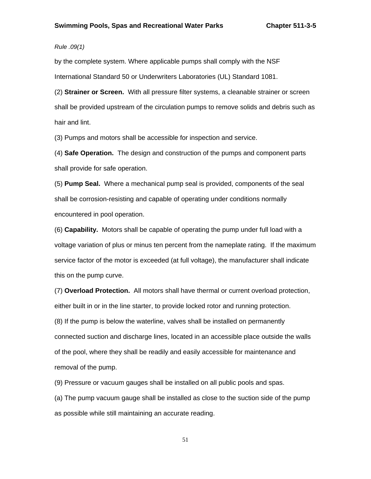# *Rule .09(1)*

by the complete system. Where applicable pumps shall comply with the NSF International Standard 50 or Underwriters Laboratories (UL) Standard 1081.

(2) **Strainer or Screen.** With all pressure filter systems, a cleanable strainer or screen shall be provided upstream of the circulation pumps to remove solids and debris such as hair and lint.

(3) Pumps and motors shall be accessible for inspection and service.

(4) **Safe Operation.** The design and construction of the pumps and component parts shall provide for safe operation.

(5) **Pump Seal.** Where a mechanical pump seal is provided, components of the seal shall be corrosion-resisting and capable of operating under conditions normally encountered in pool operation.

(6) **Capability.** Motors shall be capable of operating the pump under full load with a voltage variation of plus or minus ten percent from the nameplate rating. If the maximum service factor of the motor is exceeded (at full voltage), the manufacturer shall indicate this on the pump curve.

(7) **Overload Protection.** All motors shall have thermal or current overload protection, either built in or in the line starter, to provide locked rotor and running protection. (8) If the pump is below the waterline, valves shall be installed on permanently connected suction and discharge lines, located in an accessible place outside the walls of the pool, where they shall be readily and easily accessible for maintenance and removal of the pump.

(9) Pressure or vacuum gauges shall be installed on all public pools and spas.

(a) The pump vacuum gauge shall be installed as close to the suction side of the pump as possible while still maintaining an accurate reading.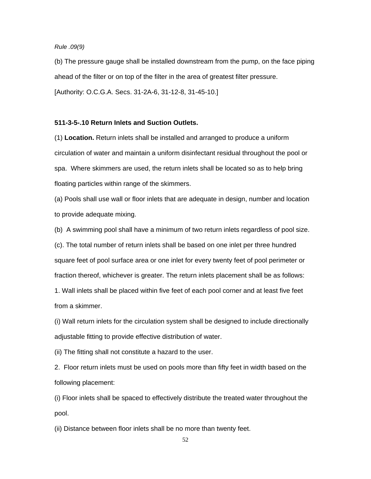#### *Rule .09(9)*

(b) The pressure gauge shall be installed downstream from the pump, on the face piping ahead of the filter or on top of the filter in the area of greatest filter pressure. [Authority: O.C.G.A. Secs. 31-2A-6, 31-12-8, 31-45-10.]

### **511-3-5-.10 Return Inlets and Suction Outlets.**

(1) **Location.** Return inlets shall be installed and arranged to produce a uniform circulation of water and maintain a uniform disinfectant residual throughout the pool or spa. Where skimmers are used, the return inlets shall be located so as to help bring floating particles within range of the skimmers.

(a) Pools shall use wall or floor inlets that are adequate in design, number and location to provide adequate mixing.

(b) A swimming pool shall have a minimum of two return inlets regardless of pool size.

(c). The total number of return inlets shall be based on one inlet per three hundred square feet of pool surface area or one inlet for every twenty feet of pool perimeter or fraction thereof, whichever is greater. The return inlets placement shall be as follows: 1. Wall inlets shall be placed within five feet of each pool corner and at least five feet from a skimmer.

(i) Wall return inlets for the circulation system shall be designed to include directionally adjustable fitting to provide effective distribution of water.

(ii) The fitting shall not constitute a hazard to the user.

2. Floor return inlets must be used on pools more than fifty feet in width based on the following placement:

(i) Floor inlets shall be spaced to effectively distribute the treated water throughout the pool.

(ii) Distance between floor inlets shall be no more than twenty feet.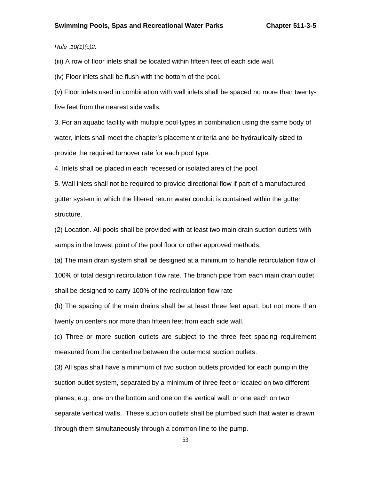## *Rule .10(1)(c)2.*

(iii) A row of floor inlets shall be located within fifteen feet of each side wall.

(iv) Floor inlets shall be flush with the bottom of the pool.

(v) Floor inlets used in combination with wall inlets shall be spaced no more than twentyfive feet from the nearest side walls.

3. For an aquatic facility with multiple pool types in combination using the same body of water, inlets shall meet the chapter's placement criteria and be hydraulically sized to provide the required turnover rate for each pool type.

4. Inlets shall be placed in each recessed or isolated area of the pool.

5. Wall inlets shall not be required to provide directional flow if part of a manufactured gutter system in which the filtered return water conduit is contained within the gutter structure.

(2) Location. All pools shall be provided with at least two main drain suction outlets with sumps in the lowest point of the pool floor or other approved methods.

(a) The main drain system shall be designed at a minimum to handle recirculation flow of 100% of total design recirculation flow rate. The branch pipe from each main drain outlet shall be designed to carry 100% of the recirculation flow rate

(b) The spacing of the main drains shall be at least three feet apart, but not more than twenty on centers nor more than fifteen feet from each side wall.

(c) Three or more suction outlets are subject to the three feet spacing requirement measured from the centerline between the outermost suction outlets.

(3) All spas shall have a minimum of two suction outlets provided for each pump in the suction outlet system, separated by a minimum of three feet or located on two different planes; e.g., one on the bottom and one on the vertical wall, or one each on two separate vertical walls. These suction outlets shall be plumbed such that water is drawn through them simultaneously through a common line to the pump.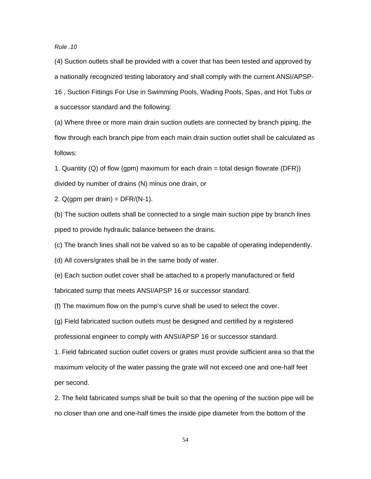### *Rule .10*

(4) Suction outlets shall be provided with a cover that has been tested and approved by a nationally recognized testing laboratory and shall comply with the current ANSI/APSP-16 , Suction Fittings For Use in Swimming Pools, Wading Pools, Spas, and Hot Tubs or a successor standard and the following:

(a) Where three or more main drain suction outlets are connected by branch piping, the flow through each branch pipe from each main drain suction outlet shall be calculated as follows:

1. Quantity (Q) of flow (gpm) maximum for each drain  $=$  total design flowrate (DFR)) divided by number of drains (N) minus one drain, or

2.  $Q(qpm$  per drain) = DFR/(N-1).

(b) The suction outlets shall be connected to a single main suction pipe by branch lines piped to provide hydraulic balance between the drains.

(c) The branch lines shall not be valved so as to be capable of operating independently.

(d) All covers/grates shall be in the same body of water.

(e) Each suction outlet cover shall be attached to a properly manufactured or field fabricated sump that meets ANSI/APSP 16 or successor standard.

(f) The maximum flow on the pump's curve shall be used to select the cover.

(g) Field fabricated suction outlets must be designed and certified by a registered professional engineer to comply with ANSI/APSP 16 or successor standard.

1. Field fabricated suction outlet covers or grates must provide sufficient area so that the maximum velocity of the water passing the grate will not exceed one and one-half feet per second.

2. The field fabricated sumps shall be built so that the opening of the suction pipe will be no closer than one and one-half times the inside pipe diameter from the bottom of the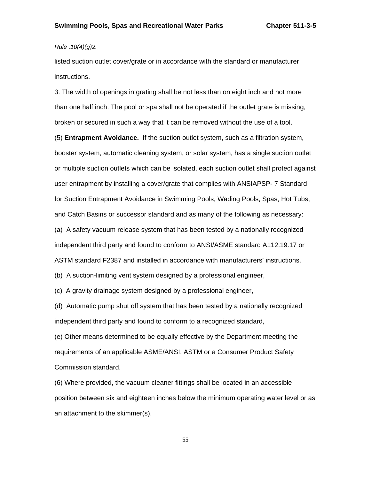## *Rule .10(4)(g)2.*

listed suction outlet cover/grate or in accordance with the standard or manufacturer instructions.

3. The width of openings in grating shall be not less than on eight inch and not more than one half inch. The pool or spa shall not be operated if the outlet grate is missing, broken or secured in such a way that it can be removed without the use of a tool.

(5) **Entrapment Avoidance.** If the suction outlet system, such as a filtration system, booster system, automatic cleaning system, or solar system, has a single suction outlet or multiple suction outlets which can be isolated, each suction outlet shall protect against user entrapment by installing a cover/grate that complies with ANSIAPSP- 7 Standard for Suction Entrapment Avoidance in Swimming Pools, Wading Pools, Spas, Hot Tubs, and Catch Basins or successor standard and as many of the following as necessary: (a) A safety vacuum release system that has been tested by a nationally recognized independent third party and found to conform to ANSI/ASME standard A112.19.17 or ASTM standard F2387 and installed in accordance with manufacturers' instructions.

(b) A suction-limiting vent system designed by a professional engineer,

(c) A gravity drainage system designed by a professional engineer,

(d) Automatic pump shut off system that has been tested by a nationally recognized independent third party and found to conform to a recognized standard,

(e) Other means determined to be equally effective by the Department meeting the requirements of an applicable ASME/ANSI, ASTM or a Consumer Product Safety Commission standard.

(6) Where provided, the vacuum cleaner fittings shall be located in an accessible position between six and eighteen inches below the minimum operating water level or as an attachment to the skimmer(s).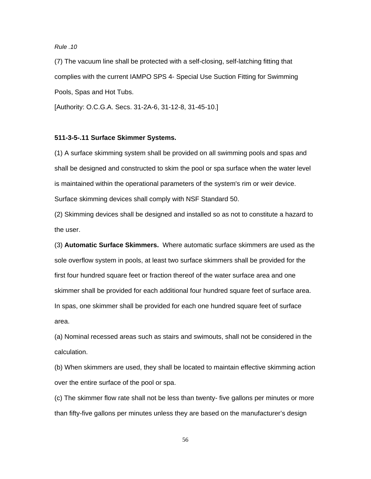## *Rule .10*

(7) The vacuum line shall be protected with a self-closing, self-latching fitting that complies with the current IAMPO SPS 4- Special Use Suction Fitting for Swimming Pools, Spas and Hot Tubs.

[Authority: O.C.G.A. Secs. 31-2A-6, 31-12-8, 31-45-10.]

### **511-3-5-.11 Surface Skimmer Systems.**

(1) A surface skimming system shall be provided on all swimming pools and spas and shall be designed and constructed to skim the pool or spa surface when the water level is maintained within the operational parameters of the system's rim or weir device. Surface skimming devices shall comply with NSF Standard 50.

(2) Skimming devices shall be designed and installed so as not to constitute a hazard to the user.

(3) **Automatic Surface Skimmers.** Where automatic surface skimmers are used as the sole overflow system in pools, at least two surface skimmers shall be provided for the first four hundred square feet or fraction thereof of the water surface area and one skimmer shall be provided for each additional four hundred square feet of surface area. In spas, one skimmer shall be provided for each one hundred square feet of surface area.

(a) Nominal recessed areas such as stairs and swimouts, shall not be considered in the calculation.

(b) When skimmers are used, they shall be located to maintain effective skimming action over the entire surface of the pool or spa.

(c) The skimmer flow rate shall not be less than twenty- five gallons per minutes or more than fifty-five gallons per minutes unless they are based on the manufacturer's design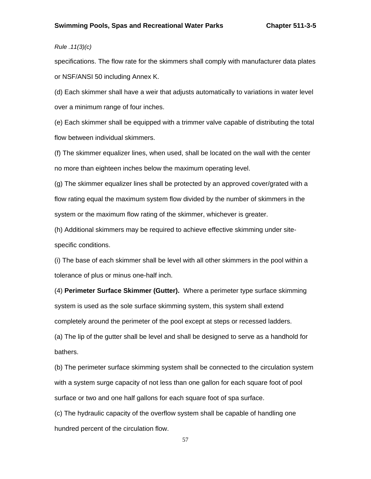# *Rule .11(3)(c)*

specifications. The flow rate for the skimmers shall comply with manufacturer data plates or NSF/ANSI 50 including Annex K.

(d) Each skimmer shall have a weir that adjusts automatically to variations in water level over a minimum range of four inches.

(e) Each skimmer shall be equipped with a trimmer valve capable of distributing the total flow between individual skimmers.

(f) The skimmer equalizer lines, when used, shall be located on the wall with the center no more than eighteen inches below the maximum operating level.

(g) The skimmer equalizer lines shall be protected by an approved cover/grated with a flow rating equal the maximum system flow divided by the number of skimmers in the system or the maximum flow rating of the skimmer, whichever is greater.

(h) Additional skimmers may be required to achieve effective skimming under sitespecific conditions.

(i) The base of each skimmer shall be level with all other skimmers in the pool within a tolerance of plus or minus one-half inch.

(4) **Perimeter Surface Skimmer (Gutter).** Where a perimeter type surface skimming system is used as the sole surface skimming system, this system shall extend completely around the perimeter of the pool except at steps or recessed ladders. (a) The lip of the gutter shall be level and shall be designed to serve as a handhold for

bathers.

(b) The perimeter surface skimming system shall be connected to the circulation system with a system surge capacity of not less than one gallon for each square foot of pool surface or two and one half gallons for each square foot of spa surface.

(c) The hydraulic capacity of the overflow system shall be capable of handling one hundred percent of the circulation flow.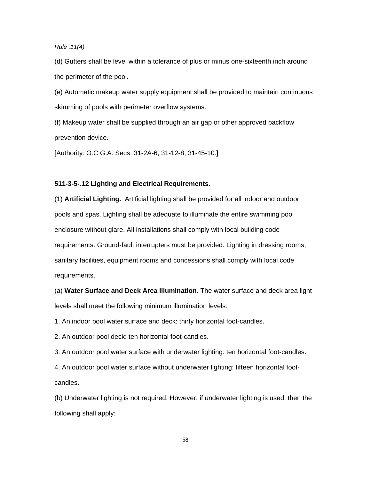*Rule .11(4)* 

(d) Gutters shall be level within a tolerance of plus or minus one-sixteenth inch around the perimeter of the pool.

(e) Automatic makeup water supply equipment shall be provided to maintain continuous skimming of pools with perimeter overflow systems.

(f) Makeup water shall be supplied through an air gap or other approved backflow prevention device.

[Authority: O.C.G.A. Secs. 31-2A-6, 31-12-8, 31-45-10.]

### **511-3-5-.12 Lighting and Electrical Requirements.**

(1) **Artificial Lighting.** Artificial lighting shall be provided for all indoor and outdoor pools and spas. Lighting shall be adequate to illuminate the entire swimming pool enclosure without glare. All installations shall comply with local building code requirements. Ground-fault interrupters must be provided. Lighting in dressing rooms, sanitary facilities, equipment rooms and concessions shall comply with local code requirements.

(a) **Water Surface and Deck Area Illumination.** The water surface and deck area light levels shall meet the following minimum illumination levels:

1. An indoor pool water surface and deck: thirty horizontal foot-candles.

2. An outdoor pool deck: ten horizontal foot-candles.

3. An outdoor pool water surface with underwater lighting: ten horizontal foot-candles.

4. An outdoor pool water surface without underwater lighting: fifteen horizontal footcandles.

(b) Underwater lighting is not required. However, if underwater lighting is used, then the following shall apply: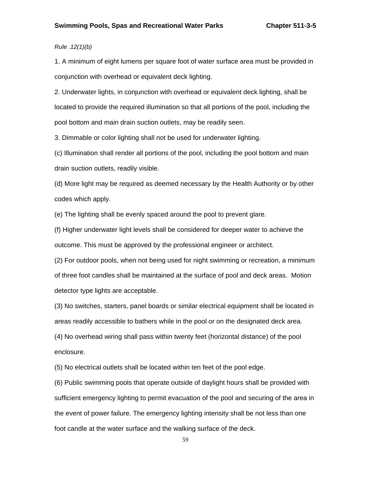# *Rule .12(1)(b)*

1. A minimum of eight lumens per square foot of water surface area must be provided in conjunction with overhead or equivalent deck lighting.

2. Underwater lights, in conjunction with overhead or equivalent deck lighting, shall be located to provide the required illumination so that all portions of the pool, including the pool bottom and main drain suction outlets, may be readily seen.

3. Dimmable or color lighting shall not be used for underwater lighting.

(c) Illumination shall render all portions of the pool, including the pool bottom and main drain suction outlets, readily visible.

(d) More light may be required as deemed necessary by the Health Authority or by other codes which apply.

(e) The lighting shall be evenly spaced around the pool to prevent glare.

(f) Higher underwater light levels shall be considered for deeper water to achieve the outcome. This must be approved by the professional engineer or architect.

(2) For outdoor pools, when not being used for night swimming or recreation, a minimum of three foot candles shall be maintained at the surface of pool and deck areas. Motion detector type lights are acceptable.

(3) No switches, starters, panel boards or similar electrical equipment shall be located in areas readily accessible to bathers while in the pool or on the designated deck area.

(4) No overhead wiring shall pass within twenty feet (horizontal distance) of the pool enclosure.

(5) No electrical outlets shall be located within ten feet of the pool edge.

(6) Public swimming pools that operate outside of daylight hours shall be provided with sufficient emergency lighting to permit evacuation of the pool and securing of the area in the event of power failure. The emergency lighting intensity shall be not less than one foot candle at the water surface and the walking surface of the deck.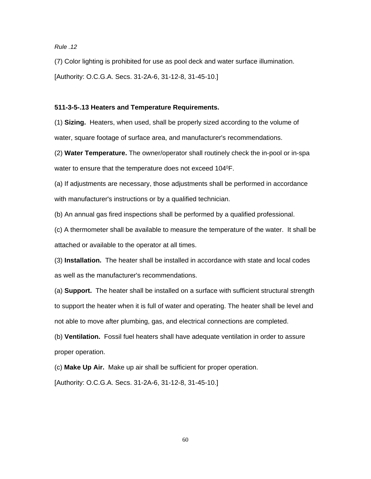*Rule .12* 

(7) Color lighting is prohibited for use as pool deck and water surface illumination.

[Authority: O.C.G.A. Secs. 31-2A-6, 31-12-8, 31-45-10.]

### **511-3-5-.13 Heaters and Temperature Requirements.**

(1) **Sizing.** Heaters, when used, shall be properly sized according to the volume of water, square footage of surface area, and manufacturer's recommendations.

(2) **Water Temperature.** The owner/operator shall routinely check the in-pool or in-spa water to ensure that the temperature does not exceed 104<sup>0</sup>F.

(a) If adjustments are necessary, those adjustments shall be performed in accordance with manufacturer's instructions or by a qualified technician.

(b) An annual gas fired inspections shall be performed by a qualified professional.

(c) A thermometer shall be available to measure the temperature of the water. It shall be attached or available to the operator at all times.

(3) **Installation.** The heater shall be installed in accordance with state and local codes as well as the manufacturer's recommendations.

(a) **Support.** The heater shall be installed on a surface with sufficient structural strength to support the heater when it is full of water and operating. The heater shall be level and not able to move after plumbing, gas, and electrical connections are completed.

(b) **Ventilation.** Fossil fuel heaters shall have adequate ventilation in order to assure proper operation.

(c) **Make Up Air.** Make up air shall be sufficient for proper operation.

[Authority: O.C.G.A. Secs. 31-2A-6, 31-12-8, 31-45-10.]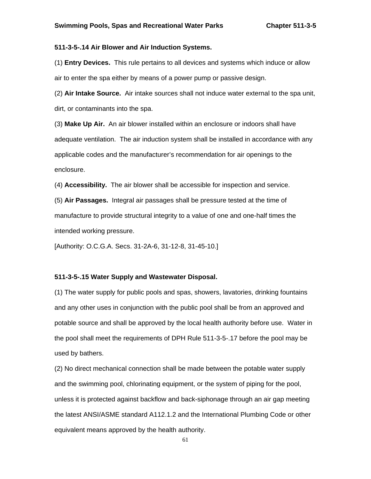## **511-3-5-.14 Air Blower and Air Induction Systems.**

(1) **Entry Devices.** This rule pertains to all devices and systems which induce or allow air to enter the spa either by means of a power pump or passive design.

(2) **Air Intake Source.** Air intake sources shall not induce water external to the spa unit, dirt, or contaminants into the spa.

(3) **Make Up Air.** An air blower installed within an enclosure or indoors shall have adequate ventilation. The air induction system shall be installed in accordance with any applicable codes and the manufacturer's recommendation for air openings to the enclosure.

(4) **Accessibility.** The air blower shall be accessible for inspection and service.

(5) **Air Passages.** Integral air passages shall be pressure tested at the time of manufacture to provide structural integrity to a value of one and one-half times the intended working pressure.

[Authority: O.C.G.A. Secs. 31-2A-6, 31-12-8, 31-45-10.]

### **511-3-5-.15 Water Supply and Wastewater Disposal.**

(1) The water supply for public pools and spas, showers, lavatories, drinking fountains and any other uses in conjunction with the public pool shall be from an approved and potable source and shall be approved by the local health authority before use. Water in the pool shall meet the requirements of DPH Rule 511-3-5-.17 before the pool may be used by bathers.

(2) No direct mechanical connection shall be made between the potable water supply and the swimming pool, chlorinating equipment, or the system of piping for the pool, unless it is protected against backflow and back-siphonage through an air gap meeting the latest ANSI/ASME standard A112.1.2 and the International Plumbing Code or other equivalent means approved by the health authority.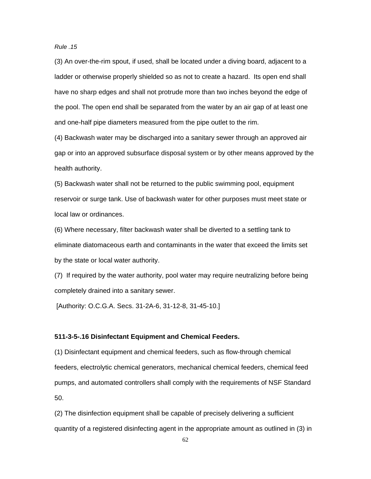*Rule .15* 

(3) An over-the-rim spout, if used, shall be located under a diving board, adjacent to a ladder or otherwise properly shielded so as not to create a hazard. Its open end shall have no sharp edges and shall not protrude more than two inches beyond the edge of the pool. The open end shall be separated from the water by an air gap of at least one and one-half pipe diameters measured from the pipe outlet to the rim.

(4) Backwash water may be discharged into a sanitary sewer through an approved air gap or into an approved subsurface disposal system or by other means approved by the health authority.

(5) Backwash water shall not be returned to the public swimming pool, equipment reservoir or surge tank. Use of backwash water for other purposes must meet state or local law or ordinances.

(6) Where necessary, filter backwash water shall be diverted to a settling tank to eliminate diatomaceous earth and contaminants in the water that exceed the limits set by the state or local water authority.

(7) If required by the water authority, pool water may require neutralizing before being completely drained into a sanitary sewer.

[Authority: O.C.G.A. Secs. 31-2A-6, 31-12-8, 31-45-10.]

### **511-3-5-.16 Disinfectant Equipment and Chemical Feeders.**

(1) Disinfectant equipment and chemical feeders, such as flow-through chemical feeders, electrolytic chemical generators, mechanical chemical feeders, chemical feed pumps, and automated controllers shall comply with the requirements of NSF Standard 50.

(2) The disinfection equipment shall be capable of precisely delivering a sufficient quantity of a registered disinfecting agent in the appropriate amount as outlined in (3) in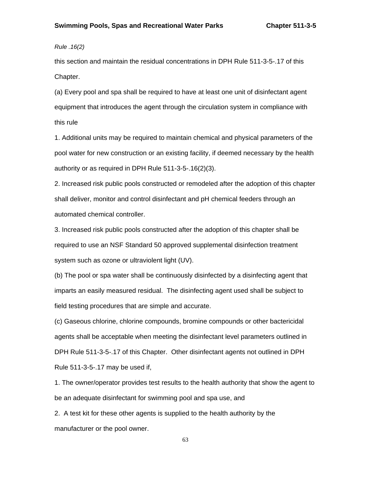*Rule .16(2)* 

this section and maintain the residual concentrations in DPH Rule 511-3-5-.17 of this Chapter.

(a) Every pool and spa shall be required to have at least one unit of disinfectant agent equipment that introduces the agent through the circulation system in compliance with this rule

1. Additional units may be required to maintain chemical and physical parameters of the pool water for new construction or an existing facility, if deemed necessary by the health authority or as required in DPH Rule 511-3-5-.16(2)(3).

2. Increased risk public pools constructed or remodeled after the adoption of this chapter shall deliver, monitor and control disinfectant and pH chemical feeders through an automated chemical controller.

3. Increased risk public pools constructed after the adoption of this chapter shall be required to use an NSF Standard 50 approved supplemental disinfection treatment system such as ozone or ultraviolent light (UV).

(b) The pool or spa water shall be continuously disinfected by a disinfecting agent that imparts an easily measured residual. The disinfecting agent used shall be subject to field testing procedures that are simple and accurate.

(c) Gaseous chlorine, chlorine compounds, bromine compounds or other bactericidal agents shall be acceptable when meeting the disinfectant level parameters outlined in DPH Rule 511-3-5-.17 of this Chapter. Other disinfectant agents not outlined in DPH Rule 511-3-5-.17 may be used if,

1. The owner/operator provides test results to the health authority that show the agent to be an adequate disinfectant for swimming pool and spa use, and

2. A test kit for these other agents is supplied to the health authority by the manufacturer or the pool owner.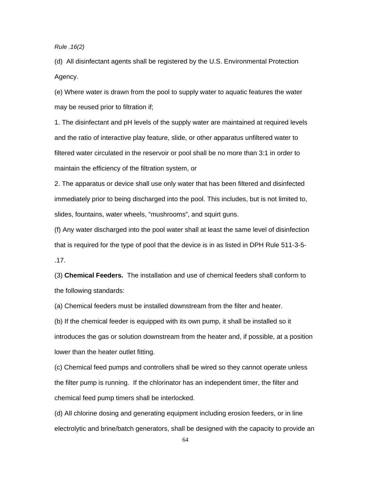*Rule .16(2)* 

(d) All disinfectant agents shall be registered by the U.S. Environmental Protection Agency.

(e) Where water is drawn from the pool to supply water to aquatic features the water may be reused prior to filtration if;

1. The disinfectant and pH levels of the supply water are maintained at required levels and the ratio of interactive play feature, slide, or other apparatus unfiltered water to filtered water circulated in the reservoir or pool shall be no more than 3:1 in order to maintain the efficiency of the filtration system, or

2. The apparatus or device shall use only water that has been filtered and disinfected immediately prior to being discharged into the pool. This includes, but is not limited to, slides, fountains, water wheels, "mushrooms", and squirt guns.

(f) Any water discharged into the pool water shall at least the same level of disinfection that is required for the type of pool that the device is in as listed in DPH Rule 511-3-5- .17.

(3) **Chemical Feeders.** The installation and use of chemical feeders shall conform to the following standards:

(a) Chemical feeders must be installed downstream from the filter and heater.

(b) If the chemical feeder is equipped with its own pump, it shall be installed so it introduces the gas or solution downstream from the heater and, if possible, at a position lower than the heater outlet fitting.

(c) Chemical feed pumps and controllers shall be wired so they cannot operate unless the filter pump is running. If the chlorinator has an independent timer, the filter and chemical feed pump timers shall be interlocked.

(d) All chlorine dosing and generating equipment including erosion feeders, or in line electrolytic and brine/batch generators, shall be designed with the capacity to provide an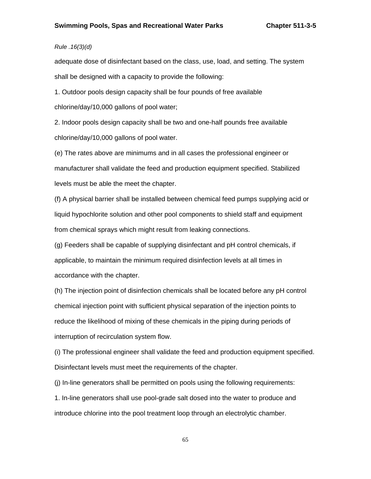# *Rule .16(3)(d)*

adequate dose of disinfectant based on the class, use, load, and setting. The system shall be designed with a capacity to provide the following:

1. Outdoor pools design capacity shall be four pounds of free available chlorine/day/10,000 gallons of pool water;

2. Indoor pools design capacity shall be two and one-half pounds free available chlorine/day/10,000 gallons of pool water.

(e) The rates above are minimums and in all cases the professional engineer or manufacturer shall validate the feed and production equipment specified. Stabilized levels must be able the meet the chapter.

(f) A physical barrier shall be installed between chemical feed pumps supplying acid or liquid hypochlorite solution and other pool components to shield staff and equipment from chemical sprays which might result from leaking connections.

(g) Feeders shall be capable of supplying disinfectant and pH control chemicals, if applicable, to maintain the minimum required disinfection levels at all times in accordance with the chapter.

(h) The injection point of disinfection chemicals shall be located before any pH control chemical injection point with sufficient physical separation of the injection points to reduce the likelihood of mixing of these chemicals in the piping during periods of interruption of recirculation system flow.

(i) The professional engineer shall validate the feed and production equipment specified. Disinfectant levels must meet the requirements of the chapter.

(j) In-line generators shall be permitted on pools using the following requirements:

1. In-line generators shall use pool-grade salt dosed into the water to produce and introduce chlorine into the pool treatment loop through an electrolytic chamber.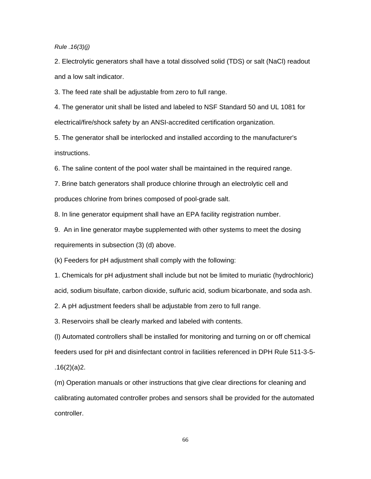*Rule .16(3)(j)* 

2. Electrolytic generators shall have a total dissolved solid (TDS) or salt (NaCl) readout and a low salt indicator.

3. The feed rate shall be adjustable from zero to full range.

4. The generator unit shall be listed and labeled to NSF Standard 50 and UL 1081 for electrical/fire/shock safety by an ANSI-accredited certification organization.

5. The generator shall be interlocked and installed according to the manufacturer's instructions.

6. The saline content of the pool water shall be maintained in the required range.

7. Brine batch generators shall produce chlorine through an electrolytic cell and produces chlorine from brines composed of pool-grade salt.

8. In line generator equipment shall have an EPA facility registration number.

9. An in line generator maybe supplemented with other systems to meet the dosing requirements in subsection (3) (d) above.

(k) Feeders for pH adjustment shall comply with the following:

1. Chemicals for pH adjustment shall include but not be limited to muriatic (hydrochloric) acid, sodium bisulfate, carbon dioxide, sulfuric acid, sodium bicarbonate, and soda ash.

2. A pH adjustment feeders shall be adjustable from zero to full range.

3. Reservoirs shall be clearly marked and labeled with contents.

(l) Automated controllers shall be installed for monitoring and turning on or off chemical feeders used for pH and disinfectant control in facilities referenced in DPH Rule 511-3-5-  $.16(2)(a)2.$ 

(m) Operation manuals or other instructions that give clear directions for cleaning and calibrating automated controller probes and sensors shall be provided for the automated controller.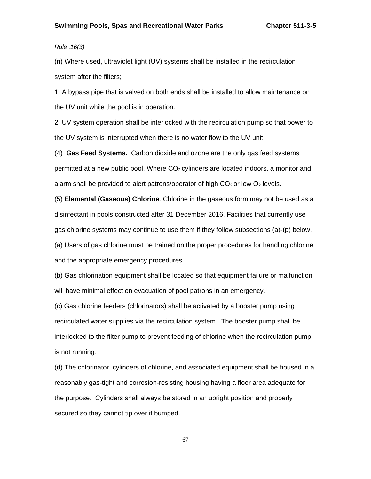*Rule .16(3)* 

(n) Where used, ultraviolet light (UV) systems shall be installed in the recirculation system after the filters;

1. A bypass pipe that is valved on both ends shall be installed to allow maintenance on the UV unit while the pool is in operation.

2. UV system operation shall be interlocked with the recirculation pump so that power to the UV system is interrupted when there is no water flow to the UV unit.

(4) **Gas Feed Systems.** Carbon dioxide and ozone are the only gas feed systems permitted at a new public pool. Where  $CO<sub>2</sub>$  cylinders are located indoors, a monitor and alarm shall be provided to alert patrons/operator of high CO<sub>2</sub> or low O<sub>2</sub> levels.

(5) **Elemental (Gaseous) Chlorine**. Chlorine in the gaseous form may not be used as a disinfectant in pools constructed after 31 December 2016. Facilities that currently use gas chlorine systems may continue to use them if they follow subsections (a)-(p) below. (a) Users of gas chlorine must be trained on the proper procedures for handling chlorine and the appropriate emergency procedures.

(b) Gas chlorination equipment shall be located so that equipment failure or malfunction will have minimal effect on evacuation of pool patrons in an emergency.

(c) Gas chlorine feeders (chlorinators) shall be activated by a booster pump using recirculated water supplies via the recirculation system. The booster pump shall be interlocked to the filter pump to prevent feeding of chlorine when the recirculation pump is not running.

(d) The chlorinator, cylinders of chlorine, and associated equipment shall be housed in a reasonably gas-tight and corrosion-resisting housing having a floor area adequate for the purpose. Cylinders shall always be stored in an upright position and properly secured so they cannot tip over if bumped.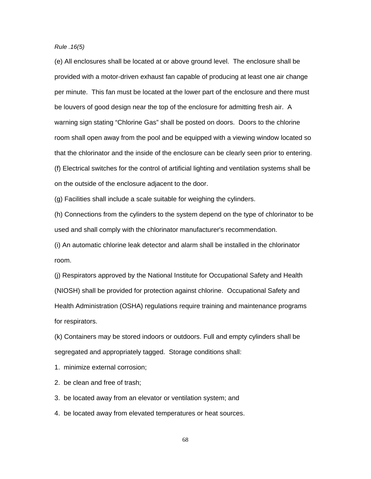*Rule .16(5)* 

(e) All enclosures shall be located at or above ground level. The enclosure shall be provided with a motor-driven exhaust fan capable of producing at least one air change per minute. This fan must be located at the lower part of the enclosure and there must be louvers of good design near the top of the enclosure for admitting fresh air. A warning sign stating "Chlorine Gas" shall be posted on doors. Doors to the chlorine room shall open away from the pool and be equipped with a viewing window located so that the chlorinator and the inside of the enclosure can be clearly seen prior to entering. (f) Electrical switches for the control of artificial lighting and ventilation systems shall be on the outside of the enclosure adjacent to the door.

(g) Facilities shall include a scale suitable for weighing the cylinders.

(h) Connections from the cylinders to the system depend on the type of chlorinator to be used and shall comply with the chlorinator manufacturer's recommendation.

(i) An automatic chlorine leak detector and alarm shall be installed in the chlorinator room.

(j) Respirators approved by the National Institute for Occupational Safety and Health (NIOSH) shall be provided for protection against chlorine. Occupational Safety and Health Administration (OSHA) regulations require training and maintenance programs for respirators.

(k) Containers may be stored indoors or outdoors. Full and empty cylinders shall be segregated and appropriately tagged. Storage conditions shall:

1. minimize external corrosion;

2. be clean and free of trash;

3. be located away from an elevator or ventilation system; and

4. be located away from elevated temperatures or heat sources.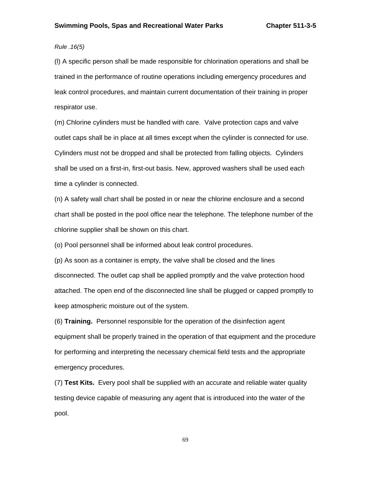## *Rule .16(5)*

(l) A specific person shall be made responsible for chlorination operations and shall be trained in the performance of routine operations including emergency procedures and leak control procedures, and maintain current documentation of their training in proper respirator use.

(m) Chlorine cylinders must be handled with care. Valve protection caps and valve outlet caps shall be in place at all times except when the cylinder is connected for use. Cylinders must not be dropped and shall be protected from falling objects. Cylinders shall be used on a first-in, first-out basis. New, approved washers shall be used each time a cylinder is connected.

(n) A safety wall chart shall be posted in or near the chlorine enclosure and a second chart shall be posted in the pool office near the telephone. The telephone number of the chlorine supplier shall be shown on this chart.

(o) Pool personnel shall be informed about leak control procedures.

(p) As soon as a container is empty, the valve shall be closed and the lines disconnected. The outlet cap shall be applied promptly and the valve protection hood attached. The open end of the disconnected line shall be plugged or capped promptly to keep atmospheric moisture out of the system.

(6) **Training.** Personnel responsible for the operation of the disinfection agent equipment shall be properly trained in the operation of that equipment and the procedure for performing and interpreting the necessary chemical field tests and the appropriate emergency procedures.

(7) **Test Kits.** Every pool shall be supplied with an accurate and reliable water quality testing device capable of measuring any agent that is introduced into the water of the pool.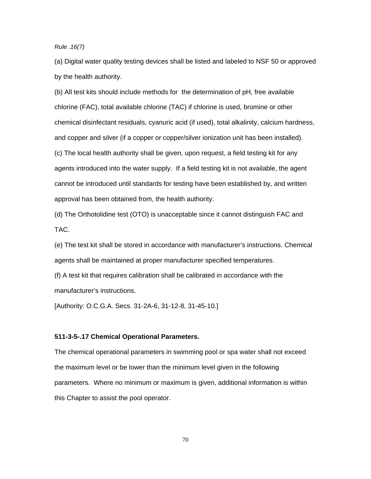*Rule .16(7)* 

(a) Digital water quality testing devices shall be listed and labeled to NSF 50 or approved by the health authority.

(b) All test kits should include methods for the determination of pH, free available chlorine (FAC), total available chlorine (TAC) if chlorine is used, bromine or other chemical disinfectant residuals, cyanuric acid (if used), total alkalinity, calcium hardness, and copper and silver (if a copper or copper/silver ionization unit has been installed). (c) The local health authority shall be given, upon request, a field testing kit for any agents introduced into the water supply. If a field testing kit is not available, the agent cannot be introduced until standards for testing have been established by, and written approval has been obtained from, the health authority.

(d) The Orthotolidine test (OTO) is unacceptable since it cannot distinguish FAC and TAC.

(e) The test kit shall be stored in accordance with manufacturer's instructions. Chemical agents shall be maintained at proper manufacturer specified temperatures.

(f) A test kit that requires calibration shall be calibrated in accordance with the manufacturer's instructions.

[Authority: O.C.G.A. Secs. 31-2A-6, 31-12-8, 31-45-10.]

#### **511-3-5-.17 Chemical Operational Parameters.**

The chemical operational parameters in swimming pool or spa water shall not exceed the maximum level or be lower than the minimum level given in the following parameters. Where no minimum or maximum is given, additional information is within this Chapter to assist the pool operator.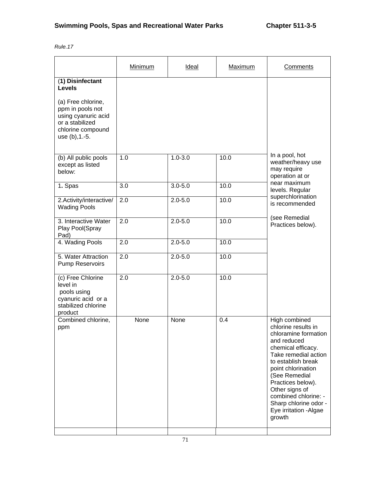| Rule |  |
|------|--|
|------|--|

|                                                                                                      | Minimum          | Ideal       | Maximum | Comments                                                                                                                                                                                                                                                                                                           |
|------------------------------------------------------------------------------------------------------|------------------|-------------|---------|--------------------------------------------------------------------------------------------------------------------------------------------------------------------------------------------------------------------------------------------------------------------------------------------------------------------|
| (1) Disinfectant<br><b>Levels</b><br>(a) Free chlorine,                                              |                  |             |         |                                                                                                                                                                                                                                                                                                                    |
| ppm in pools not<br>using cyanuric acid<br>or a stabilized<br>chlorine compound<br>use (b), 1.-5.    |                  |             |         |                                                                                                                                                                                                                                                                                                                    |
| (b) All public pools<br>except as listed<br>below:                                                   | 1.0              | $1.0 - 3.0$ | 10.0    | In a pool, hot<br>weather/heavy use<br>may require<br>operation at or                                                                                                                                                                                                                                              |
| 1. Spas                                                                                              | $\overline{3.0}$ | $3.0 - 5.0$ | 10.0    | near maximum<br>levels. Regular                                                                                                                                                                                                                                                                                    |
| 2.Activity/interactive/<br><b>Wading Pools</b>                                                       | 2.0              | $2.0 - 5.0$ | 10.0    | superchlorination<br>is recommended<br>(see Remedial<br>Practices below).                                                                                                                                                                                                                                          |
| 3. Interactive Water<br>Play Pool(Spray<br>Pad)                                                      | 2.0              | $2.0 - 5.0$ | 10.0    |                                                                                                                                                                                                                                                                                                                    |
| 4. Wading Pools                                                                                      | 2.0              | $2.0 - 5.0$ | 10.0    |                                                                                                                                                                                                                                                                                                                    |
| 5. Water Attraction<br><b>Pump Reservoirs</b>                                                        | $\overline{2.0}$ | $2.0 - 5.0$ | 10.0    |                                                                                                                                                                                                                                                                                                                    |
| (c) Free Chlorine<br>level in<br>pools using<br>cyanuric acid or a<br>stabilized chlorine<br>product | $\overline{2.0}$ | $2.0 - 5.0$ | 10.0    |                                                                                                                                                                                                                                                                                                                    |
| Combined chlorine,<br>ppm                                                                            | None             | None        | 0.4     | High combined<br>chlorine results in<br>chloramine formation<br>and reduced<br>chemical efficacy.<br>Take remedial action<br>to establish break<br>point chlorination<br>(See Remedial<br>Practices below).<br>Other signs of<br>combined chlorine: -<br>Sharp chlorine odor -<br>Eye irritation - Algae<br>growth |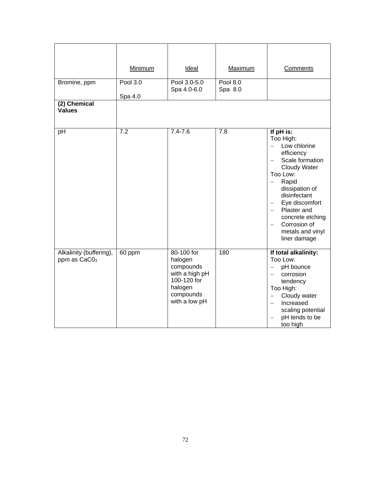| Bromine, ppm<br>(2) Chemical                        | Minimum<br>Pool 3.0<br>Spa 4.0 | Ideal<br>Pool 3.0-5.0<br>Spa 4.0-6.0                                                                         | Maximum<br><b>Pool 8.0</b><br>Spa 8.0 | Comments                                                                                                                                                                                                                                                                   |
|-----------------------------------------------------|--------------------------------|--------------------------------------------------------------------------------------------------------------|---------------------------------------|----------------------------------------------------------------------------------------------------------------------------------------------------------------------------------------------------------------------------------------------------------------------------|
| <b>Values</b>                                       |                                |                                                                                                              |                                       |                                                                                                                                                                                                                                                                            |
| pH                                                  | $\overline{7.2}$               | $7.4 - 7.6$                                                                                                  | 7.8                                   | If pH is:<br>Too High:<br>Low chlorine<br>$-$<br>efficiency<br>Scale formation<br>Cloudy Water<br>Too Low:<br>Rapid<br>$\equiv$<br>dissipation of<br>disinfectant<br>Eye discomfort<br>Plaster and<br>concrete etching<br>Corrosion of<br>metals and vinyl<br>liner damage |
| Alkalinity (buffering),<br>ppm as CaC0 <sub>3</sub> | 60 ppm                         | 80-100 for<br>halogen<br>compounds<br>with a high pH<br>100-120 for<br>halogen<br>compounds<br>with a low pH | 180                                   | If total alkalinity:<br>Too Low:<br>pH bounce<br>$\overline{a}$<br>corrosion<br>$\equiv$<br>tendency<br>Too High:<br>Cloudy water<br>$\qquad \qquad -$<br>Increased<br>$\overline{\phantom{m}}$<br>scaling potential<br>pH tends to be<br>too high                         |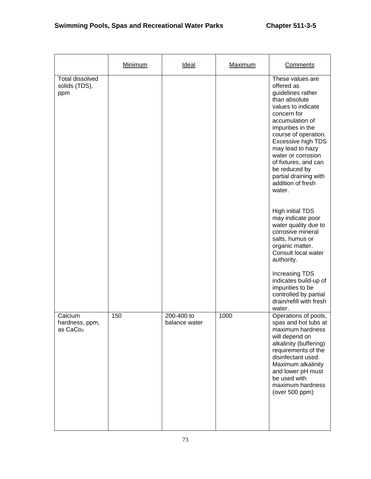|                                                   | <b>Minimum</b> | <b>Ideal</b>                | <b>Maximum</b> | Comments                                                                                                                                                                                                                                                                                                                                                                                                                                                                                                                                                                                                                                               |
|---------------------------------------------------|----------------|-----------------------------|----------------|--------------------------------------------------------------------------------------------------------------------------------------------------------------------------------------------------------------------------------------------------------------------------------------------------------------------------------------------------------------------------------------------------------------------------------------------------------------------------------------------------------------------------------------------------------------------------------------------------------------------------------------------------------|
| <b>Total dissolved</b><br>solids (TDS),<br>ppm    |                |                             |                | These values are<br>offered as<br>guidelines rather<br>than absolute<br>values to indicate<br>concern for<br>accumulation of<br>impurities in the<br>course of operation.<br>Excessive high TDS<br>may lead to hazy<br>water or corrosion<br>of fixtures, and can<br>be reduced by<br>partial draining with<br>addition of fresh<br>water.<br><b>High initial TDS</b><br>may indicate poor<br>water quality due to<br>corrosive mineral<br>salts, humus or<br>organic matter.<br>Consult local water<br>authority.<br><b>Increasing TDS</b><br>indicates build-up of<br>impurities to be<br>controlled by partial<br>drain/refill with fresh<br>water. |
| Calcium<br>hardness, ppm,<br>as CaCo <sub>3</sub> | 150            | 200-400 to<br>balance water | 1000           | Operations of pools,<br>spas and hot tubs at<br>maximum hardness<br>will depend on<br>alkalinity (buffering)<br>requirements of the<br>disinfectant used.<br>Maximum alkalinity<br>and lower pH must<br>be used with<br>maximum hardness<br>(over 500 ppm)                                                                                                                                                                                                                                                                                                                                                                                             |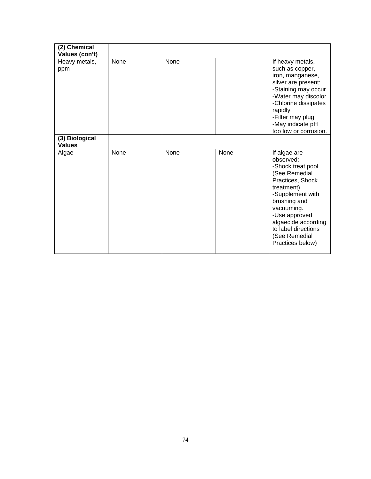| (2) Chemical<br>Values (con't)  |      |      |      |                                                                                                                                                                                                                                                         |
|---------------------------------|------|------|------|---------------------------------------------------------------------------------------------------------------------------------------------------------------------------------------------------------------------------------------------------------|
| Heavy metals,<br>ppm            | None | None |      | If heavy metals,<br>such as copper,<br>iron, manganese,<br>silver are present:<br>-Staining may occur<br>-Water may discolor<br>-Chlorine dissipates<br>rapidly<br>-Filter may plug<br>-May indicate pH<br>too low or corrosion.                        |
| (3) Biological<br><b>Values</b> |      |      |      |                                                                                                                                                                                                                                                         |
| Algae                           | None | None | None | If algae are<br>observed:<br>-Shock treat pool<br>(See Remedial<br>Practices, Shock<br>treatment)<br>-Supplement with<br>brushing and<br>vacuuming.<br>-Use approved<br>algaecide according<br>to label directions<br>(See Remedial<br>Practices below) |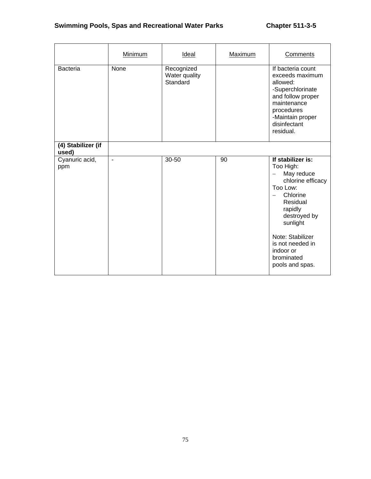# **Swimming Pools, Spas and Recreational Water Parks Chapter 511-3-5**

|                             | Minimum        | Ideal                                   | Maximum | Comments                                                                                                                                                                                                                           |
|-----------------------------|----------------|-----------------------------------------|---------|------------------------------------------------------------------------------------------------------------------------------------------------------------------------------------------------------------------------------------|
| <b>Bacteria</b>             | <b>None</b>    | Recognized<br>Water quality<br>Standard |         | If bacteria count<br>exceeds maximum<br>allowed:<br>-Superchlorinate<br>and follow proper<br>maintenance<br>procedures<br>-Maintain proper<br>disinfectant<br>residual.                                                            |
| (4) Stabilizer (if<br>used) |                |                                         |         |                                                                                                                                                                                                                                    |
| Cyanuric acid,<br>ppm       | $\blacksquare$ | 30-50                                   | 90      | If stabilizer is:<br>Too High:<br>May reduce<br>chlorine efficacy<br>Too Low:<br>Chlorine<br>Residual<br>rapidly<br>destroyed by<br>sunlight<br>Note: Stabilizer<br>is not needed in<br>indoor or<br>brominated<br>pools and spas. |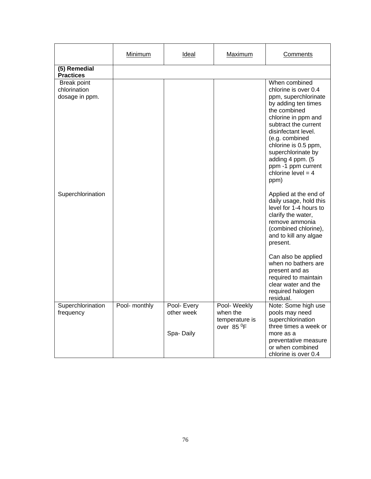|                                               | <b>Minimum</b> | Ideal                                  | <b>Maximum</b>                                                       | Comments                                                                                                                                                                                                                                                                                                             |
|-----------------------------------------------|----------------|----------------------------------------|----------------------------------------------------------------------|----------------------------------------------------------------------------------------------------------------------------------------------------------------------------------------------------------------------------------------------------------------------------------------------------------------------|
| (5) Remedial<br><b>Practices</b>              |                |                                        |                                                                      |                                                                                                                                                                                                                                                                                                                      |
| Break point<br>chlorination<br>dosage in ppm. |                |                                        |                                                                      | When combined<br>chlorine is over 0.4<br>ppm, superchlorinate<br>by adding ten times<br>the combined<br>chlorine in ppm and<br>subtract the current<br>disinfectant level.<br>(e.g. combined<br>chlorine is 0.5 ppm,<br>superchlorinate by<br>adding 4 ppm. (5<br>ppm -1 ppm current<br>chlorine level = $4$<br>ppm) |
| Superchlorination                             |                |                                        |                                                                      | Applied at the end of<br>daily usage, hold this<br>level for 1-4 hours to<br>clarify the water,<br>remove ammonia<br>(combined chlorine),<br>and to kill any algae<br>present.                                                                                                                                       |
|                                               |                |                                        |                                                                      | Can also be applied<br>when no bathers are<br>present and as<br>required to maintain<br>clear water and the<br>required halogen<br>residual.                                                                                                                                                                         |
| Superchlorination<br>frequency                | Pool- monthly  | Pool- Every<br>other week<br>Spa-Daily | Pool- Weekly<br>when the<br>temperature is<br>over 85 <sup>0</sup> F | Note: Some high use<br>pools may need<br>superchlorination<br>three times a week or<br>more as a<br>preventative measure<br>or when combined<br>chlorine is over 0.4                                                                                                                                                 |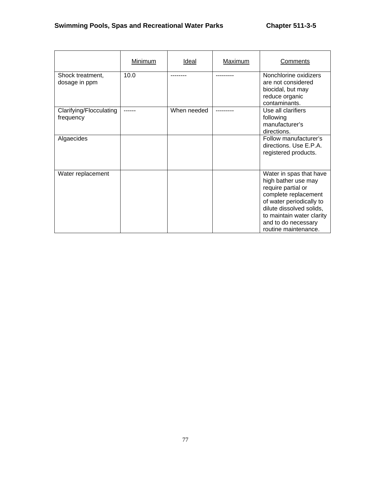|                                      | Minimum | Ideal       | Maximum | Comments                                                                                                                                                                                                                         |
|--------------------------------------|---------|-------------|---------|----------------------------------------------------------------------------------------------------------------------------------------------------------------------------------------------------------------------------------|
| Shock treatment,<br>dosage in ppm    | 10.0    |             |         | Nonchlorine oxidizers<br>are not considered<br>biocidal, but may<br>reduce organic<br>contaminants.                                                                                                                              |
| Clarifying/Flocculating<br>frequency |         | When needed |         | Use all clarifiers<br>following<br>manufacturer's<br>directions.                                                                                                                                                                 |
| Algaecides                           |         |             |         | Follow manufacturer's<br>directions. Use E.P.A.<br>registered products.                                                                                                                                                          |
| Water replacement                    |         |             |         | Water in spas that have<br>high bather use may<br>require partial or<br>complete replacement<br>of water periodically to<br>dilute dissolved solids,<br>to maintain water clarity<br>and to do necessary<br>routine maintenance. |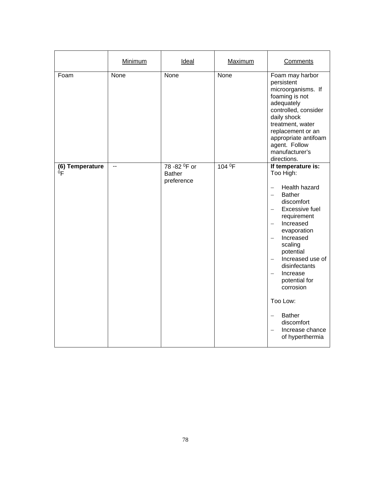|                                   | <b>Minimum</b> | <b>Ideal</b>                                             | Maximum            | <b>Comments</b>                                                                                                                                                                                                                                                                                                                                                                                                                                                               |
|-----------------------------------|----------------|----------------------------------------------------------|--------------------|-------------------------------------------------------------------------------------------------------------------------------------------------------------------------------------------------------------------------------------------------------------------------------------------------------------------------------------------------------------------------------------------------------------------------------------------------------------------------------|
| Foam                              | None           | None                                                     | None               | Foam may harbor<br>persistent<br>microorganisms. If<br>foaming is not<br>adequately<br>controlled, consider<br>daily shock<br>treatment, water<br>replacement or an<br>appropriate antifoam<br>agent. Follow<br>manufacturer's<br>directions.                                                                                                                                                                                                                                 |
| (6) Temperature<br>0 <sub>F</sub> | $\overline{a}$ | 78 - 82 <sup>0</sup> F or<br><b>Bather</b><br>preference | 104 <sup>0</sup> F | If temperature is:<br>Too High:<br>Health hazard<br><b>Bather</b><br>$\equiv$<br>discomfort<br>Excessive fuel<br>$\overline{\phantom{0}}$<br>requirement<br>Increased<br>evaporation<br>Increased<br>$\overline{\phantom{m}}$<br>scaling<br>potential<br>Increased use of<br>disinfectants<br>Increase<br>$\overline{\phantom{0}}$<br>potential for<br>corrosion<br>Too Low:<br><b>Bather</b><br>$\overline{\phantom{0}}$<br>discomfort<br>Increase chance<br>of hyperthermia |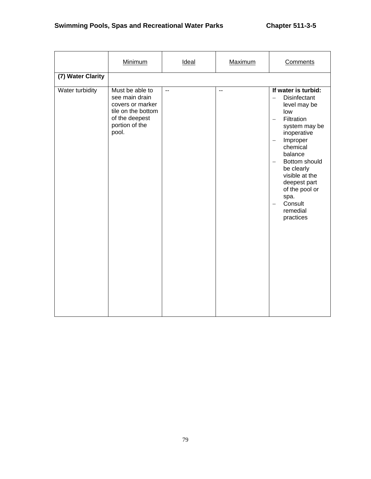# **Swimming Pools, Spas and Recreational Water Parks Chapter 511-3-5**

|                   | <b>Minimum</b>                                                                                                           | Ideal        | Maximum        | Comments                                                                                                                                                                                                                                                                                                                                                                                          |
|-------------------|--------------------------------------------------------------------------------------------------------------------------|--------------|----------------|---------------------------------------------------------------------------------------------------------------------------------------------------------------------------------------------------------------------------------------------------------------------------------------------------------------------------------------------------------------------------------------------------|
| (7) Water Clarity |                                                                                                                          |              |                |                                                                                                                                                                                                                                                                                                                                                                                                   |
| Water turbidity   | Must be able to<br>see main drain<br>covers or marker<br>tile on the bottom<br>of the deepest<br>portion of the<br>pool. | $\mathbf{u}$ | $\overline{a}$ | If water is turbid:<br><b>Disinfectant</b><br>level may be<br>low<br>Filtration<br>$\overline{\phantom{0}}$<br>system may be<br>inoperative<br>Improper<br>$\overline{\phantom{0}}$<br>chemical<br>balance<br>Bottom should<br>$\overline{\phantom{0}}$<br>be clearly<br>visible at the<br>deepest part<br>of the pool or<br>spa.<br>Consult<br>$\overline{\phantom{0}}$<br>remedial<br>practices |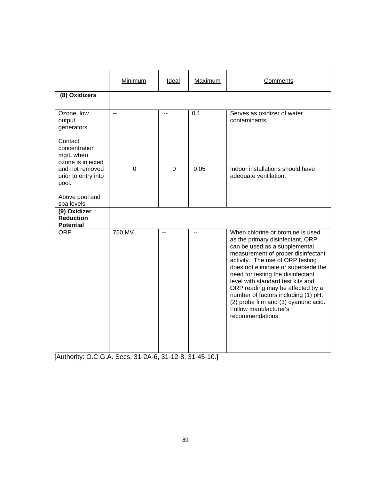|                                                                                                                                               | Minimum | Ideal | Maximum | Comments                                                                                                                                                                                                                                                                                                                                                                                                                                                          |
|-----------------------------------------------------------------------------------------------------------------------------------------------|---------|-------|---------|-------------------------------------------------------------------------------------------------------------------------------------------------------------------------------------------------------------------------------------------------------------------------------------------------------------------------------------------------------------------------------------------------------------------------------------------------------------------|
| (8) Oxidizers                                                                                                                                 |         |       |         |                                                                                                                                                                                                                                                                                                                                                                                                                                                                   |
| Ozone, low<br>output<br>generators                                                                                                            | --      |       | 0.1     | Serves as oxidizer of water<br>contaminants.                                                                                                                                                                                                                                                                                                                                                                                                                      |
| Contact<br>concentration<br>mg/L when<br>ozone is injected<br>and not removed<br>prior to entry into<br>pool.<br>Above pool and<br>spa levels | 0       | 0     | 0.05    | Indoor installations should have<br>adequate ventilation.                                                                                                                                                                                                                                                                                                                                                                                                         |
| (9) Oxidizer<br><b>Reduction</b><br><b>Potential</b>                                                                                          |         |       |         |                                                                                                                                                                                                                                                                                                                                                                                                                                                                   |
| <b>ORP</b>                                                                                                                                    | 750 MV  | $-$   |         | When chlorine or bromine is used<br>as the primary disinfectant, ORP<br>can be used as a supplemental<br>measurement of proper disinfectant<br>activity. The use of ORP testing<br>does not eliminate or supersede the<br>need for testing the disinfectant<br>level with standard test kits and<br>ORP reading may be affected by a<br>number of factors including (1) pH,<br>(2) probe film and (3) cyanuric acid.<br>Follow manufacturer's<br>recommendations. |

[Authority: O.C.G.A. Secs. 31-2A-6, 31-12-8, 31-45-10.]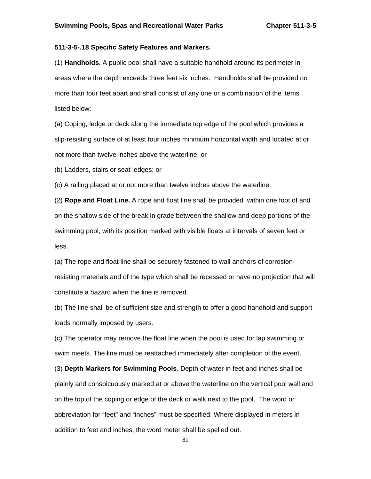## **511-3-5-.18 Specific Safety Features and Markers.**

(1) **Handholds.** A public pool shall have a suitable handhold around its perimeter in areas where the depth exceeds three feet six inches. Handholds shall be provided no more than four feet apart and shall consist of any one or a combination of the items listed below:

(a) Coping, ledge or deck along the immediate top edge of the pool which provides a slip-resisting surface of at least four inches minimum horizontal width and located at or not more than twelve inches above the waterline; or

(b) Ladders, stairs or seat ledges; or

(c) A railing placed at or not more than twelve inches above the waterline.

(2) **Rope and Float Line.** A rope and float line shall be provided within one foot of and on the shallow side of the break in grade between the shallow and deep portions of the swimming pool, with its position marked with visible floats at intervals of seven feet or less.

(a) The rope and float line shall be securely fastened to wall anchors of corrosionresisting materials and of the type which shall be recessed or have no projection that will constitute a hazard when the line is removed.

(b) The line shall be of sufficient size and strength to offer a good handhold and support loads normally imposed by users.

(c) The operator may remove the float line when the pool is used for lap swimming or swim meets. The line must be reattached immediately after completion of the event.

(3) **Depth Markers for Swimming Pools**. Depth of water in feet and inches shall be plainly and conspicuously marked at or above the waterline on the vertical pool wall and on the top of the coping or edge of the deck or walk next to the pool. The word or abbreviation for "feet" and "inches" must be specified. Where displayed in meters in addition to feet and inches, the word meter shall be spelled out.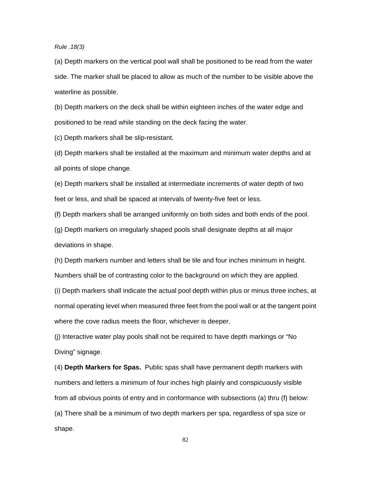## *Rule .18(3)*

(a) Depth markers on the vertical pool wall shall be positioned to be read from the water side. The marker shall be placed to allow as much of the number to be visible above the waterline as possible.

(b) Depth markers on the deck shall be within eighteen inches of the water edge and positioned to be read while standing on the deck facing the water.

(c) Depth markers shall be slip-resistant.

(d) Depth markers shall be installed at the maximum and minimum water depths and at all points of slope change.

(e) Depth markers shall be installed at intermediate increments of water depth of two feet or less, and shall be spaced at intervals of twenty-five feet or less.

(f) Depth markers shall be arranged uniformly on both sides and both ends of the pool.

(g) Depth markers on irregularly shaped pools shall designate depths at all major deviations in shape.

(h) Depth markers number and letters shall be tile and four inches minimum in height. Numbers shall be of contrasting color to the background on which they are applied.

(i) Depth markers shall indicate the actual pool depth within plus or minus three inches, at normal operating level when measured three feet from the pool wall or at the tangent point where the cove radius meets the floor, whichever is deeper.

(j) Interactive water play pools shall not be required to have depth markings or "No Diving" signage.

(4) **Depth Markers for Spas.** Public spas shall have permanent depth markers with numbers and letters a minimum of four inches high plainly and conspicuously visible from all obvious points of entry and in conformance with subsections (a) thru (f) below: (a) There shall be a minimum of two depth markers per spa, regardless of spa size or shape.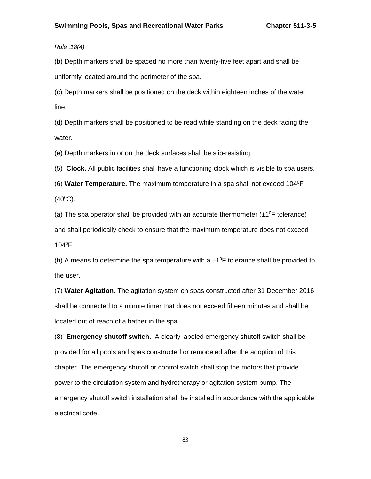*Rule .18(4)* 

(b) Depth markers shall be spaced no more than twenty-five feet apart and shall be uniformly located around the perimeter of the spa.

(c) Depth markers shall be positioned on the deck within eighteen inches of the water line.

(d) Depth markers shall be positioned to be read while standing on the deck facing the water.

(e) Depth markers in or on the deck surfaces shall be slip-resisting.

(5) **Clock.** All public facilities shall have a functioning clock which is visible to spa users.

(6) **Water Temperature.** The maximum temperature in a spa shall not exceed 1040F  $(40^{\circ}C)$ .

(a) The spa operator shall be provided with an accurate thermometer  $(\pm 1^0F)$  tolerance) and shall periodically check to ensure that the maximum temperature does not exceed 1040F.

(b) A means to determine the spa temperature with a  $\pm 1^0$ F tolerance shall be provided to the user.

(7) **Water Agitation**. The agitation system on spas constructed after 31 December 2016 shall be connected to a minute timer that does not exceed fifteen minutes and shall be located out of reach of a bather in the spa.

(8) **Emergency shutoff switch.** A clearly labeled emergency shutoff switch shall be provided for all pools and spas constructed or remodeled after the adoption of this chapter. The emergency shutoff or control switch shall stop the motor*s* that provide power to the circulation system and hydrotherapy or agitation system pump. The emergency shutoff switch installation shall be installed in accordance with the applicable electrical code.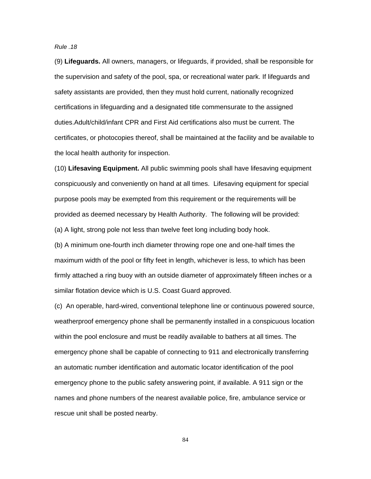*Rule .18* 

(9) **Lifeguards.** All owners, managers, or lifeguards, if provided, shall be responsible for the supervision and safety of the pool, spa, or recreational water park. If lifeguards and safety assistants are provided, then they must hold current, nationally recognized certifications in lifeguarding and a designated title commensurate to the assigned duties.Adult/child/infant CPR and First Aid certifications also must be current. The certificates, or photocopies thereof, shall be maintained at the facility and be available to the local health authority for inspection.

(10) **Lifesaving Equipment.** All public swimming pools shall have lifesaving equipment conspicuously and conveniently on hand at all times. Lifesaving equipment for special purpose pools may be exempted from this requirement or the requirements will be provided as deemed necessary by Health Authority. The following will be provided: (a) A light, strong pole not less than twelve feet long including body hook.

(b) A minimum one-fourth inch diameter throwing rope one and one-half times the maximum width of the pool or fifty feet in length, whichever is less, to which has been firmly attached a ring buoy with an outside diameter of approximately fifteen inches or a similar flotation device which is U.S. Coast Guard approved.

(c) An operable, hard-wired, conventional telephone line or continuous powered source, weatherproof emergency phone shall be permanently installed in a conspicuous location within the pool enclosure and must be readily available to bathers at all times. The emergency phone shall be capable of connecting to 911 and electronically transferring an automatic number identification and automatic locator identification of the pool emergency phone to the public safety answering point, if available. A 911 sign or the names and phone numbers of the nearest available police, fire, ambulance service or rescue unit shall be posted nearby.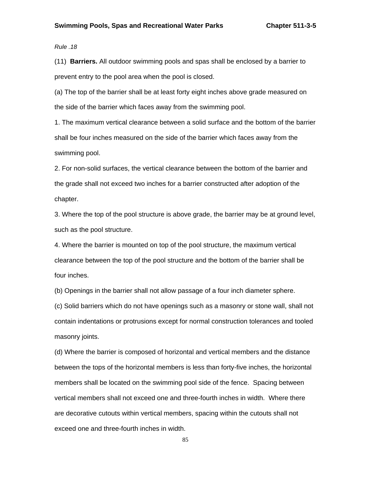*Rule .18* 

(11) **Barriers.** All outdoor swimming pools and spas shall be enclosed by a barrier to prevent entry to the pool area when the pool is closed.

(a) The top of the barrier shall be at least forty eight inches above grade measured on the side of the barrier which faces away from the swimming pool.

1. The maximum vertical clearance between a solid surface and the bottom of the barrier shall be four inches measured on the side of the barrier which faces away from the swimming pool.

2. For non-solid surfaces, the vertical clearance between the bottom of the barrier and the grade shall not exceed two inches for a barrier constructed after adoption of the chapter.

3. Where the top of the pool structure is above grade, the barrier may be at ground level, such as the pool structure.

4. Where the barrier is mounted on top of the pool structure, the maximum vertical clearance between the top of the pool structure and the bottom of the barrier shall be four inches.

(b) Openings in the barrier shall not allow passage of a four inch diameter sphere.

(c) Solid barriers which do not have openings such as a masonry or stone wall, shall not contain indentations or protrusions except for normal construction tolerances and tooled masonry joints.

(d) Where the barrier is composed of horizontal and vertical members and the distance between the tops of the horizontal members is less than forty-five inches, the horizontal members shall be located on the swimming pool side of the fence. Spacing between vertical members shall not exceed one and three-fourth inches in width. Where there are decorative cutouts within vertical members, spacing within the cutouts shall not exceed one and three-fourth inches in width.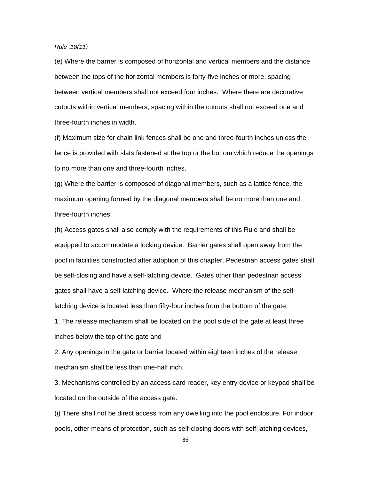*Rule .18(11)* 

(e) Where the barrier is composed of horizontal and vertical members and the distance between the tops of the horizontal members is forty-five inches or more, spacing between vertical members shall not exceed four inches. Where there are decorative cutouts within vertical members, spacing within the cutouts shall not exceed one and three-fourth inches in width.

(f) Maximum size for chain link fences shall be one and three-fourth inches unless the fence is provided with slats fastened at the top or the bottom which reduce the openings to no more than one and three-fourth inches.

(g) Where the barrier is composed of diagonal members, such as a lattice fence, the maximum opening formed by the diagonal members shall be no more than one and three-fourth inches.

(h) Access gates shall also comply with the requirements of this Rule and shall be equipped to accommodate a locking device. Barrier gates shall open away from the pool in facilities constructed after adoption of this chapter. Pedestrian access gates shall be self-closing and have a self-latching device. Gates other than pedestrian access gates shall have a self-latching device. Where the release mechanism of the selflatching device is located less than fifty-four inches from the bottom of the gate,

1. The release mechanism shall be located on the pool side of the gate at least three inches below the top of the gate and

2. Any openings in the gate or barrier located within eighteen inches of the release mechanism shall be less than one-half inch.

3. Mechanisms controlled by an access card reader, key entry device or keypad shall be located on the outside of the access gate.

(i) There shall not be direct access from any dwelling into the pool enclosure. For indoor pools, other means of protection, such as self-closing doors with self-latching devices,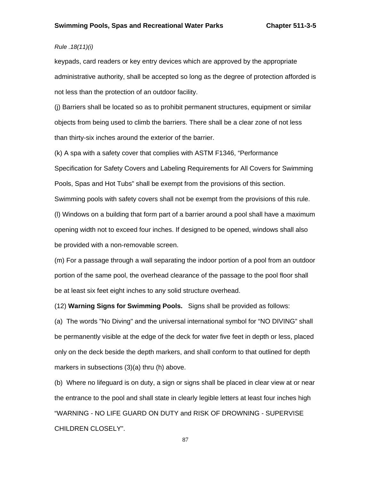# *Rule .18(11)(i)*

keypads, card readers or key entry devices which are approved by the appropriate administrative authority, shall be accepted so long as the degree of protection afforded is not less than the protection of an outdoor facility.

(j) Barriers shall be located so as to prohibit permanent structures, equipment or similar objects from being used to climb the barriers. There shall be a clear zone of not less than thirty-six inches around the exterior of the barrier.

(k) A spa with a safety cover that complies with ASTM F1346, "Performance

Specification for Safety Covers and Labeling Requirements for All Covers for Swimming

Pools, Spas and Hot Tubs" shall be exempt from the provisions of this section.

Swimming pools with safety covers shall not be exempt from the provisions of this rule.

(l) Windows on a building that form part of a barrier around a pool shall have a maximum opening width not to exceed four inches. If designed to be opened, windows shall also be provided with a non-removable screen.

(m) For a passage through a wall separating the indoor portion of a pool from an outdoor portion of the same pool, the overhead clearance of the passage to the pool floor shall be at least six feet eight inches to any solid structure overhead.

(12) **Warning Signs for Swimming Pools.** Signs shall be provided as follows:

(a) The words "No Diving" and the universal international symbol for "NO DIVING" shall be permanently visible at the edge of the deck for water five feet in depth or less, placed only on the deck beside the depth markers, and shall conform to that outlined for depth markers in subsections (3)(a) thru (h) above.

(b) Where no lifeguard is on duty, a sign or signs shall be placed in clear view at or near the entrance to the pool and shall state in clearly legible letters at least four inches high "WARNING - NO LIFE GUARD ON DUTY and RISK OF DROWNING - SUPERVISE CHILDREN CLOSELY".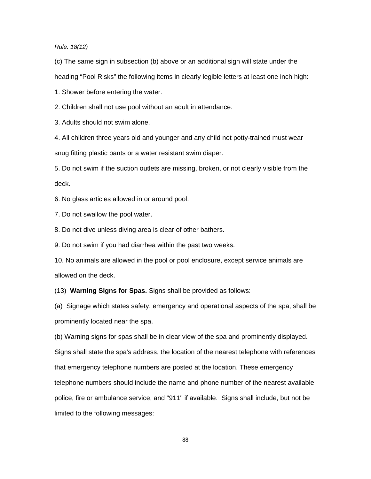*Rule. 18(12)* 

(c) The same sign in subsection (b) above or an additional sign will state under the heading "Pool Risks" the following items in clearly legible letters at least one inch high:

1. Shower before entering the water.

2. Children shall not use pool without an adult in attendance.

3. Adults should not swim alone.

4. All children three years old and younger and any child not potty-trained must wear snug fitting plastic pants or a water resistant swim diaper.

5. Do not swim if the suction outlets are missing, broken, or not clearly visible from the deck.

6. No glass articles allowed in or around pool.

7. Do not swallow the pool water.

8. Do not dive unless diving area is clear of other bathers.

9. Do not swim if you had diarrhea within the past two weeks.

10. No animals are allowed in the pool or pool enclosure, except service animals are allowed on the deck.

(13) **Warning Signs for Spas.** Signs shall be provided as follows:

(a) Signage which states safety, emergency and operational aspects of the spa, shall be prominently located near the spa.

(b) Warning signs for spas shall be in clear view of the spa and prominently displayed. Signs shall state the spa's address, the location of the nearest telephone with references that emergency telephone numbers are posted at the location. These emergency telephone numbers should include the name and phone number of the nearest available police, fire or ambulance service, and "911" if available. Signs shall include, but not be limited to the following messages: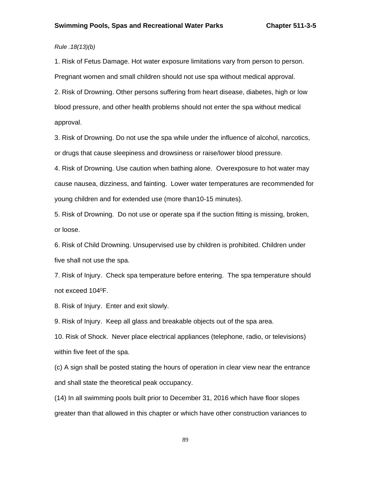# *Rule .18(13)(b)*

1. Risk of Fetus Damage. Hot water exposure limitations vary from person to person.

Pregnant women and small children should not use spa without medical approval.

2. Risk of Drowning. Other persons suffering from heart disease, diabetes, high or low blood pressure, and other health problems should not enter the spa without medical approval.

3. Risk of Drowning. Do not use the spa while under the influence of alcohol, narcotics, or drugs that cause sleepiness and drowsiness or raise/lower blood pressure.

4. Risk of Drowning. Use caution when bathing alone. Overexposure to hot water may cause nausea, dizziness, and fainting. Lower water temperatures are recommended for young children and for extended use (more than10-15 minutes).

5. Risk of Drowning. Do not use or operate spa if the suction fitting is missing, broken, or loose.

6. Risk of Child Drowning. Unsupervised use by children is prohibited. Children under five shall not use the spa.

7. Risk of Injury. Check spa temperature before entering. The spa temperature should not exceed 1040F.

8. Risk of Injury. Enter and exit slowly.

9. Risk of Injury. Keep all glass and breakable objects out of the spa area.

10. Risk of Shock. Never place electrical appliances (telephone, radio, or televisions) within five feet of the spa.

(c) A sign shall be posted stating the hours of operation in clear view near the entrance and shall state the theoretical peak occupancy.

(14) In all swimming pools built prior to December 31, 2016 which have floor slopes greater than that allowed in this chapter or which have other construction variances to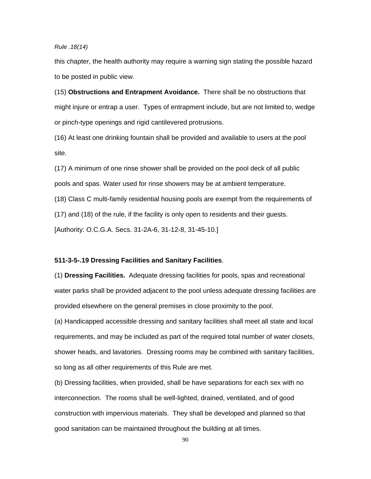*Rule .18(14)* 

this chapter, the health authority may require a warning sign stating the possible hazard to be posted in public view.

(15) **Obstructions and Entrapment Avoidance.** There shall be no obstructions that might injure or entrap a user. Types of entrapment include, but are not limited to, wedge or pinch-type openings and rigid cantilevered protrusions.

(16) At least one drinking fountain shall be provided and available to users at the pool site.

(17) A minimum of one rinse shower shall be provided on the pool deck of all public pools and spas. Water used for rinse showers may be at ambient temperature.

(18) Class C multi-family residential housing pools are exempt from the requirements of

(17) and (18) of the rule, if the facility is only open to residents and their guests.

[Authority: O.C.G.A. Secs. 31-2A-6, 31-12-8, 31-45-10.]

## **511-3-5-.19 Dressing Facilities and Sanitary Facilities**.

(1) **Dressing Facilities.** Adequate dressing facilities for pools, spas and recreational water parks shall be provided adjacent to the pool unless adequate dressing facilities are provided elsewhere on the general premises in close proximity to the pool.

(a) Handicapped accessible dressing and sanitary facilities shall meet all state and local requirements, and may be included as part of the required total number of water closets, shower heads, and lavatories. Dressing rooms may be combined with sanitary facilities, so long as all other requirements of this Rule are met.

(b) Dressing facilities, when provided, shall be have separations for each sex with no interconnection. The rooms shall be well-lighted, drained, ventilated, and of good construction with impervious materials. They shall be developed and planned so that good sanitation can be maintained throughout the building at all times.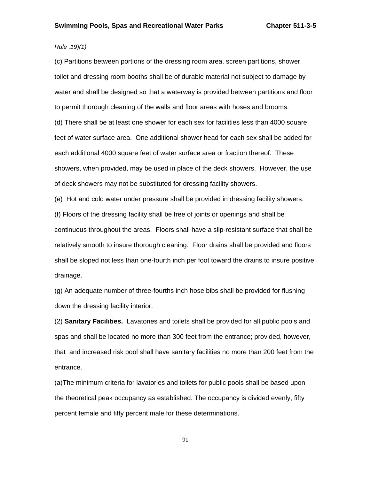# *Rule .19)(1)*

(c) Partitions between portions of the dressing room area, screen partitions, shower, toilet and dressing room booths shall be of durable material not subject to damage by water and shall be designed so that a waterway is provided between partitions and floor to permit thorough cleaning of the walls and floor areas with hoses and brooms. (d) There shall be at least one shower for each sex for facilities less than 4000 square feet of water surface area. One additional shower head for each sex shall be added for each additional 4000 square feet of water surface area or fraction thereof. These showers, when provided, may be used in place of the deck showers. However, the use of deck showers may not be substituted for dressing facility showers.

(e) Hot and cold water under pressure shall be provided in dressing facility showers.

(f) Floors of the dressing facility shall be free of joints or openings and shall be continuous throughout the areas. Floors shall have a slip-resistant surface that shall be relatively smooth to insure thorough cleaning. Floor drains shall be provided and floors shall be sloped not less than one-fourth inch per foot toward the drains to insure positive drainage.

(g) An adequate number of three-fourths inch hose bibs shall be provided for flushing down the dressing facility interior.

(2) **Sanitary Facilities.** Lavatories and toilets shall be provided for all public pools and spas and shall be located no more than 300 feet from the entrance; provided, however, that and increased risk pool shall have sanitary facilities no more than 200 feet from the entrance.

(a)The minimum criteria for lavatories and toilets for public pools shall be based upon the theoretical peak occupancy as established. The occupancy is divided evenly, fifty percent female and fifty percent male for these determinations.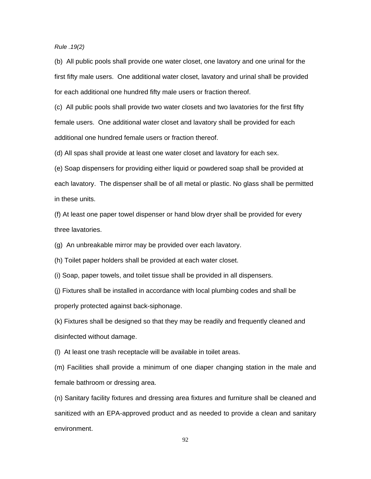*Rule .19(2)* 

(b) All public pools shall provide one water closet, one lavatory and one urinal for the first fifty male users. One additional water closet, lavatory and urinal shall be provided for each additional one hundred fifty male users or fraction thereof.

(c) All public pools shall provide two water closets and two lavatories for the first fifty female users. One additional water closet and lavatory shall be provided for each additional one hundred female users or fraction thereof.

(d) All spas shall provide at least one water closet and lavatory for each sex.

(e) Soap dispensers for providing either liquid or powdered soap shall be provided at each lavatory. The dispenser shall be of all metal or plastic. No glass shall be permitted in these units.

(f) At least one paper towel dispenser or hand blow dryer shall be provided for every three lavatories.

(g) An unbreakable mirror may be provided over each lavatory.

(h) Toilet paper holders shall be provided at each water closet.

(i) Soap, paper towels, and toilet tissue shall be provided in all dispensers.

(j) Fixtures shall be installed in accordance with local plumbing codes and shall be properly protected against back-siphonage.

(k) Fixtures shall be designed so that they may be readily and frequently cleaned and disinfected without damage.

(l) At least one trash receptacle will be available in toilet areas.

(m) Facilities shall provide a minimum of one diaper changing station in the male and female bathroom or dressing area.

(n) Sanitary facility fixtures and dressing area fixtures and furniture shall be cleaned and sanitized with an EPA-approved product and as needed to provide a clean and sanitary environment.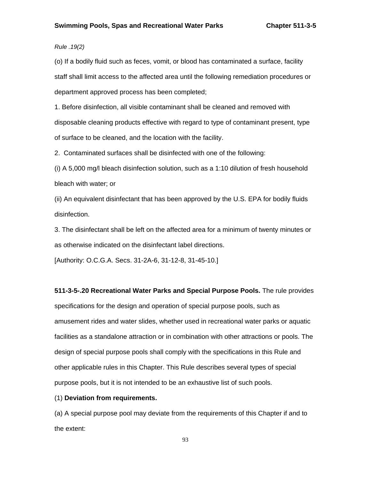# *Rule .19(2)*

(o) If a bodily fluid such as feces, vomit, or blood has contaminated a surface, facility staff shall limit access to the affected area until the following remediation procedures or department approved process has been completed;

1. Before disinfection, all visible contaminant shall be cleaned and removed with disposable cleaning products effective with regard to type of contaminant present, type of surface to be cleaned, and the location with the facility.

2. Contaminated surfaces shall be disinfected with one of the following:

(i) A 5,000 mg/l bleach disinfection solution, such as a 1:10 dilution of fresh household bleach with water; or

(ii) An equivalent disinfectant that has been approved by the U.S. EPA for bodily fluids disinfection.

3. The disinfectant shall be left on the affected area for a minimum of twenty minutes or as otherwise indicated on the disinfectant label directions.

[Authority: O.C.G.A. Secs. 31-2A-6, 31-12-8, 31-45-10.]

#### **511-3-5-.20 Recreational Water Parks and Special Purpose Pools.** The rule provides

specifications for the design and operation of special purpose pools, such as amusement rides and water slides, whether used in recreational water parks or aquatic facilities as a standalone attraction or in combination with other attractions or pools. The design of special purpose pools shall comply with the specifications in this Rule and other applicable rules in this Chapter. This Rule describes several types of special purpose pools, but it is not intended to be an exhaustive list of such pools.

### (1) **Deviation from requirements.**

(a) A special purpose pool may deviate from the requirements of this Chapter if and to the extent: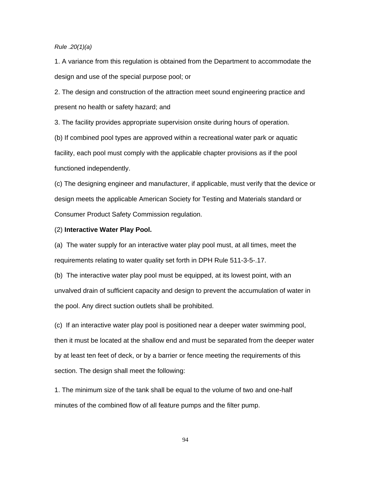## *Rule .20(1)(a)*

1. A variance from this regulation is obtained from the Department to accommodate the design and use of the special purpose pool; or

2. The design and construction of the attraction meet sound engineering practice and present no health or safety hazard; and

3. The facility provides appropriate supervision onsite during hours of operation.

(b) If combined pool types are approved within a recreational water park or aquatic facility, each pool must comply with the applicable chapter provisions as if the pool functioned independently.

(c) The designing engineer and manufacturer, if applicable, must verify that the device or design meets the applicable American Society for Testing and Materials standard or Consumer Product Safety Commission regulation.

## (2) **Interactive Water Play Pool.**

(a) The water supply for an interactive water play pool must, at all times, meet the requirements relating to water quality set forth in DPH Rule 511-3-5-.17.

(b) The interactive water play pool must be equipped, at its lowest point, with an unvalved drain of sufficient capacity and design to prevent the accumulation of water in the pool. Any direct suction outlets shall be prohibited.

(c)If an interactive water play pool is positioned near a deeper water swimming pool, then it must be located at the shallow end and must be separated from the deeper water by at least ten feet of deck, or by a barrier or fence meeting the requirements of this section. The design shall meet the following:

1. The minimum size of the tank shall be equal to the volume of two and one-half minutes of the combined flow of all feature pumps and the filter pump.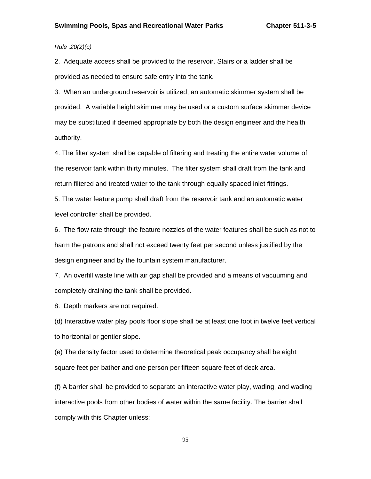# *Rule .20(2)(c)*

2. Adequate access shall be provided to the reservoir. Stairs or a ladder shall be provided as needed to ensure safe entry into the tank.

3. When an underground reservoir is utilized, an automatic skimmer system shall be provided. A variable height skimmer may be used or a custom surface skimmer device may be substituted if deemed appropriate by both the design engineer and the health authority.

4. The filter system shall be capable of filtering and treating the entire water volume of the reservoir tank within thirty minutes. The filter system shall draft from the tank and return filtered and treated water to the tank through equally spaced inlet fittings.

5. The water feature pump shall draft from the reservoir tank and an automatic water level controller shall be provided.

6. The flow rate through the feature nozzles of the water features shall be such as not to harm the patrons and shall not exceed twenty feet per second unless justified by the design engineer and by the fountain system manufacturer.

7. An overfill waste line with air gap shall be provided and a means of vacuuming and completely draining the tank shall be provided.

8. Depth markers are not required.

(d) Interactive water play pools floor slope shall be at least one foot in twelve feet vertical to horizontal or gentler slope.

(e) The density factor used to determine theoretical peak occupancy shall be eight square feet per bather and one person per fifteen square feet of deck area.

(f) A barrier shall be provided to separate an interactive water play, wading, and wading interactive pools from other bodies of water within the same facility. The barrier shall comply with this Chapter unless: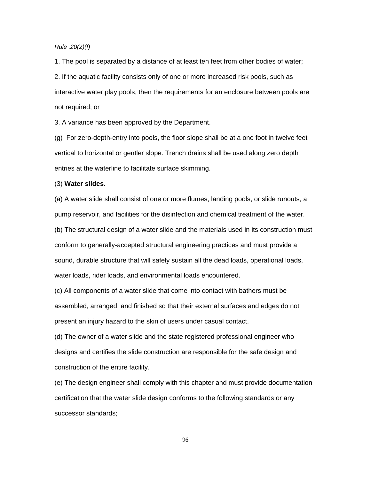## *Rule .20(2)(f)*

1. The pool is separated by a distance of at least ten feet from other bodies of water; 2. If the aquatic facility consists only of one or more increased risk pools, such as interactive water play pools, then the requirements for an enclosure between pools are not required; or

3. A variance has been approved by the Department.

(g) For zero-depth-entry into pools, the floor slope shall be at a one foot in twelve feet vertical to horizontal or gentler slope. Trench drains shall be used along zero depth entries at the waterline to facilitate surface skimming.

## (3) **Water slides.**

(a) A water slide shall consist of one or more flumes, landing pools, or slide runouts, a pump reservoir, and facilities for the disinfection and chemical treatment of the water. (b) The structural design of a water slide and the materials used in its construction must conform to generally-accepted structural engineering practices and must provide a sound, durable structure that will safely sustain all the dead loads, operational loads, water loads, rider loads, and environmental loads encountered.

(c) All components of a water slide that come into contact with bathers must be assembled, arranged, and finished so that their external surfaces and edges do not present an injury hazard to the skin of users under casual contact.

(d) The owner of a water slide and the state registered professional engineer who designs and certifies the slide construction are responsible for the safe design and construction of the entire facility.

(e) The design engineer shall comply with this chapter and must provide documentation certification that the water slide design conforms to the following standards or any successor standards;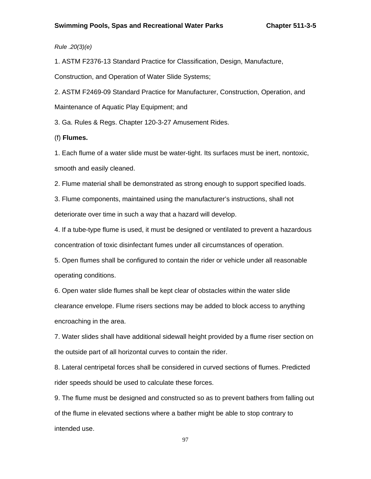*Rule .20(3)(e)* 

1. ASTM F2376-13 Standard Practice for Classification, Design, Manufacture,

Construction, and Operation of Water Slide Systems;

2. ASTM F2469-09 Standard Practice for Manufacturer, Construction, Operation, and Maintenance of Aquatic Play Equipment; and

3. Ga. Rules & Regs. Chapter 120-3-27 Amusement Rides.

(f) **Flumes.** 

1. Each flume of a water slide must be water-tight. Its surfaces must be inert, nontoxic, smooth and easily cleaned.

2. Flume material shall be demonstrated as strong enough to support specified loads.

3. Flume components, maintained using the manufacturer's instructions, shall not deteriorate over time in such a way that a hazard will develop.

4. If a tube-type flume is used, it must be designed or ventilated to prevent a hazardous concentration of toxic disinfectant fumes under all circumstances of operation.

5. Open flumes shall be configured to contain the rider or vehicle under all reasonable operating conditions.

6. Open water slide flumes shall be kept clear of obstacles within the water slide clearance envelope. Flume risers sections may be added to block access to anything encroaching in the area.

7. Water slides shall have additional sidewall height provided by a flume riser section on the outside part of all horizontal curves to contain the rider.

8. Lateral centripetal forces shall be considered in curved sections of flumes. Predicted rider speeds should be used to calculate these forces.

9. The flume must be designed and constructed so as to prevent bathers from falling out of the flume in elevated sections where a bather might be able to stop contrary to intended use.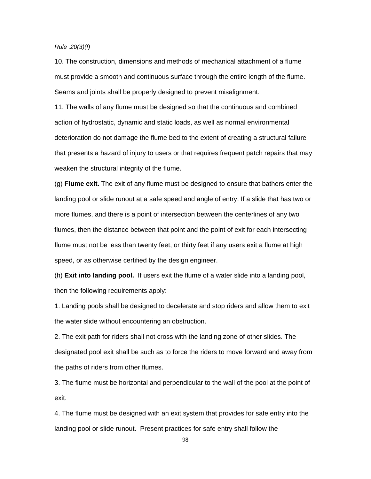### *Rule .20(3)(f)*

10. The construction, dimensions and methods of mechanical attachment of a flume must provide a smooth and continuous surface through the entire length of the flume. Seams and joints shall be properly designed to prevent misalignment.

11. The walls of any flume must be designed so that the continuous and combined action of hydrostatic, dynamic and static loads, as well as normal environmental deterioration do not damage the flume bed to the extent of creating a structural failure that presents a hazard of injury to users or that requires frequent patch repairs that may weaken the structural integrity of the flume.

(g) **Flume exit.** The exit of any flume must be designed to ensure that bathers enter the landing pool or slide runout at a safe speed and angle of entry. If a slide that has two or more flumes, and there is a point of intersection between the centerlines of any two flumes, then the distance between that point and the point of exit for each intersecting flume must not be less than twenty feet, or thirty feet if any users exit a flume at high speed, or as otherwise certified by the design engineer.

(h) **Exit into landing pool.** If users exit the flume of a water slide into a landing pool, then the following requirements apply:

1. Landing pools shall be designed to decelerate and stop riders and allow them to exit the water slide without encountering an obstruction.

2. The exit path for riders shall not cross with the landing zone of other slides. The designated pool exit shall be such as to force the riders to move forward and away from the paths of riders from other flumes.

3. The flume must be horizontal and perpendicular to the wall of the pool at the point of exit.

4. The flume must be designed with an exit system that provides for safe entry into the landing pool or slide runout. Present practices for safe entry shall follow the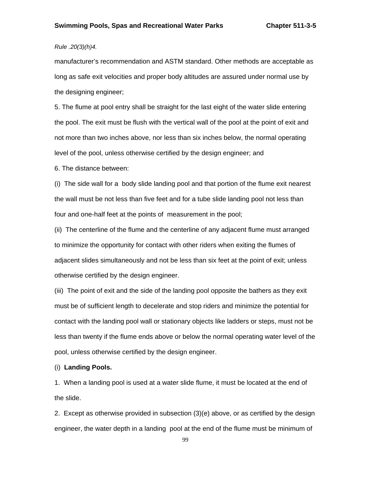# *Rule .20(3)(h)4.*

manufacturer's recommendation and ASTM standard. Other methods are acceptable as long as safe exit velocities and proper body altitudes are assured under normal use by the designing engineer;

5. The flume at pool entry shall be straight for the last eight of the water slide entering the pool. The exit must be flush with the vertical wall of the pool at the point of exit and not more than two inches above, nor less than six inches below, the normal operating level of the pool, unless otherwise certified by the design engineer; and

6. The distance between:

(i) The side wall for a body slide landing pool and that portion of the flume exit nearest the wall must be not less than five feet and for a tube slide landing pool not less than four and one-half feet at the points of measurement in the pool;

(ii) The centerline of the flume and the centerline of any adjacent flume must arranged to minimize the opportunity for contact with other riders when exiting the flumes of adjacent slides simultaneously and not be less than six feet at the point of exit; unless otherwise certified by the design engineer.

(iii) The point of exit and the side of the landing pool opposite the bathers as they exit must be of sufficient length to decelerate and stop riders and minimize the potential for contact with the landing pool wall or stationary objects like ladders or steps, must not be less than twenty if the flume ends above or below the normal operating water level of the pool, unless otherwise certified by the design engineer.

### (i) **Landing Pools.**

1. When a landing pool is used at a water slide flume, it must be located at the end of the slide.

2. Except as otherwise provided in subsection (3)(e) above, or as certified by the design engineer, the water depth in a landing pool at the end of the flume must be minimum of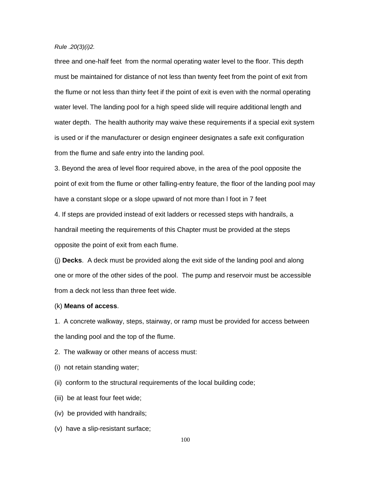## *Rule .20(3)(i)2.*

three and one-half feet from the normal operating water level to the floor. This depth must be maintained for distance of not less than twenty feet from the point of exit from the flume or not less than thirty feet if the point of exit is even with the normal operating water level. The landing pool for a high speed slide will require additional length and water depth. The health authority may waive these requirements if a special exit system is used or if the manufacturer or design engineer designates a safe exit configuration from the flume and safe entry into the landing pool.

3. Beyond the area of level floor required above, in the area of the pool opposite the point of exit from the flume or other falling-entry feature, the floor of the landing pool may have a constant slope or a slope upward of not more than l foot in 7 feet

4. If steps are provided instead of exit ladders or recessed steps with handrails, a handrail meeting the requirements of this Chapter must be provided at the steps opposite the point of exit from each flume.

(j) **Decks**. A deck must be provided along the exit side of the landing pool and along one or more of the other sides of the pool. The pump and reservoir must be accessible from a deck not less than three feet wide.

#### (k) **Means of access**.

1. A concrete walkway, steps, stairway, or ramp must be provided for access between the landing pool and the top of the flume.

2. The walkway or other means of access must:

- (i) not retain standing water;
- (ii) conform to the structural requirements of the local building code;
- (iii) be at least four feet wide;
- (iv) be provided with handrails;
- (v) have a slip-resistant surface;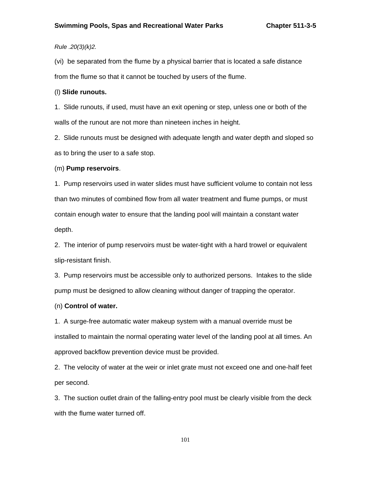# *Rule .20(3)(k)2.*

(vi) be separated from the flume by a physical barrier that is located a safe distance from the flume so that it cannot be touched by users of the flume.

#### (l) **Slide runouts.**

1. Slide runouts, if used, must have an exit opening or step, unless one or both of the walls of the runout are not more than nineteen inches in height.

2. Slide runouts must be designed with adequate length and water depth and sloped so as to bring the user to a safe stop.

#### (m) **Pump reservoirs**.

1. Pump reservoirs used in water slides must have sufficient volume to contain not less than two minutes of combined flow from all water treatment and flume pumps, or must contain enough water to ensure that the landing pool will maintain a constant water depth.

2. The interior of pump reservoirs must be water-tight with a hard trowel or equivalent slip-resistant finish.

3. Pump reservoirs must be accessible only to authorized persons. Intakes to the slide pump must be designed to allow cleaning without danger of trapping the operator.

## (n) **Control of water.**

1. A surge-free automatic water makeup system with a manual override must be installed to maintain the normal operating water level of the landing pool at all times. An approved backflow prevention device must be provided.

2. The velocity of water at the weir or inlet grate must not exceed one and one-half feet per second.

3. The suction outlet drain of the falling-entry pool must be clearly visible from the deck with the flume water turned off.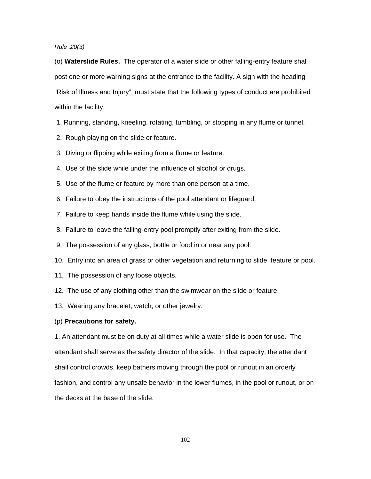### *Rule .20(3)*

(o) **Waterslide Rules.** The operator of a water slide or other falling-entry feature shall post one or more warning signs at the entrance to the facility. A sign with the heading "Risk of Illness and Injury", must state that the following types of conduct are prohibited within the facility:

- 1. Running, standing, kneeling, rotating, tumbling, or stopping in any flume or tunnel.
- 2. Rough playing on the slide or feature.
- 3. Diving or flipping while exiting from a flume or feature.
- 4. Use of the slide while under the influence of alcohol or drugs.
- 5. Use of the flume or feature by more than one person at a time.
- 6. Failure to obey the instructions of the pool attendant or lifeguard.
- 7. Failure to keep hands inside the flume while using the slide.
- 8. Failure to leave the falling-entry pool promptly after exiting from the slide.
- 9. The possession of any glass, bottle or food in or near any pool.
- 10. Entry into an area of grass or other vegetation and returning to slide, feature or pool.
- 11. The possession of any loose objects.
- 12. The use of any clothing other than the swimwear on the slide or feature.
- 13. Wearing any bracelet, watch, or other jewelry.

#### (p) **Precautions for safety.**

1. An attendant must be on duty at all times while a water slide is open for use. The attendant shall serve as the safety director of the slide. In that capacity, the attendant shall control crowds, keep bathers moving through the pool or runout in an orderly fashion, and control any unsafe behavior in the lower flumes, in the pool or runout, or on the decks at the base of the slide.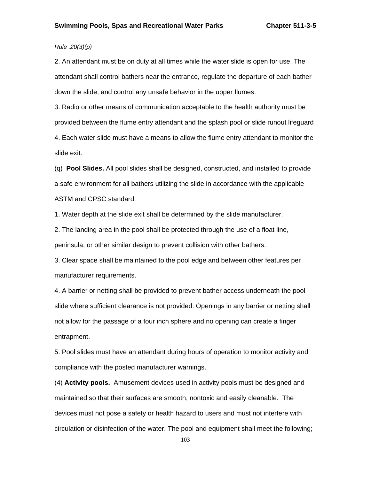# *Rule .20(3)(p)*

2. An attendant must be on duty at all times while the water slide is open for use. The attendant shall control bathers near the entrance, regulate the departure of each bather down the slide, and control any unsafe behavior in the upper flumes.

3. Radio or other means of communication acceptable to the health authority must be provided between the flume entry attendant and the splash pool or slide runout lifeguard

4. Each water slide must have a means to allow the flume entry attendant to monitor the slide exit.

(q) **Pool Slides.** All pool slides shall be designed, constructed, and installed to provide a safe environment for all bathers utilizing the slide in accordance with the applicable ASTM and CPSC standard.

1. Water depth at the slide exit shall be determined by the slide manufacturer.

2. The landing area in the pool shall be protected through the use of a float line, peninsula, or other similar design to prevent collision with other bathers.

3. Clear space shall be maintained to the pool edge and between other features per manufacturer requirements.

4. A barrier or netting shall be provided to prevent bather access underneath the pool slide where sufficient clearance is not provided. Openings in any barrier or netting shall not allow for the passage of a four inch sphere and no opening can create a finger entrapment.

5. Pool slides must have an attendant during hours of operation to monitor activity and compliance with the posted manufacturer warnings.

(4) **Activity pools.** Amusement devices used in activity pools must be designed and maintained so that their surfaces are smooth, nontoxic and easily cleanable. The devices must not pose a safety or health hazard to users and must not interfere with circulation or disinfection of the water. The pool and equipment shall meet the following;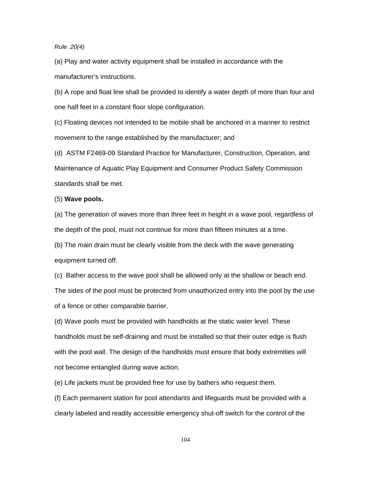*Rule .20(4)* 

(a) Play and water activity equipment shall be installed in accordance with the manufacturer's instructions.

(b) A rope and float line shall be provided to identify a water depth of more than four and one half feet in a constant floor slope configuration.

(c) Floating devices not intended to be mobile shall be anchored in a manner to restrict movement to the range established by the manufacturer; and

(d) ASTM F2469-09 Standard Practice for Manufacturer, Construction, Operation, and Maintenance of Aquatic Play Equipment and Consumer Product Safety Commission standards shall be met.

## (5) **Wave pools.**

(a) The generation of waves more than three feet in height in a wave pool, regardless of the depth of the pool, must not continue for more than fifteen minutes at a time.

(b) The main drain must be clearly visible from the deck with the wave generating equipment turned off.

(c) Bather access to the wave pool shall be allowed only at the shallow or beach end. The sides of the pool must be protected from unauthorized entry into the pool by the use of a fence or other comparable barrier.

(d) Wave pools must be provided with handholds at the static water level. These handholds must be self-draining and must be installed so that their outer edge is flush with the pool wall. The design of the handholds must ensure that body extremities will not become entangled during wave action.

(e) Life jackets must be provided free for use by bathers who request them.

(f) Each permanent station for pool attendants and lifeguards must be provided with a clearly labeled and readily accessible emergency shut-off switch for the control of the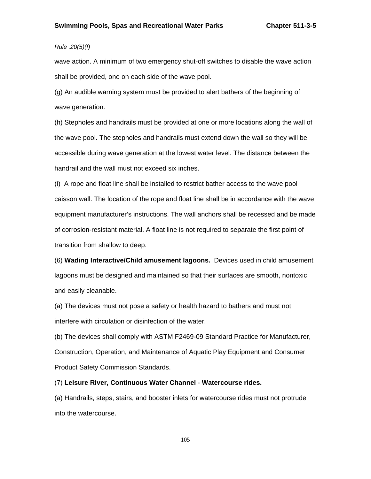# *Rule .20(5)(f)*

wave action. A minimum of two emergency shut-off switches to disable the wave action shall be provided, one on each side of the wave pool.

(g) An audible warning system must be provided to alert bathers of the beginning of wave generation.

(h) Stepholes and handrails must be provided at one or more locations along the wall of the wave pool. The stepholes and handrails must extend down the wall so they will be accessible during wave generation at the lowest water level. The distance between the handrail and the wall must not exceed six inches.

(i) A rope and float line shall be installed to restrict bather access to the wave pool caisson wall. The location of the rope and float line shall be in accordance with the wave equipment manufacturer's instructions. The wall anchors shall be recessed and be made of corrosion-resistant material. A float line is not required to separate the first point of transition from shallow to deep.

(6) **Wading Interactive/Child amusement lagoons.** Devices used in child amusement lagoons must be designed and maintained so that their surfaces are smooth, nontoxic and easily cleanable.

(a) The devices must not pose a safety or health hazard to bathers and must not interfere with circulation or disinfection of the water.

(b) The devices shall comply with ASTM F2469-09 Standard Practice for Manufacturer, Construction, Operation, and Maintenance of Aquatic Play Equipment and Consumer Product Safety Commission Standards.

(7) **Leisure River, Continuous Water Channel** - **Watercourse rides.**

(a) Handrails, steps, stairs, and booster inlets for watercourse rides must not protrude into the watercourse.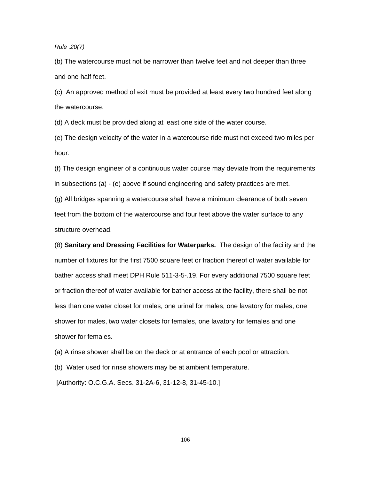### *Rule .20(7)*

(b) The watercourse must not be narrower than twelve feet and not deeper than three and one half feet.

(c) An approved method of exit must be provided at least every two hundred feet along the watercourse.

(d) A deck must be provided along at least one side of the water course.

(e) The design velocity of the water in a watercourse ride must not exceed two miles per hour.

(f) The design engineer of a continuous water course may deviate from the requirements in subsections (a) - (e) above if sound engineering and safety practices are met. (g) All bridges spanning a watercourse shall have a minimum clearance of both seven feet from the bottom of the watercourse and four feet above the water surface to any structure overhead.

(8) **Sanitary and Dressing Facilities for Waterparks.** The design of the facility and the number of fixtures for the first 7500 square feet or fraction thereof of water available for bather access shall meet DPH Rule 511-3-5-.19. For every additional 7500 square feet or fraction thereof of water available for bather access at the facility, there shall be not less than one water closet for males, one urinal for males, one lavatory for males, one shower for males, two water closets for females, one lavatory for females and one shower for females.

(a) A rinse shower shall be on the deck or at entrance of each pool or attraction.

(b) Water used for rinse showers may be at ambient temperature.

[Authority: O.C.G.A. Secs. 31-2A-6, 31-12-8, 31-45-10.]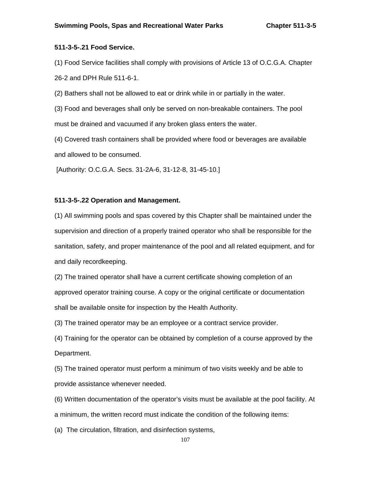# **511-3-5-.21 Food Service.**

(1) Food Service facilities shall comply with provisions of Article 13 of O.C.G.A. Chapter 26-2 and DPH Rule 511-6-1.

(2) Bathers shall not be allowed to eat or drink while in or partially in the water.

(3) Food and beverages shall only be served on non-breakable containers. The pool must be drained and vacuumed if any broken glass enters the water.

(4) Covered trash containers shall be provided where food or beverages are available and allowed to be consumed.

[Authority: O.C.G.A. Secs. 31-2A-6, 31-12-8, 31-45-10.]

## **511-3-5-.22 Operation and Management.**

(1) All swimming pools and spas covered by this Chapter shall be maintained under the supervision and direction of a properly trained operator who shall be responsible for the sanitation, safety, and proper maintenance of the pool and all related equipment, and for and daily recordkeeping.

(2) The trained operator shall have a current certificate showing completion of an approved operator training course. A copy or the original certificate or documentation shall be available onsite for inspection by the Health Authority.

(3) The trained operator may be an employee or a contract service provider.

(4) Training for the operator can be obtained by completion of a course approved by the Department.

(5) The trained operator must perform a minimum of two visits weekly and be able to provide assistance whenever needed.

(6) Written documentation of the operator's visits must be available at the pool facility. At a minimum, the written record must indicate the condition of the following items:

(a) The circulation, filtration, and disinfection systems,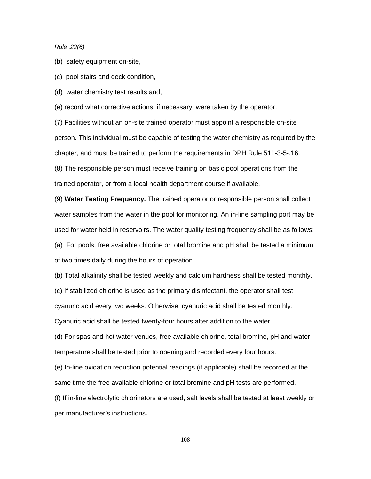*Rule .22(6)* 

(b) safety equipment on-site,

(c) pool stairs and deck condition,

(d) water chemistry test results and,

(e) record what corrective actions, if necessary, were taken by the operator.

(7) Facilities without an on-site trained operator must appoint a responsible on-site person. This individual must be capable of testing the water chemistry as required by the chapter, and must be trained to perform the requirements in DPH Rule 511-3-5-.16. (8) The responsible person must receive training on basic pool operations from the trained operator, or from a local health department course if available.

(9) **Water Testing Frequency.** The trained operator or responsible person shall collect water samples from the water in the pool for monitoring. An in-line sampling port may be used for water held in reservoirs. The water quality testing frequency shall be as follows: (a) For pools, free available chlorine or total bromine and pH shall be tested a minimum of two times daily during the hours of operation.

(b) Total alkalinity shall be tested weekly and calcium hardness shall be tested monthly.

(c) If stabilized chlorine is used as the primary disinfectant, the operator shall test

cyanuric acid every two weeks. Otherwise, cyanuric acid shall be tested monthly.

Cyanuric acid shall be tested twenty-four hours after addition to the water.

(d) For spas and hot water venues, free available chlorine, total bromine, pH and water temperature shall be tested prior to opening and recorded every four hours.

(e) In-line oxidation reduction potential readings (if applicable) shall be recorded at the same time the free available chlorine or total bromine and pH tests are performed.

(f) If in-line electrolytic chlorinators are used, salt levels shall be tested at least weekly or per manufacturer's instructions.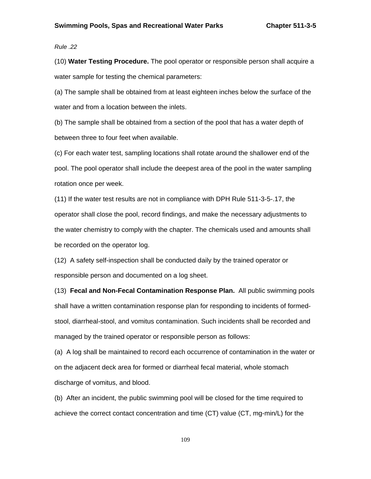### *Rule .22*

(10) **Water Testing Procedure.** The pool operator or responsible person shall acquire a water sample for testing the chemical parameters:

(a) The sample shall be obtained from at least eighteen inches below the surface of the water and from a location between the inlets.

(b) The sample shall be obtained from a section of the pool that has a water depth of between three to four feet when available.

(c) For each water test, sampling locations shall rotate around the shallower end of the pool. The pool operator shall include the deepest area of the pool in the water sampling rotation once per week.

(11) If the water test results are not in compliance with DPH Rule 511-3-5-.17, the operator shall close the pool, record findings, and make the necessary adjustments to the water chemistry to comply with the chapter. The chemicals used and amounts shall be recorded on the operator log.

(12) A safety self-inspection shall be conducted daily by the trained operator or responsible person and documented on a log sheet.

(13) **Fecal and Non-Fecal Contamination Response Plan.** All public swimming pools shall have a written contamination response plan for responding to incidents of formedstool, diarrheal-stool, and vomitus contamination. Such incidents shall be recorded and managed by the trained operator or responsible person as follows:

(a) A log shall be maintained to record each occurrence of contamination in the water or on the adjacent deck area for formed or diarrheal fecal material, whole stomach discharge of vomitus, and blood.

(b) After an incident, the public swimming pool will be closed for the time required to achieve the correct contact concentration and time (CT) value (CT, mg-min/L) for the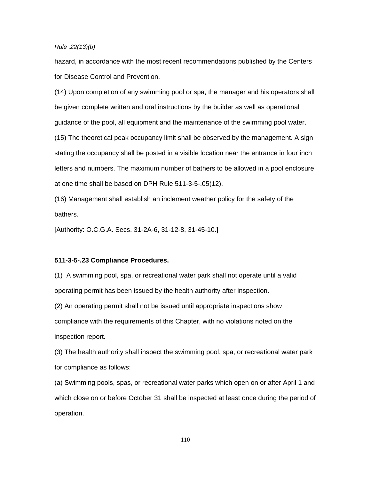#### *Rule .22(13)(b)*

hazard, in accordance with the most recent recommendations published by the Centers for Disease Control and Prevention.

(14) Upon completion of any swimming pool or spa, the manager and his operators shall be given complete written and oral instructions by the builder as well as operational guidance of the pool, all equipment and the maintenance of the swimming pool water.

(15) The theoretical peak occupancy limit shall be observed by the management. A sign stating the occupancy shall be posted in a visible location near the entrance in four inch letters and numbers. The maximum number of bathers to be allowed in a pool enclosure at one time shall be based on DPH Rule 511-3-5-.05(12).

(16) Management shall establish an inclement weather policy for the safety of the bathers.

[Authority: O.C.G.A. Secs. 31-2A-6, 31-12-8, 31-45-10.]

#### **511-3-5-.23 Compliance Procedures.**

(1) A swimming pool, spa, or recreational water park shall not operate until a valid operating permit has been issued by the health authority after inspection.

(2) An operating permit shall not be issued until appropriate inspections show compliance with the requirements of this Chapter, with no violations noted on the inspection report.

(3) The health authority shall inspect the swimming pool, spa, or recreational water park for compliance as follows:

(a) Swimming pools, spas, or recreational water parks which open on or after April 1 and which close on or before October 31 shall be inspected at least once during the period of operation.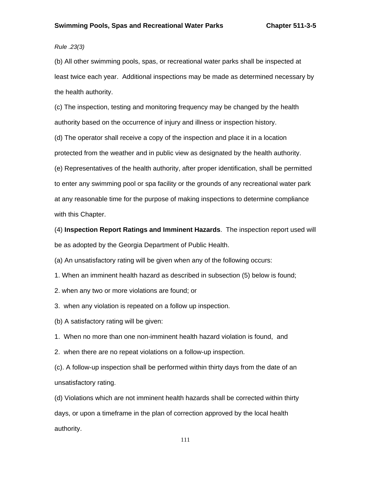## *Rule .23(3)*

(b) All other swimming pools, spas, or recreational water parks shall be inspected at least twice each year. Additional inspections may be made as determined necessary by the health authority.

(c) The inspection, testing and monitoring frequency may be changed by the health authority based on the occurrence of injury and illness or inspection history.

(d) The operator shall receive a copy of the inspection and place it in a location protected from the weather and in public view as designated by the health authority.

(e) Representatives of the health authority, after proper identification, shall be permitted to enter any swimming pool or spa facility or the grounds of any recreational water park at any reasonable time for the purpose of making inspections to determine compliance with this Chapter.

(4) **Inspection Report Ratings and Imminent Hazards**. The inspection report used will be as adopted by the Georgia Department of Public Health.

(a) An unsatisfactory rating will be given when any of the following occurs:

1. When an imminent health hazard as described in subsection (5) below is found;

2. when any two or more violations are found; or

3. when any violation is repeated on a follow up inspection.

(b) A satisfactory rating will be given:

1. When no more than one non-imminent health hazard violation is found, and

2. when there are no repeat violations on a follow-up inspection.

(c). A follow-up inspection shall be performed within thirty days from the date of an unsatisfactory rating.

(d) Violations which are not imminent health hazards shall be corrected within thirty days, or upon a timeframe in the plan of correction approved by the local health authority.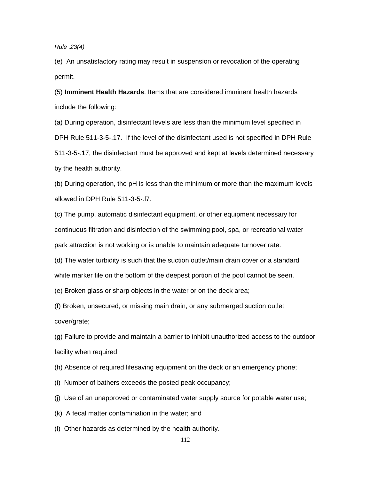*Rule .23(4)* 

(e) An unsatisfactory rating may result in suspension or revocation of the operating permit.

(5) **Imminent Health Hazards**. Items that are considered imminent health hazards include the following:

(a) During operation, disinfectant levels are less than the minimum level specified in DPH Rule 511-3-5-.17. If the level of the disinfectant used is not specified in DPH Rule 511-3-5-.17, the disinfectant must be approved and kept at levels determined necessary by the health authority.

(b) During operation, the pH is less than the minimum or more than the maximum levels allowed in DPH Rule 511-3-5-.l7.

(c) The pump, automatic disinfectant equipment, or other equipment necessary for continuous filtration and disinfection of the swimming pool, spa, or recreational water park attraction is not working or is unable to maintain adequate turnover rate.

(d) The water turbidity is such that the suction outlet/main drain cover or a standard white marker tile on the bottom of the deepest portion of the pool cannot be seen.

(e) Broken glass or sharp objects in the water or on the deck area;

(f) Broken, unsecured, or missing main drain, or any submerged suction outlet cover/grate;

(g) Failure to provide and maintain a barrier to inhibit unauthorized access to the outdoor facility when required;

(h) Absence of required lifesaving equipment on the deck or an emergency phone;

- (i) Number of bathers exceeds the posted peak occupancy;
- (j) Use of an unapproved or contaminated water supply source for potable water use;
- (k) A fecal matter contamination in the water; and
- (l) Other hazards as determined by the health authority.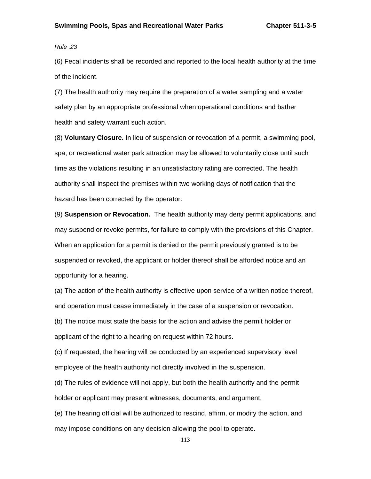*Rule .23* 

(6) Fecal incidents shall be recorded and reported to the local health authority at the time of the incident.

(7) The health authority may require the preparation of a water sampling and a water safety plan by an appropriate professional when operational conditions and bather health and safety warrant such action.

(8) **Voluntary Closure.** In lieu of suspension or revocation of a permit, a swimming pool, spa, or recreational water park attraction may be allowed to voluntarily close until such time as the violations resulting in an unsatisfactory rating are corrected. The health authority shall inspect the premises within two working days of notification that the hazard has been corrected by the operator.

(9) **Suspension or Revocation.** The health authority may deny permit applications, and may suspend or revoke permits, for failure to comply with the provisions of this Chapter. When an application for a permit is denied or the permit previously granted is to be suspended or revoked, the applicant or holder thereof shall be afforded notice and an opportunity for a hearing.

(a) The action of the health authority is effective upon service of a written notice thereof, and operation must cease immediately in the case of a suspension or revocation.

(b) The notice must state the basis for the action and advise the permit holder or applicant of the right to a hearing on request within 72 hours.

(c) If requested, the hearing will be conducted by an experienced supervisory level employee of the health authority not directly involved in the suspension.

(d) The rules of evidence will not apply, but both the health authority and the permit holder or applicant may present witnesses, documents, and argument.

(e) The hearing official will be authorized to rescind, affirm, or modify the action, and may impose conditions on any decision allowing the pool to operate.